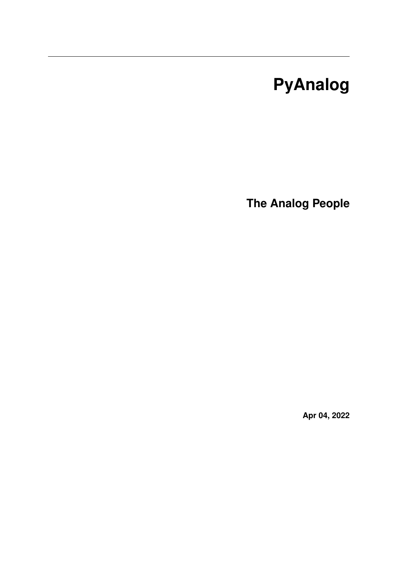# **PyAnalog**

**The Analog People**

**Apr 04, 2022**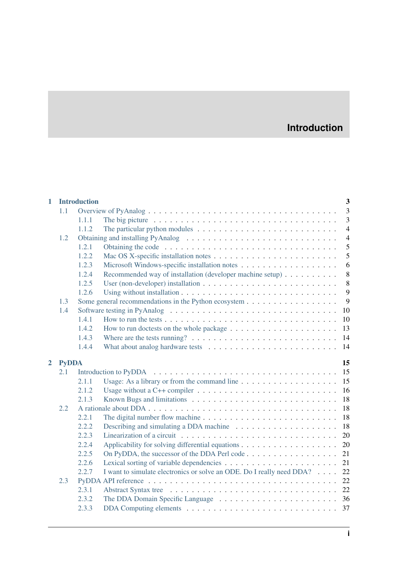# **Introduction**

| $\mathbf{1}$   |                    | <b>Introduction</b> |                                                                                                              | 3              |  |  |  |
|----------------|--------------------|---------------------|--------------------------------------------------------------------------------------------------------------|----------------|--|--|--|
|                | 1.1                |                     |                                                                                                              | $\overline{3}$ |  |  |  |
|                |                    | 1.1.1               | The big picture $\dots \dots \dots \dots \dots \dots \dots \dots \dots \dots \dots \dots \dots$              | 3              |  |  |  |
|                |                    | 1.1.2               | The particular python modules $\dots \dots \dots \dots \dots \dots \dots \dots \dots$                        | $\overline{4}$ |  |  |  |
|                | 1.2                |                     | Obtaining and installing PyAnalog (a) respectively.                                                          | $\overline{4}$ |  |  |  |
|                |                    | 1.2.1               |                                                                                                              | 5              |  |  |  |
|                |                    | 1.2.2               |                                                                                                              | 5              |  |  |  |
|                |                    | 1.2.3               |                                                                                                              | 6              |  |  |  |
|                |                    | 1.2.4               | Recommended way of installation (developer machine setup)                                                    | 8              |  |  |  |
|                |                    | 1.2.5               |                                                                                                              | 8              |  |  |  |
|                |                    | 1.2.6               |                                                                                                              | 9              |  |  |  |
|                | 1.3                |                     |                                                                                                              | 9              |  |  |  |
|                | 1.4                |                     | Software testing in PyAnalog $\dots \dots \dots \dots \dots \dots \dots \dots \dots \dots \dots \dots$<br>10 |                |  |  |  |
|                |                    | 1.4.1               | 10                                                                                                           |                |  |  |  |
|                |                    | 1.4.2               | 13                                                                                                           |                |  |  |  |
|                |                    | 1.4.3               | Where are the tests running? $\dots \dots \dots \dots \dots \dots \dots \dots \dots \dots \dots$<br>14       |                |  |  |  |
|                |                    | 1.4.4               |                                                                                                              |                |  |  |  |
| $\overline{2}$ | <b>PyDDA</b><br>15 |                     |                                                                                                              |                |  |  |  |
|                |                    |                     |                                                                                                              |                |  |  |  |
|                | 2.1                |                     | 15                                                                                                           |                |  |  |  |
|                |                    | 2.1.1               | 15<br>Usage: As a library or from the command line $\dots \dots \dots \dots \dots \dots$                     |                |  |  |  |
|                |                    | 2.1.2               | 16                                                                                                           |                |  |  |  |
|                |                    | 2.1.3               | 18                                                                                                           |                |  |  |  |
|                | 2.2                |                     | 18                                                                                                           |                |  |  |  |
|                |                    | 2.2.1               | 18                                                                                                           |                |  |  |  |
|                |                    | 2.2.2               | 18<br>Describing and simulating a DDA machine $\ldots \ldots \ldots \ldots \ldots \ldots$                    |                |  |  |  |
|                |                    | 2.2.3               | 20                                                                                                           |                |  |  |  |
|                |                    | 2.2.4               | 20                                                                                                           |                |  |  |  |
|                |                    | 2.2.5               | On PyDDA, the successor of the DDA Perl code<br>21                                                           |                |  |  |  |
|                |                    | 2.2.6               | 21                                                                                                           |                |  |  |  |
|                |                    | 2.2.7               | 22<br>I want to simulate electronics or solve an ODE. Do I really need DDA?                                  |                |  |  |  |
|                | 2.3                |                     | 22                                                                                                           |                |  |  |  |
|                |                    | 2.3.1               |                                                                                                              |                |  |  |  |
|                |                    | 2.3.2               |                                                                                                              |                |  |  |  |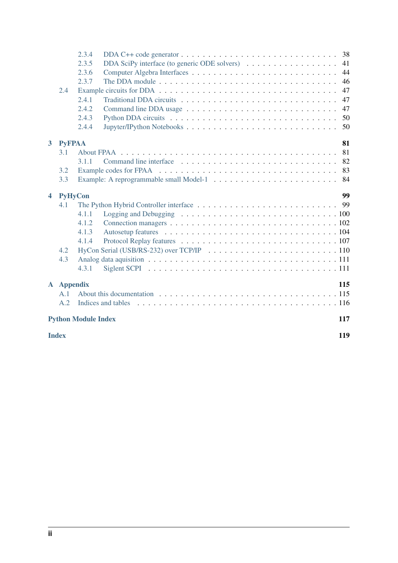|                         |                                   | 2.3.4 |                    | 38  |  |  |  |  |  |  |
|-------------------------|-----------------------------------|-------|--------------------|-----|--|--|--|--|--|--|
|                         |                                   | 2.3.5 |                    | 41  |  |  |  |  |  |  |
|                         |                                   | 2.3.6 |                    | 44  |  |  |  |  |  |  |
|                         |                                   | 2.3.7 |                    | 46  |  |  |  |  |  |  |
|                         | 2.4                               |       |                    | 47  |  |  |  |  |  |  |
|                         |                                   | 2.4.1 |                    | 47  |  |  |  |  |  |  |
|                         |                                   | 2.4.2 |                    | 47  |  |  |  |  |  |  |
|                         |                                   | 2.4.3 |                    | 50  |  |  |  |  |  |  |
|                         |                                   | 2.4.4 |                    | 50  |  |  |  |  |  |  |
| 3 <sup>1</sup>          | <b>PyFPAA</b>                     |       |                    | 81  |  |  |  |  |  |  |
|                         | 3.1                               |       |                    | 81  |  |  |  |  |  |  |
|                         |                                   | 3.1.1 |                    | 82  |  |  |  |  |  |  |
|                         | 3.2                               |       |                    | 83  |  |  |  |  |  |  |
|                         | 3.3                               |       |                    | 84  |  |  |  |  |  |  |
|                         |                                   |       |                    |     |  |  |  |  |  |  |
| $\overline{\mathbf{4}}$ | <b>PyHyCon</b>                    |       |                    | 99  |  |  |  |  |  |  |
|                         | 4.1                               |       |                    |     |  |  |  |  |  |  |
|                         |                                   | 4.1.1 |                    |     |  |  |  |  |  |  |
|                         |                                   | 4.1.2 |                    |     |  |  |  |  |  |  |
|                         |                                   | 4.1.3 |                    |     |  |  |  |  |  |  |
|                         |                                   | 4.1.4 |                    |     |  |  |  |  |  |  |
|                         | 4.2                               |       |                    |     |  |  |  |  |  |  |
|                         | 4.3                               |       |                    |     |  |  |  |  |  |  |
|                         |                                   | 4.3.1 |                    |     |  |  |  |  |  |  |
|                         | <b>A</b> Appendix                 |       |                    | 115 |  |  |  |  |  |  |
|                         | A.1                               |       |                    |     |  |  |  |  |  |  |
|                         | A.2                               |       | Indices and tables |     |  |  |  |  |  |  |
|                         | <b>Python Module Index</b><br>117 |       |                    |     |  |  |  |  |  |  |
|                         |                                   |       |                    |     |  |  |  |  |  |  |
|                         | <b>Index</b>                      |       | 119                |     |  |  |  |  |  |  |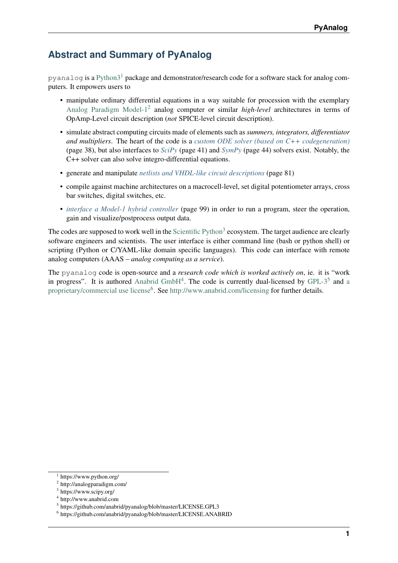# **Abstract and Summary of PyAnalog**

pyanalog is a Python $3<sup>1</sup>$  $3<sup>1</sup>$  $3<sup>1</sup>$  package and demonstrator/research code for a software stack for analog computers. It empowers users to

- manipulate ordinary differential equations in a way suitable for procession with the exemplary [Analog Paradigm Model-1](http://analogparadigm.com/)[2](#page-4-1) analog computer or similar *high-level* architectures in terms of OpAmp-Level circuit description (*not* SPICE-level circuit description).
- simulate abstract computing circuits made of elements such as *summers, integrators, differentiator and multipliers*. The heart of the code is a *[custom ODE solver \(based on C++ codegeneration\)](#page-41-0)* (page 38), but also interfaces to *[SciPy](#page-44-0)* (page 41) and *[SymPy](#page-47-0)* (page 44) solvers exist. Notably, the C++ solver can also solve integro-differential equations.
- generate and manipulate *[netlists and VHDL-like circuit descriptions](#page-84-1)* (page 81)
- compile against machine architectures on a macrocell-level, set digital potentiometer arrays, cross bar switches, digital switches, etc.
- *[interface a Model-1 hybrid controller](#page-102-1)* (page 99) in order to run a program, steer the operation, gain and visualize/postprocess output data.

The codes are supposed to work well in the [Scientific Python](https://www.scipy.org/)<sup>[3](#page-4-2)</sup> ecosystem. The target audience are clearly software engineers and scientists. The user interface is either command line (bash or python shell) or scripting (Python or C/YAML-like domain specific languages). This code can interface with remote analog computers (AAAS – *analog computing as a service*).

The pyanalog code is open-source and a *research code which is worked actively on*, ie. it is "work in progress". It is authored [Anabrid GmbH](http://www.anabrid.com)<sup>[4](#page-4-3)</sup>. The code is currently du[a](https://github.com/anabrid/pyanalog/blob/master/LICENSE.ANABRID)l-licensed by GPL- $3<sup>5</sup>$  $3<sup>5</sup>$  $3<sup>5</sup>$  and a [proprietary/commercial use license](https://github.com/anabrid/pyanalog/blob/master/LICENSE.ANABRID)<sup>[6](#page-4-5)</sup>. See <http://www.anabrid.com/licensing> for further details.

<span id="page-4-0"></span><sup>1</sup> https://www.python.org/

<span id="page-4-1"></span><sup>&</sup>lt;sup>2</sup> http://analogparadigm.com/

<span id="page-4-2"></span><sup>&</sup>lt;sup>3</sup> https://www.scipy.org/

<span id="page-4-3"></span><sup>4</sup> http://www.anabrid.com

<span id="page-4-4"></span><sup>5</sup> https://github.com/anabrid/pyanalog/blob/master/LICENSE.GPL3

<span id="page-4-5"></span><sup>6</sup> https://github.com/anabrid/pyanalog/blob/master/LICENSE.ANABRID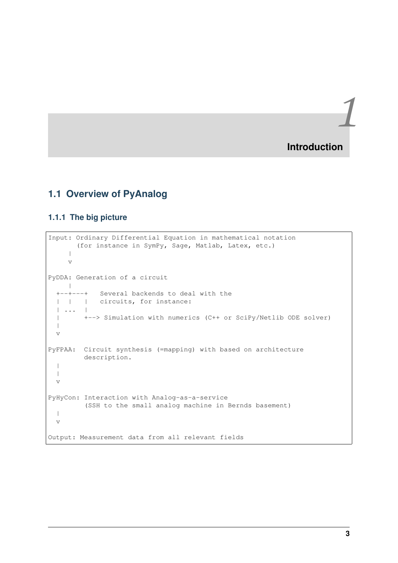*1* **Introduction**

# <span id="page-6-1"></span><span id="page-6-0"></span>**1.1 Overview of PyAnalog**

### <span id="page-6-2"></span>**1.1.1 The big picture**

```
Input: Ordinary Differential Equation in mathematical notation
       (for instance in SymPy, Sage, Matlab, Latex, etc.)
     \|\overline{v}PyDDA: Generation of a circuit
    |
  +--+---+ Several backends to deal with the
  | | | circuits, for instance:
  | ... |
  | +--> Simulation with numerics (C++ or SciPy/Netlib ODE solver)
  \blacksquarev
PyFPAA: Circuit synthesis (=mapping) with based on architecture
         description.
  |
  \blacksquarev
PyHyCon: Interaction with Analog-as-a-service
         (SSH to the small analog machine in Bernds basement)
  \blacksquarev
Output: Measurement data from all relevant fields
```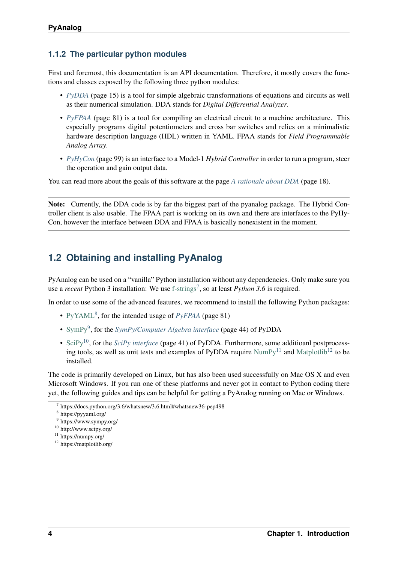## <span id="page-7-0"></span>**1.1.2 The particular python modules**

First and foremost, this documentation is an API documentation. Therefore, it mostly covers the functions and classes exposed by the following three python modules:

- *[PyDDA](#page-18-1)* (page 15) is a tool for simple algebraic transformations of equations and circuits as well as their numerical simulation. DDA stands for *Digital Differential Analyzer*.
- *[PyFPAA](#page-84-1)* (page 81) is a tool for compiling an electrical circuit to a machine architecture. This especially programs digital potentiometers and cross bar switches and relies on a minimalistic hardware description language (HDL) written in YAML. FPAA stands for *Field Programmable Analog Array*.
- *[PyHyCon](#page-102-1)* (page 99) is an interface to a Model-1 *Hybrid Controller* in order to run a program, steer the operation and gain output data.

You can read more about the goals of this software at the page *[A rationale about DDA](#page-21-1)* (page 18).

Note: Currently, the DDA code is by far the biggest part of the pyanalog package. The Hybrid Controller client is also usable. The FPAA part is working on its own and there are interfaces to the PyHy-Con, however the interface between DDA and FPAA is basically nonexistent in the moment.

# <span id="page-7-1"></span>**1.2 Obtaining and installing PyAnalog**

PyAnalog can be used on a "vanilla" Python installation without any dependencies. Only make sure you use a *recent* Python 3 installation: We use [f-strings](https://docs.python.org/3.6/whatsnew/3.6.html#whatsnew36-pep498)<sup>[7](#page-7-2)</sup>, so at least *Python 3.6* is required.

In order to use some of the advanced features, we recommend to install the following Python packages:

- [PyYAML](https://pyyaml.org/)<sup>[8](#page-7-3)</sup>, for the intended usage of *[PyFPAA](#page-84-1)* (page 81)
- [SymPy](https://www.sympy.org/)<sup>[9](#page-7-4)</sup>, for the *[SymPy/Computer Algebra interface](#page-47-0)* (page 44) of PyDDA
- [SciPy](http://www.scipy.org/)<sup>[10](#page-7-5)</sup>, for the *[SciPy interface](#page-44-0)* (page 41) of PyDDA. Furthermore, some additioanl postprocessing tools, as well as unit tests and examples of PyDDA require  $NumPy^{11}$  $NumPy^{11}$  $NumPy^{11}$  $NumPy^{11}$  and [Matplotlib](https://matplotlib.org/)<sup>[12](#page-7-7)</sup> to be installed.

The code is primarily developed on Linux, but has also been used successfully on Mac OS X and even Microsoft Windows. If you run one of these platforms and never got in contact to Python coding there yet, the following guides and tips can be helpful for getting a PyAnalog running on Mac or Windows.

<span id="page-7-2"></span><sup>7</sup> https://docs.python.org/3.6/whatsnew/3.6.html#whatsnew36-pep498

<span id="page-7-3"></span><sup>8</sup> https://pyyaml.org/

<span id="page-7-4"></span><sup>&</sup>lt;sup>9</sup> https://www.sympy.org/

<span id="page-7-5"></span><sup>10</sup> http://www.scipy.org/

<span id="page-7-6"></span><sup>11</sup> https://numpy.org/

<span id="page-7-7"></span><sup>12</sup> https://matplotlib.org/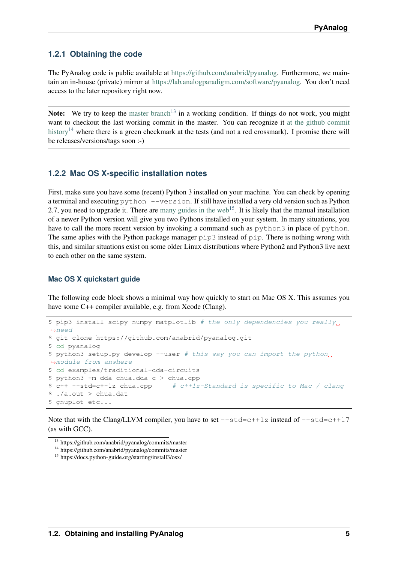#### <span id="page-8-0"></span>**1.2.1 Obtaining the code**

The PyAnalog code is public available at [https://github.com/anabrid/pyanalog.](https://github.com/anabrid/pyanalog) Furthermore, we maintain an in-house (private) mirror at [https://lab.analogparadigm.com/software/pyanalog.](https://lab.analogparadigm.com/software/pyanalog) You don't need access to the later repository right now.

Note: We try to keep the [master branch](https://github.com/anabrid/pyanalog/commits/master)<sup>[13](#page-8-2)</sup> in a working condition. If things do not work, you might want to checkout the last working commit in the master. You can recognize it [at the github commit](https://github.com/anabrid/pyanalog/commits/master) [history](https://github.com/anabrid/pyanalog/commits/master)<sup>[14](#page-8-3)</sup> where there is a green checkmark at the tests (and not a red crossmark). I promise there will be releases/versions/tags soon :-)

#### <span id="page-8-1"></span>**1.2.2 Mac OS X-specific installation notes**

First, make sure you have some (recent) Python 3 installed on your machine. You can check by opening a terminal and executing python --version. If still have installed a very old version such as Python 2.7, you need to upgrade it. There are [many guides in the web](https://docs.python-guide.org/starting/install3/osx/)<sup>[15](#page-8-4)</sup>. It is likely that the manual installation of a newer Python version will give you two Pythons installed on your system. In many situations, you have to call the more recent version by invoking a command such as python3 in place of python. The same aplies with the Python package manager pip3 instead of pip. There is nothing wrong with this, and similar situations exist on some older Linux distributions where Python2 and Python3 live next to each other on the same system.

#### **Mac OS X quickstart guide**

The following code block shows a minimal way how quickly to start on Mac OS X. This assumes you have some C++ compiler available, e.g. from Xcode (Clang).

```
$ pip3 install scipy numpy matplotlib # the only dependencies you really.
˓→need
$ git clone https://github.com/anabrid/pyanalog.git
$ cd pyanalog
$ python3 setup.py develop --user # this way you can import the python,
˓→module from anwhere
$ cd examples/traditional-dda-circuits
$ python3 -m dda chua.dda c > chua.cpp
$ c++ --std=c++1z chua.cpp \# c++1z-Standard is specific to Mac / clang
$./a.out > chua.dat$ gnuplot etc...
```
Note that with the Clang/LLVM compiler, you have to set  $-\text{std}=\text{c}+1\text{z}$  instead of  $-\text{std}=\text{c}+1\text{7}$ (as with GCC).

<span id="page-8-2"></span><sup>13</sup> https://github.com/anabrid/pyanalog/commits/master

<span id="page-8-3"></span><sup>14</sup> https://github.com/anabrid/pyanalog/commits/master

<span id="page-8-4"></span><sup>15</sup> https://docs.python-guide.org/starting/install3/osx/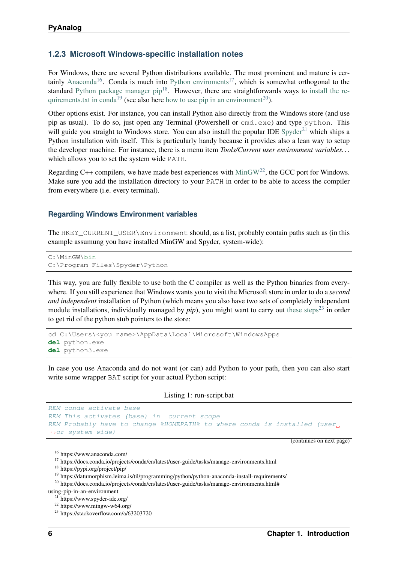## <span id="page-9-0"></span>**1.2.3 Microsoft Windows-specific installation notes**

For Windows, there are several Python distributions available. The most prominent and mature is cer-tainly [Anaconda](https://www.anaconda.com/)<sup>[16](#page-9-1)</sup>. Conda is much into [Python enviroments](https://docs.conda.io/projects/conda/en/latest/user-guide/tasks/manage-environments.html)<sup>[17](#page-9-2)</sup>, which is somewhat orthogonal to the standard Python package manager  $pip^{18}$  $pip^{18}$  $pip^{18}$ . However, there are straightforwards ways to [install the re](https://datumorphism.leima.is/til/programming/python/python-anaconda-install-requirements/)[quirements.txt in conda](https://datumorphism.leima.is/til/programming/python/python-anaconda-install-requirements/)<sup>[19](#page-9-4)</sup> (see also here [how to use pip in an environment](https://docs.conda.io/projects/conda/en/latest/user-guide/tasks/manage-environments.html#using-pip-in-an-environment)<sup>[20](#page-9-5)</sup>).

Other options exist. For instance, you can install Python also directly from the Windows store (and use pip as usual). To do so, just open any Terminal (Powershell or cmd.exe) and type python. This will guide you straight to Windows store. You can also install the popular IDE  $Spyder<sup>21</sup>$  $Spyder<sup>21</sup>$  $Spyder<sup>21</sup>$  $Spyder<sup>21</sup>$  which ships a Python installation with itself. This is particularly handy because it provides also a lean way to setup the developer machine. For instance, there is a menu item *Tools/Current user environment variables. . .* which allows you to set the system wide PATH.

Regarding C++ compilers, we have made best experiences with  $MinGW^{22}$  $MinGW^{22}$  $MinGW^{22}$  $MinGW^{22}$ , the GCC port for Windows. Make sure you add the installation directory to your PATH in order to be able to access the compiler from everywhere (i.e. every terminal).

#### **Regarding Windows Environment variables**

The HKEY\_CURRENT\_USER\Environment should, as a list, probably contain paths such as (in this example assumung you have installed MinGW and Spyder, system-wide):

```
C:\MinGW\bin
C:\Program Files\Spyder\Python
```
This way, you are fully flexible to use both the C compiler as well as the Python binaries from everywhere. If you still experience that Windows wants you to visit the Microsoft store in order to do a *second and independent* installation of Python (which means you also have two sets of completely independent module installations, individually managed by  $pip$ ), you might want to carry out [these steps](https://stackoverflow.com/a/63203720)<sup>[23](#page-9-8)</sup> in order to get rid of the python stub pointers to the store:

```
cd C:\Users\<you name>\AppData\Local\Microsoft\WindowsApps
del python.exe
del python3.exe
```
In case you use Anaconda and do not want (or can) add Python to your path, then you can also start write some wrapper BAT script for your actual Python script:

```
Listing 1: run-script.bat
```

```
REM conda activate base
REM This activates (base) in current scope
REM Probably have to change %HOMEPATH% to where conda is installed (user.
˓→or system wide)
```
(continues on next page)

<span id="page-9-1"></span><sup>16</sup> https://www.anaconda.com/

<span id="page-9-2"></span><sup>17</sup> https://docs.conda.io/projects/conda/en/latest/user-guide/tasks/manage-environments.html

<span id="page-9-3"></span><sup>18</sup> https://pypi.org/project/pip/

<span id="page-9-4"></span><sup>&</sup>lt;sup>19</sup> https://datumorphism.leima.is/til/programming/python/python-anaconda-install-requirements/

<span id="page-9-5"></span><sup>&</sup>lt;sup>20</sup> https://docs.conda.io/projects/conda/en/latest/user-guide/tasks/manage-environments.html#

using-pip-in-an-environment

<span id="page-9-6"></span><sup>21</sup> https://www.spyder-ide.org/

<span id="page-9-7"></span><sup>22</sup> https://www.mingw-w64.org/

<span id="page-9-8"></span><sup>23</sup> https://stackoverflow.com/a/63203720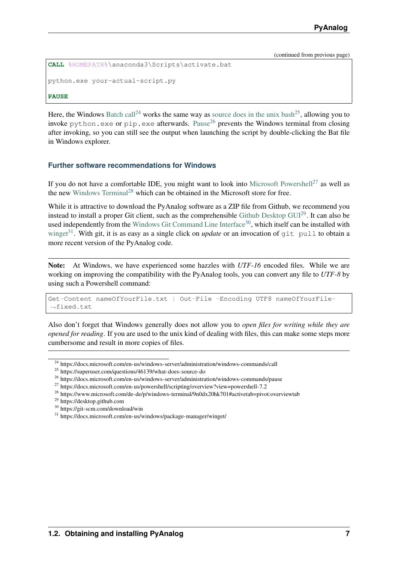```
CALL %HOMEPATH%\anaconda3\Scripts\activate.bat
```
python.exe your-actual-script.py

#### **PAUSE**

Here, the Windows [Batch call](https://docs.microsoft.com/en-us/windows-server/administration/windows-commands/call)<sup>[24](#page-10-0)</sup> works the same way as [source does in the unix bash](https://superuser.com/questions/46139/what-does-source-do)<sup>[25](#page-10-1)</sup>, allowing you to invoke python.exe or pip.exe afterwards. [Pause](https://docs.microsoft.com/en-us/windows-server/administration/windows-commands/pause)<sup>[26](#page-10-2)</sup> prevents the Windows terminal from closing after invoking, so you can still see the output when launching the script by double-clicking the Bat file in Windows explorer.

#### **Further software recommendations for Windows**

If you do not have a comfortable IDE, you might want to look into [Microsoft Powershell](https://docs.microsoft.com/en-us/powershell/scripting/overview?view=powershell-7.2)<sup>[27](#page-10-3)</sup> as well as the new [Windows Terminal](https://www.microsoft.com/de-de/p/windows-terminal/9n0dx20hk701#activetab=pivot:overviewtab)<sup>[28](#page-10-4)</sup> which can be obtained in the Microsoft store for free.

While it is attractive to download the PyAnalog software as a ZIP file from Github, we recommend you instead to install a proper Git client, such as the comprehensible [Github Desktop GUI](https://desktop.github.com)[29](#page-10-5). It can also be used independently from the [Windows Git Command Line Interface](https://git-scm.com/download/win)<sup>[30](#page-10-6)</sup>, which itself can be installed with [winget](https://docs.microsoft.com/en-us/windows/package-manager/winget/)<sup>[31](#page-10-7)</sup>. With git, it is as easy as a single click on *update* or an invocation of git pull to obtain a more recent version of the PyAnalog code.

Note: At Windows, we have experienced some hazzles with *UTF-16* encoded files. While we are working on improving the compatibility with the PyAnalog tools, you can convert any file to *UTF-8* by using such a Powershell command:

```
Get-Content nameOfYourFile.txt | Out-File -Encoding UTF8 nameOfYourFile-
˓→fixed.txt
```
Also don't forget that Windows generally does not allow you to *open files for writing while they are opened for reading*. If you are used to the unix kind of dealing with files, this can make some steps more cumbersome and result in more copies of files.

<span id="page-10-0"></span><sup>24</sup> https://docs.microsoft.com/en-us/windows-server/administration/windows-commands/call

<span id="page-10-1"></span><sup>25</sup> https://superuser.com/questions/46139/what-does-source-do

<span id="page-10-2"></span><sup>26</sup> https://docs.microsoft.com/en-us/windows-server/administration/windows-commands/pause

<span id="page-10-3"></span><sup>27</sup> https://docs.microsoft.com/en-us/powershell/scripting/overview?view=powershell-7.2

<span id="page-10-4"></span><sup>28</sup> https://www.microsoft.com/de-de/p/windows-terminal/9n0dx20hk701#activetab=pivot:overviewtab

<span id="page-10-5"></span><sup>29</sup> https://desktop.github.com

<span id="page-10-6"></span><sup>30</sup> https://git-scm.com/download/win

<span id="page-10-7"></span><sup>31</sup> https://docs.microsoft.com/en-us/windows/package-manager/winget/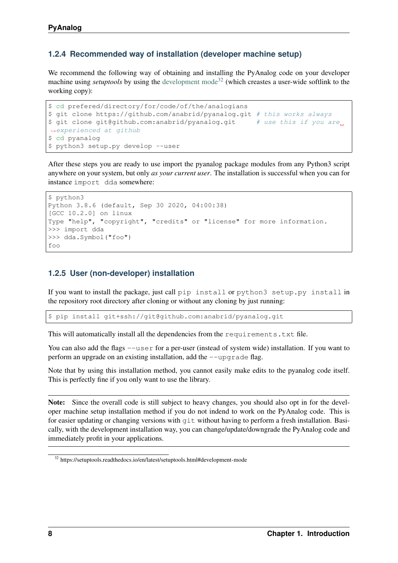#### <span id="page-11-0"></span>**1.2.4 Recommended way of installation (developer machine setup)**

We recommend the following way of obtaining and installing the PyAnalog code on your developer machine using *setuptools* by using the [development mode](https://setuptools.readthedocs.io/en/latest/setuptools.html#development-mode)<sup>[32](#page-11-2)</sup> (which creastes a user-wide softlink to the working copy):

```
$ cd prefered/directory/for/code/of/the/analogians
$ git clone https://github.com/anabrid/pyanalog.git # this works always
$ git clone git@github.com:anabrid/pyanalog.git # use this if you are
˓→experienced at github
$ cd pyanalog
$ python3 setup.py develop --user
```
After these steps you are ready to use import the pyanalog package modules from any Python3 script anywhere on your system, but only *as your current user*. The installation is successful when you can for instance import dda somewhere:

```
$ python3
Python 3.8.6 (default, Sep 30 2020, 04:00:38)
[GCC 10.2.0] on linux
Type "help", "copyright", "credits" or "license" for more information.
>>> import dda
>>> dda.Symbol("foo")
foo
```
#### <span id="page-11-1"></span>**1.2.5 User (non-developer) installation**

If you want to install the package, just call pip install or python3 setup.py install in the repository root directory after cloning or without any cloning by just running:

\$ pip install git+ssh://git@github.com:anabrid/pyanalog.git

This will automatically install all the dependencies from the requirements.txt file.

You can also add the flags  $-\text{user}$  for a per-user (instead of system wide) installation. If you want to perform an upgrade on an existing installation, add the  $-\text{upperade flag}$ .

Note that by using this installation method, you cannot easily make edits to the pyanalog code itself. This is perfectly fine if you only want to use the library.

Note: Since the overall code is still subject to heavy changes, you should also opt in for the developer machine setup installation method if you do not indend to work on the PyAnalog code. This is for easier updating or changing versions with git without having to perform a fresh installation. Basically, with the development installation way, you can change/update/downgrade the PyAnalog code and immediately profit in your applications.

<span id="page-11-2"></span><sup>32</sup> https://setuptools.readthedocs.io/en/latest/setuptools.html#development-mode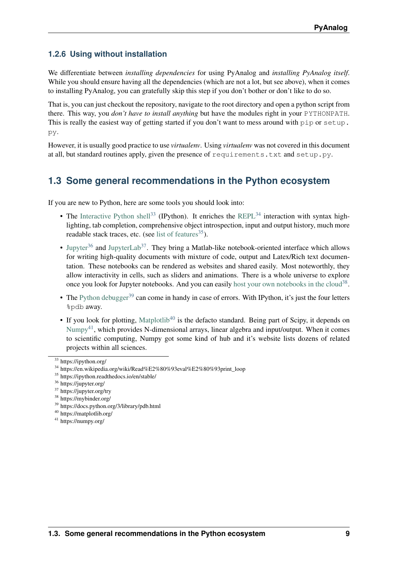# <span id="page-12-0"></span>**1.2.6 Using without installation**

We differentiate between *installing dependencies* for using PyAnalog and *installing PyAnalog itself*. While you should ensure having all the dependencies (which are not a lot, but see above), when it comes to installing PyAnalog, you can gratefully skip this step if you don't bother or don't like to do so.

That is, you can just checkout the repository, navigate to the root directory and open a python script from there. This way, you *don't have to install anything* but have the modules right in your PYTHONPATH. This is really the easiest way of getting started if you don't want to mess around with pip or setup. py.

However, it is usually good practice to use *virtualenv*. Using *virtualenv* was not covered in this document at all, but standard routines apply, given the presence of requirements.txt and setup.py.

# <span id="page-12-1"></span>**1.3 Some general recommendations in the Python ecosystem**

If you are new to Python, here are some tools you should look into:

- The [Interactive Python shell](https://ipython.org/)<sup>[33](#page-12-2)</sup> (IPython). It enriches the [REPL](https://en.wikipedia.org/wiki/Read%E2%80%93eval%E2%80%93print_loop)<sup>[34](#page-12-3)</sup> interaction with syntax highlighting, tab completion, comprehensive object introspection, input and output history, much more readable stack traces, etc. (see [list of features](https://ipython.readthedocs.io/en/stable/)<sup>[35](#page-12-4)</sup>).
- [Jupyter](https://jupyter.org/)<sup>[36](#page-12-5)</sup> and [JupyterLab](https://jupyter.org/try)<sup>[37](#page-12-6)</sup>. They bring a Matlab-like notebook-oriented interface which allows for writing high-quality documents with mixture of code, output and Latex/Rich text documentation. These notebooks can be rendered as websites and shared easily. Most noteworthly, they allow interactivity in cells, such as sliders and animations. There is a whole universe to explore once you look for Jupyter notebooks. And you can easily [host your own notebooks in the cloud](https://mybinder.org/)<sup>[38](#page-12-7)</sup>.
- The [Python debugger](https://docs.python.org/3/library/pdb.html)<sup>[39](#page-12-8)</sup> can come in handy in case of errors. With IPython, it's just the four letters %pdb away.
- If you look for plotting, [Matplotlib](https://matplotlib.org/)<sup>[40](#page-12-9)</sup> is the defacto standard. Being part of Scipy, it depends on [Numpy](https://numpy.org/)<sup>[41](#page-12-10)</sup>, which provides N-dimensional arrays, linear algebra and input/output. When it comes to scientific computing, Numpy got some kind of hub and it's website lists dozens of related projects within all sciences.

<span id="page-12-2"></span><sup>33</sup> https://ipython.org/

<span id="page-12-3"></span><sup>34</sup> https://en.wikipedia.org/wiki/Read%E2%80%93eval%E2%80%93print\_loop

<span id="page-12-4"></span><sup>35</sup> https://ipython.readthedocs.io/en/stable/

<span id="page-12-5"></span><sup>36</sup> https://jupyter.org/

<span id="page-12-6"></span><sup>37</sup> https://jupyter.org/try

<span id="page-12-7"></span><sup>38</sup> https://mybinder.org/

<span id="page-12-8"></span><sup>39</sup> https://docs.python.org/3/library/pdb.html

<span id="page-12-9"></span><sup>40</sup> https://matplotlib.org/

<span id="page-12-10"></span><sup>41</sup> https://numpy.org/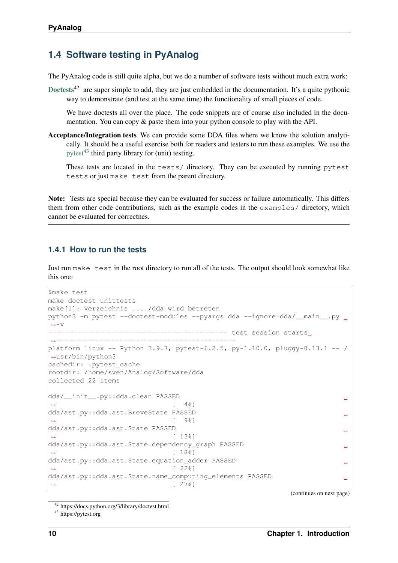# <span id="page-13-0"></span>**1.4 Software testing in PyAnalog**

The PyAnalog code is still quite alpha, but we do a number of software tests without much extra work:

[Doctests](https://docs.python.org/3/library/doctest.html)<sup>42</sup> are super simple to add, they are just embedded in the documentation. It's a quite pythonic way to demonstrate (and test at the same time) the functionality of small pieces of code.

We have doctests all over the place. The code snippets are of course also included in the documentation. You can copy & paste them into your python console to play with the API.

Acceptance/Integration tests We can provide some DDA files where we know the solution analytically. It should be a useful exercise both for readers and testers to run these examples. We use the [pytest](https://pytest.org) $43$  third party library for (unit) testing.

These tests are located in the tests/ directory. They can be executed by running pytest tests or just make test from the parent directory.

Note: Tests are special because they can be evaluated for success or failure automatically. This differs them from other code contributions, such as the example codes in the examples/ directory, which cannot be evaluated for correctnes.

#### <span id="page-13-1"></span>**1.4.1 How to run the tests**

Just run make test in the root directory to run all of the tests. The output should look somewhat like this one:

```
$make test
make doctest unittests
make[1]: Verzeichnis ..../dda wird betreten
python3 -m pytest --doctest-modules --pyargs dda --ignore=dda/ main .py..
\leftrightarrow-\lor============================================= test session starts
˓→=============================================
platform linux -- Python 3.9.7, pytest-6.2.5, py-1.10.0, pluggy-0.13.1 -- /
→usr/bin/python3
cachedir: .pytest_cache
rootdir: /home/sven/Analog/Software/dda
collected 22 items
dda/__init__.py::dda.clean PASSED
                               [4 4 \frac{1}{6}]
dda/ast.py::dda.ast.BreveState PASSED
                               \lceil 9 \rceildda/ast.py::dda.ast.State PASSED
                                                                           \mathbf{r}[13%]dda/ast.py::dda.ast.State.dependency_graph PASSED
                                                                           Ē.
\rightarrow [ 18%]
dda/ast.py::dda.ast.State.equation_adder PASSED
                                                                           \mathbf{r}→ [ 22%]
dda/ast.py::dda.ast.State.name_computing_elements PASSED
                               [27\%]
```
(continues on next page)

<span id="page-13-2"></span><sup>43</sup> https://pytest.org

<sup>42</sup> https://docs.python.org/3/library/doctest.html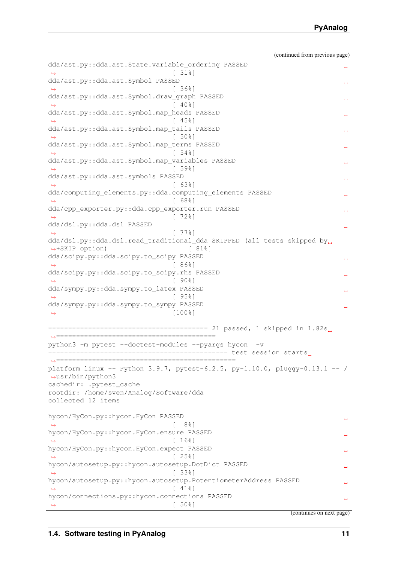| dda/ast.py::dda.ast.Symbol PASSED<br>Ē,<br>13681<br>dda/ast.py::dda.ast.Symbol.draw_graph PASSED<br>L<br>$140$ <sup>8</sup><br>dda/ast.py::dda.ast.Symbol.map_heads PASSED<br><b>L</b><br>[458]<br>dda/ast.py::dda.ast.Symbol.map_tails PASSED<br>ш,<br>$[50$ $]$<br>dda/ast.py::dda.ast.Symbol.map_terms PASSED<br>ш,<br>[548]<br>dda/ast.py::dda.ast.Symbol.map_variables PASSED<br>ш,<br>[598]<br>dda/ast.py::dda.ast.symbols PASSED<br>ш,<br>[638]<br>dda/computing_elements.py::dda.computing_elements PASSED<br>ш,<br>[688]<br>dda/cpp_exporter.py::dda.cpp_exporter.run PASSED<br>ш,<br>$[72$ $]$<br>dda/dsl.py::dda.dsl PASSED<br>$\Box$<br>[778]<br>dda/dsl.py::dda.dsl.read_traditional_dda SKIPPED (all tests skipped by.<br>→+SKIP option)<br>$[ 81$ <sup>8</sup> ]<br>dda/scipy.py::dda.scipy.to_scipy PASSED<br><b>CO</b><br>[868]<br>dda/scipy.py::dda.scipy.to_scipy.rhs PASSED<br>ш,<br>[90.8]<br>dda/sympy.py::dda.sympy.to_latex PASSED<br>ш,<br>$[95$ <sup>8</sup> ]<br>dda/sympy.py::dda.sympy.to_sympy PASSED<br>$[100$ <sup>8</sup> ]<br>$\hookrightarrow$<br>python3 -m pytest --doctest-modules --pyargs hycon -v<br>platform linux -- Python 3.9.7, pytest-6.2.5, py-1.10.0, pluggy-0.13.1 -- /<br>$\rightarrow$ usr/bin/python3<br>cachedir: .pytest_cache<br>rootdir: /home/sven/Analog/Software/dda<br>collected 12 items<br>hycon/HyCon.py::hycon.HyCon PASSED<br>سه<br>8%]<br>hycon/HyCon.py::hycon.HyCon.ensure PASSED<br>$\lceil 16\degree\rceil$<br>hycon/HyCon.py::hycon.HyCon.expect PASSED<br>ىسا<br>$\lceil$ 25%]<br>hycon/autosetup.py::hycon.autosetup.DotDict PASSED<br>فسنة<br>[338]<br>hycon/autosetup.py::hycon.autosetup.PotentiometerAddress PASSED<br>ш<br>$\lceil$ 41%]<br>hycon/connections.py::hycon.connections PASSED<br><b>L</b><br>[50.8]<br>(continues on next page) | dda/ast.py::dda.ast.State.variable_ordering PASSED | ш, |
|-----------------------------------------------------------------------------------------------------------------------------------------------------------------------------------------------------------------------------------------------------------------------------------------------------------------------------------------------------------------------------------------------------------------------------------------------------------------------------------------------------------------------------------------------------------------------------------------------------------------------------------------------------------------------------------------------------------------------------------------------------------------------------------------------------------------------------------------------------------------------------------------------------------------------------------------------------------------------------------------------------------------------------------------------------------------------------------------------------------------------------------------------------------------------------------------------------------------------------------------------------------------------------------------------------------------------------------------------------------------------------------------------------------------------------------------------------------------------------------------------------------------------------------------------------------------------------------------------------------------------------------------------------------------------------------------------------------------------------------------------------------------------------------------------------------------------------|----------------------------------------------------|----|
|                                                                                                                                                                                                                                                                                                                                                                                                                                                                                                                                                                                                                                                                                                                                                                                                                                                                                                                                                                                                                                                                                                                                                                                                                                                                                                                                                                                                                                                                                                                                                                                                                                                                                                                                                                                                                             | [318]                                              |    |
|                                                                                                                                                                                                                                                                                                                                                                                                                                                                                                                                                                                                                                                                                                                                                                                                                                                                                                                                                                                                                                                                                                                                                                                                                                                                                                                                                                                                                                                                                                                                                                                                                                                                                                                                                                                                                             |                                                    |    |
|                                                                                                                                                                                                                                                                                                                                                                                                                                                                                                                                                                                                                                                                                                                                                                                                                                                                                                                                                                                                                                                                                                                                                                                                                                                                                                                                                                                                                                                                                                                                                                                                                                                                                                                                                                                                                             |                                                    |    |
|                                                                                                                                                                                                                                                                                                                                                                                                                                                                                                                                                                                                                                                                                                                                                                                                                                                                                                                                                                                                                                                                                                                                                                                                                                                                                                                                                                                                                                                                                                                                                                                                                                                                                                                                                                                                                             |                                                    |    |
|                                                                                                                                                                                                                                                                                                                                                                                                                                                                                                                                                                                                                                                                                                                                                                                                                                                                                                                                                                                                                                                                                                                                                                                                                                                                                                                                                                                                                                                                                                                                                                                                                                                                                                                                                                                                                             |                                                    |    |
|                                                                                                                                                                                                                                                                                                                                                                                                                                                                                                                                                                                                                                                                                                                                                                                                                                                                                                                                                                                                                                                                                                                                                                                                                                                                                                                                                                                                                                                                                                                                                                                                                                                                                                                                                                                                                             |                                                    |    |
|                                                                                                                                                                                                                                                                                                                                                                                                                                                                                                                                                                                                                                                                                                                                                                                                                                                                                                                                                                                                                                                                                                                                                                                                                                                                                                                                                                                                                                                                                                                                                                                                                                                                                                                                                                                                                             |                                                    |    |
|                                                                                                                                                                                                                                                                                                                                                                                                                                                                                                                                                                                                                                                                                                                                                                                                                                                                                                                                                                                                                                                                                                                                                                                                                                                                                                                                                                                                                                                                                                                                                                                                                                                                                                                                                                                                                             |                                                    |    |
|                                                                                                                                                                                                                                                                                                                                                                                                                                                                                                                                                                                                                                                                                                                                                                                                                                                                                                                                                                                                                                                                                                                                                                                                                                                                                                                                                                                                                                                                                                                                                                                                                                                                                                                                                                                                                             |                                                    |    |
|                                                                                                                                                                                                                                                                                                                                                                                                                                                                                                                                                                                                                                                                                                                                                                                                                                                                                                                                                                                                                                                                                                                                                                                                                                                                                                                                                                                                                                                                                                                                                                                                                                                                                                                                                                                                                             |                                                    |    |
|                                                                                                                                                                                                                                                                                                                                                                                                                                                                                                                                                                                                                                                                                                                                                                                                                                                                                                                                                                                                                                                                                                                                                                                                                                                                                                                                                                                                                                                                                                                                                                                                                                                                                                                                                                                                                             |                                                    |    |
|                                                                                                                                                                                                                                                                                                                                                                                                                                                                                                                                                                                                                                                                                                                                                                                                                                                                                                                                                                                                                                                                                                                                                                                                                                                                                                                                                                                                                                                                                                                                                                                                                                                                                                                                                                                                                             |                                                    |    |
|                                                                                                                                                                                                                                                                                                                                                                                                                                                                                                                                                                                                                                                                                                                                                                                                                                                                                                                                                                                                                                                                                                                                                                                                                                                                                                                                                                                                                                                                                                                                                                                                                                                                                                                                                                                                                             |                                                    |    |
|                                                                                                                                                                                                                                                                                                                                                                                                                                                                                                                                                                                                                                                                                                                                                                                                                                                                                                                                                                                                                                                                                                                                                                                                                                                                                                                                                                                                                                                                                                                                                                                                                                                                                                                                                                                                                             |                                                    |    |
|                                                                                                                                                                                                                                                                                                                                                                                                                                                                                                                                                                                                                                                                                                                                                                                                                                                                                                                                                                                                                                                                                                                                                                                                                                                                                                                                                                                                                                                                                                                                                                                                                                                                                                                                                                                                                             |                                                    |    |
|                                                                                                                                                                                                                                                                                                                                                                                                                                                                                                                                                                                                                                                                                                                                                                                                                                                                                                                                                                                                                                                                                                                                                                                                                                                                                                                                                                                                                                                                                                                                                                                                                                                                                                                                                                                                                             |                                                    |    |
|                                                                                                                                                                                                                                                                                                                                                                                                                                                                                                                                                                                                                                                                                                                                                                                                                                                                                                                                                                                                                                                                                                                                                                                                                                                                                                                                                                                                                                                                                                                                                                                                                                                                                                                                                                                                                             |                                                    |    |
|                                                                                                                                                                                                                                                                                                                                                                                                                                                                                                                                                                                                                                                                                                                                                                                                                                                                                                                                                                                                                                                                                                                                                                                                                                                                                                                                                                                                                                                                                                                                                                                                                                                                                                                                                                                                                             |                                                    |    |
|                                                                                                                                                                                                                                                                                                                                                                                                                                                                                                                                                                                                                                                                                                                                                                                                                                                                                                                                                                                                                                                                                                                                                                                                                                                                                                                                                                                                                                                                                                                                                                                                                                                                                                                                                                                                                             |                                                    |    |
|                                                                                                                                                                                                                                                                                                                                                                                                                                                                                                                                                                                                                                                                                                                                                                                                                                                                                                                                                                                                                                                                                                                                                                                                                                                                                                                                                                                                                                                                                                                                                                                                                                                                                                                                                                                                                             |                                                    |    |
|                                                                                                                                                                                                                                                                                                                                                                                                                                                                                                                                                                                                                                                                                                                                                                                                                                                                                                                                                                                                                                                                                                                                                                                                                                                                                                                                                                                                                                                                                                                                                                                                                                                                                                                                                                                                                             |                                                    |    |
|                                                                                                                                                                                                                                                                                                                                                                                                                                                                                                                                                                                                                                                                                                                                                                                                                                                                                                                                                                                                                                                                                                                                                                                                                                                                                                                                                                                                                                                                                                                                                                                                                                                                                                                                                                                                                             |                                                    |    |
|                                                                                                                                                                                                                                                                                                                                                                                                                                                                                                                                                                                                                                                                                                                                                                                                                                                                                                                                                                                                                                                                                                                                                                                                                                                                                                                                                                                                                                                                                                                                                                                                                                                                                                                                                                                                                             |                                                    |    |
|                                                                                                                                                                                                                                                                                                                                                                                                                                                                                                                                                                                                                                                                                                                                                                                                                                                                                                                                                                                                                                                                                                                                                                                                                                                                                                                                                                                                                                                                                                                                                                                                                                                                                                                                                                                                                             |                                                    |    |
|                                                                                                                                                                                                                                                                                                                                                                                                                                                                                                                                                                                                                                                                                                                                                                                                                                                                                                                                                                                                                                                                                                                                                                                                                                                                                                                                                                                                                                                                                                                                                                                                                                                                                                                                                                                                                             |                                                    |    |
|                                                                                                                                                                                                                                                                                                                                                                                                                                                                                                                                                                                                                                                                                                                                                                                                                                                                                                                                                                                                                                                                                                                                                                                                                                                                                                                                                                                                                                                                                                                                                                                                                                                                                                                                                                                                                             |                                                    |    |
|                                                                                                                                                                                                                                                                                                                                                                                                                                                                                                                                                                                                                                                                                                                                                                                                                                                                                                                                                                                                                                                                                                                                                                                                                                                                                                                                                                                                                                                                                                                                                                                                                                                                                                                                                                                                                             |                                                    |    |
|                                                                                                                                                                                                                                                                                                                                                                                                                                                                                                                                                                                                                                                                                                                                                                                                                                                                                                                                                                                                                                                                                                                                                                                                                                                                                                                                                                                                                                                                                                                                                                                                                                                                                                                                                                                                                             |                                                    |    |
|                                                                                                                                                                                                                                                                                                                                                                                                                                                                                                                                                                                                                                                                                                                                                                                                                                                                                                                                                                                                                                                                                                                                                                                                                                                                                                                                                                                                                                                                                                                                                                                                                                                                                                                                                                                                                             |                                                    |    |
|                                                                                                                                                                                                                                                                                                                                                                                                                                                                                                                                                                                                                                                                                                                                                                                                                                                                                                                                                                                                                                                                                                                                                                                                                                                                                                                                                                                                                                                                                                                                                                                                                                                                                                                                                                                                                             |                                                    |    |
|                                                                                                                                                                                                                                                                                                                                                                                                                                                                                                                                                                                                                                                                                                                                                                                                                                                                                                                                                                                                                                                                                                                                                                                                                                                                                                                                                                                                                                                                                                                                                                                                                                                                                                                                                                                                                             |                                                    |    |
|                                                                                                                                                                                                                                                                                                                                                                                                                                                                                                                                                                                                                                                                                                                                                                                                                                                                                                                                                                                                                                                                                                                                                                                                                                                                                                                                                                                                                                                                                                                                                                                                                                                                                                                                                                                                                             |                                                    |    |
|                                                                                                                                                                                                                                                                                                                                                                                                                                                                                                                                                                                                                                                                                                                                                                                                                                                                                                                                                                                                                                                                                                                                                                                                                                                                                                                                                                                                                                                                                                                                                                                                                                                                                                                                                                                                                             |                                                    |    |
|                                                                                                                                                                                                                                                                                                                                                                                                                                                                                                                                                                                                                                                                                                                                                                                                                                                                                                                                                                                                                                                                                                                                                                                                                                                                                                                                                                                                                                                                                                                                                                                                                                                                                                                                                                                                                             |                                                    |    |
|                                                                                                                                                                                                                                                                                                                                                                                                                                                                                                                                                                                                                                                                                                                                                                                                                                                                                                                                                                                                                                                                                                                                                                                                                                                                                                                                                                                                                                                                                                                                                                                                                                                                                                                                                                                                                             |                                                    |    |
|                                                                                                                                                                                                                                                                                                                                                                                                                                                                                                                                                                                                                                                                                                                                                                                                                                                                                                                                                                                                                                                                                                                                                                                                                                                                                                                                                                                                                                                                                                                                                                                                                                                                                                                                                                                                                             |                                                    |    |
|                                                                                                                                                                                                                                                                                                                                                                                                                                                                                                                                                                                                                                                                                                                                                                                                                                                                                                                                                                                                                                                                                                                                                                                                                                                                                                                                                                                                                                                                                                                                                                                                                                                                                                                                                                                                                             |                                                    |    |
|                                                                                                                                                                                                                                                                                                                                                                                                                                                                                                                                                                                                                                                                                                                                                                                                                                                                                                                                                                                                                                                                                                                                                                                                                                                                                                                                                                                                                                                                                                                                                                                                                                                                                                                                                                                                                             |                                                    |    |
|                                                                                                                                                                                                                                                                                                                                                                                                                                                                                                                                                                                                                                                                                                                                                                                                                                                                                                                                                                                                                                                                                                                                                                                                                                                                                                                                                                                                                                                                                                                                                                                                                                                                                                                                                                                                                             |                                                    |    |
|                                                                                                                                                                                                                                                                                                                                                                                                                                                                                                                                                                                                                                                                                                                                                                                                                                                                                                                                                                                                                                                                                                                                                                                                                                                                                                                                                                                                                                                                                                                                                                                                                                                                                                                                                                                                                             |                                                    |    |
|                                                                                                                                                                                                                                                                                                                                                                                                                                                                                                                                                                                                                                                                                                                                                                                                                                                                                                                                                                                                                                                                                                                                                                                                                                                                                                                                                                                                                                                                                                                                                                                                                                                                                                                                                                                                                             |                                                    |    |
|                                                                                                                                                                                                                                                                                                                                                                                                                                                                                                                                                                                                                                                                                                                                                                                                                                                                                                                                                                                                                                                                                                                                                                                                                                                                                                                                                                                                                                                                                                                                                                                                                                                                                                                                                                                                                             |                                                    |    |
|                                                                                                                                                                                                                                                                                                                                                                                                                                                                                                                                                                                                                                                                                                                                                                                                                                                                                                                                                                                                                                                                                                                                                                                                                                                                                                                                                                                                                                                                                                                                                                                                                                                                                                                                                                                                                             |                                                    |    |
|                                                                                                                                                                                                                                                                                                                                                                                                                                                                                                                                                                                                                                                                                                                                                                                                                                                                                                                                                                                                                                                                                                                                                                                                                                                                                                                                                                                                                                                                                                                                                                                                                                                                                                                                                                                                                             |                                                    |    |
|                                                                                                                                                                                                                                                                                                                                                                                                                                                                                                                                                                                                                                                                                                                                                                                                                                                                                                                                                                                                                                                                                                                                                                                                                                                                                                                                                                                                                                                                                                                                                                                                                                                                                                                                                                                                                             |                                                    |    |
|                                                                                                                                                                                                                                                                                                                                                                                                                                                                                                                                                                                                                                                                                                                                                                                                                                                                                                                                                                                                                                                                                                                                                                                                                                                                                                                                                                                                                                                                                                                                                                                                                                                                                                                                                                                                                             |                                                    |    |
|                                                                                                                                                                                                                                                                                                                                                                                                                                                                                                                                                                                                                                                                                                                                                                                                                                                                                                                                                                                                                                                                                                                                                                                                                                                                                                                                                                                                                                                                                                                                                                                                                                                                                                                                                                                                                             |                                                    |    |
|                                                                                                                                                                                                                                                                                                                                                                                                                                                                                                                                                                                                                                                                                                                                                                                                                                                                                                                                                                                                                                                                                                                                                                                                                                                                                                                                                                                                                                                                                                                                                                                                                                                                                                                                                                                                                             |                                                    |    |
|                                                                                                                                                                                                                                                                                                                                                                                                                                                                                                                                                                                                                                                                                                                                                                                                                                                                                                                                                                                                                                                                                                                                                                                                                                                                                                                                                                                                                                                                                                                                                                                                                                                                                                                                                                                                                             |                                                    |    |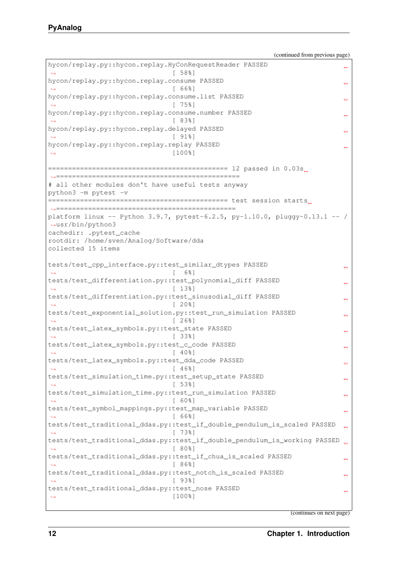hycon/replay.py::hycon.replay.HyConRequestReader PASSED  $[58%]$ hycon/replay.py::hycon.replay.consume PASSED Ē,  $\lceil 66\% \rceil$ hycon/replay.py::hycon.replay.consume.list PASSED  $[75\%]$ hycon/replay.py::hycon.replay.consume.number PASSED ˓<sup>→</sup> [ 83%] hycon/replay.py::hycon.replay.delayed PASSED  $[918]$ hycon/replay.py::hycon.replay.replay PASSED  $\rightarrow$  [100%] ============================================= 12 passed in 0.03s ˓<sup>→</sup>============================================== # all other modules don't have useful tests anyway python3 -m pytest -v ============================================= test session starts ˓<sup>→</sup>============================================= platform linux -- Python  $3.9.7$ , pytest-6.2.5, py-1.10.0, pluggy-0.13.1 -- / ˓<sup>→</sup>usr/bin/python3 cachedir: .pytest\_cache rootdir: /home/sven/Analog/Software/dda collected 15 items tests/test\_cpp\_interface.py::test\_similar\_dtypes PASSED سه  $\leftrightarrow$  [ 6%] tests/test\_differentiation.py::test\_polynomial\_diff PASSED  $\leftrightarrow$  [ 13%] tests/test\_differentiation.py::test\_sinusodial\_diff PASSED  $\rightarrow$  [ 20%] tests/test\_exponential\_solution.py::test\_run\_simulation PASSED  $[26\%]$ tests/test\_latex\_symbols.py::test\_state PASSED ц.  $[338]$ tests/test\_latex\_symbols.py::test\_c\_code PASSED  $[40\%]$ tests/test\_latex\_symbols.py::test\_dda\_code PASSED Ē,  $\leftrightarrow$  [ 46%] tests/test\_simulation\_time.py::test\_setup\_state PASSED ˓<sup>→</sup> [ 53%] tests/test\_simulation\_time.py::test\_run\_simulation PASSED  $\sim$   $\sim$ ˓<sup>→</sup> [ 60%] tests/test\_symbol\_mappings.py::test\_map\_variable PASSED → [ 66%] tests/test\_traditional\_ddas.py::test\_if\_double\_pendulum\_is\_scaled PASSED ˓<sup>→</sup> [ 73%] tests/test\_traditional\_ddas.py::test\_if\_double\_pendulum\_is\_working PASSED  $[80\%]$ tests/test\_traditional\_ddas.py::test\_if\_chua\_is\_scaled PASSED  $\mathbf{r}$  $[86%]$ tests/test traditional ddas.py::test notch is scaled PASSED  $[938]$ tests/test\_traditional\_ddas.py::test\_nose PASSED цú.  $[100$  $]$ 

(continues on next page)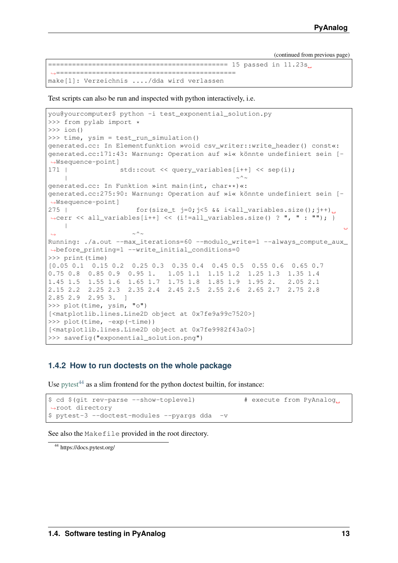```
============================================= 15 passed in 11.23s
   ˓→=============================================
make[1]: Verzeichnis ..../dda wird verlassen
```
Test scripts can also be run and inspected with python interactively, i.e.

```
you@yourcomputer$ python -i test_exponential_solution.py
>>> from pylab import *
\gg ion()
>>> time, ysim = test_run_simulation()
generated.cc: In Elementfunktion »void csv_writer::write_header() const«:
generated.cc:171:43: Warnung: Operation auf »i« könnte undefiniert sein [-
˓→Wsequence-point]
171 | std::cout << query_variables[i++] << sep(i);
    | \sim \sim \simgenerated.cc: In Funktion »int main(int, char**)«:
generated.cc:275:90: Warnung: Operation auf »i« könnte undefiniert sein [-
˓→Wsequence-point]
275 | for (size t j=0;j<5 && i<all variables.size();j++).
\rightarrowcerr << all variables[i++] << (i!=all variables.size() ? ", " : ""); }
   \blacksquare˓→ ~^~
Running: ./a.out --max_iterations=60 --modulo_write=1 --always_compute_aux_
˓→before_printing=1 --write_initial_conditions=0
>>> print(time)
[0.05 0.1 0.15 0.2 0.25 0.3 0.35 0.4 0.45 0.5 0.55 0.6 0.65 0.7
0.75 0.8 0.85 0.9 0.95 1. 1.05 1.1 1.15 1.2 1.25 1.3 1.35 1.4
1.45 1.5 1.55 1.6 1.65 1.7 1.75 1.8 1.85 1.9 1.95 2. 2.05 2.1
2.15 2.2 2.25 2.3 2.35 2.4 2.45 2.5 2.55 2.6 2.65 2.7 2.75 2.8
2.85 2.9 2.95 3. ]
>>> plot(time, ysim, "o")
[<matplotlib.lines.Line2D object at 0x7fe9a99c7520>]
>>> plot(time, -exp(-time))
[<matplotlib.lines.Line2D object at 0x7fe9982f43a0>]
>>> savefig("exponential_solution.png")
```
#### <span id="page-16-0"></span>**1.4.2 How to run doctests on the whole package**

Use [pytest](https://docs.pytest.org/)<sup>[44](#page-16-1)</sup> as a slim frontend for the python doctest builtin, for instance:

```
$ cd $(git rev-parse --show-toplevel) # execute from PyAnalog
˓→root directory
$ pytest-3 --doctest-modules --pyargs dda -v
```
See also the Makefile provided in the root directory.

<span id="page-16-1"></span><sup>44</sup> https://docs.pytest.org/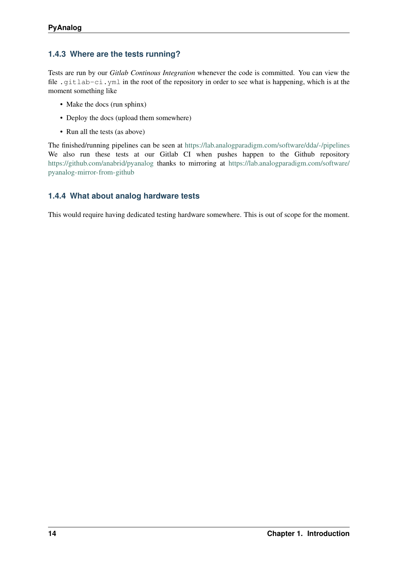# <span id="page-17-0"></span>**1.4.3 Where are the tests running?**

Tests are run by our *Gitlab Continous Integration* whenever the code is committed. You can view the file .gitlab-ci.yml in the root of the repository in order to see what is happening, which is at the moment something like

- Make the docs (run sphinx)
- Deploy the docs (upload them somewhere)
- Run all the tests (as above)

The finished/running pipelines can be seen at <https://lab.analogparadigm.com/software/dda/-/pipelines> We also run these tests at our Gitlab CI when pushes happen to the Github repository <https://github.com/anabrid/pyanalog> thanks to mirroring at [https://lab.analogparadigm.com/software/](https://lab.analogparadigm.com/software/pyanalog-mirror-from-github) [pyanalog-mirror-from-github](https://lab.analogparadigm.com/software/pyanalog-mirror-from-github)

## <span id="page-17-1"></span>**1.4.4 What about analog hardware tests**

This would require having dedicated testing hardware somewhere. This is out of scope for the moment.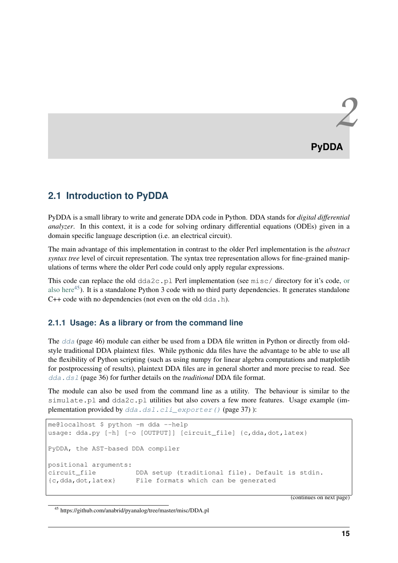# <span id="page-18-1"></span><span id="page-18-0"></span>**2.1 Introduction to PyDDA**

PyDDA is a small library to write and generate DDA code in Python. DDA stands for *digital differential analyzer*. In this context, it is a code for solving ordinary differential equations (ODEs) given in a domain specific language description (i.e. an electrical circuit).

The main advantage of this implementation in contrast to the older Perl implementation is the *abstract syntax tree* level of circuit representation. The syntax tree representation allows for fine-grained manipulations of terms where the older Perl code could only apply regular expressions.

This code can replace the old  $dda2c$ .pl Perl implementation (see misc/ direct[or](https://github.com/anabrid/pyanalog/tree/master/misc/DDA.pl)y for it's code, or [also here](https://github.com/anabrid/pyanalog/tree/master/misc/DDA.pl)<sup>[45](#page-18-3)</sup>). It is a standalone Python 3 code with no third party dependencies. It generates standalone  $C++$  code with no dependencies (not even on the old dda.h).

## <span id="page-18-2"></span>**2.1.1 Usage: As a library or from the command line**

The [dda](#page-49-1) (page 46) module can either be used from a DDA file written in Python or directly from oldstyle traditional DDA plaintext files. While pythonic dda files have the advantage to be able to use all the flexibility of Python scripting (such as using numpy for linear algebra computations and matplotlib for postprocessing of results), plaintext DDA files are in general shorter and more precise to read. See [dda.dsl](#page-39-0) (page 36) for further details on the *traditional* DDA file format.

The module can also be used from the command line as a utility. The behaviour is similar to the simulate.pl and dda2c.pl utilities but also covers a few more features. Usage example (implementation provided by  $dda$ .dsl.cli exporter() (page 37) ):

```
me@localhost $ python -m dda --help
usage: dda.py [-h] [-o [OUTPUT]] [circuit_file] {c,dda,dot,latex}
PyDDA, the AST-based DDA compiler
positional arguments:
circuit_file DDA setup (traditional file). Default is stdin.
{c,dda,dot,latex} File formats which can be generated
```
(continues on next page)

<span id="page-18-3"></span><sup>45</sup> https://github.com/anabrid/pyanalog/tree/master/misc/DDA.pl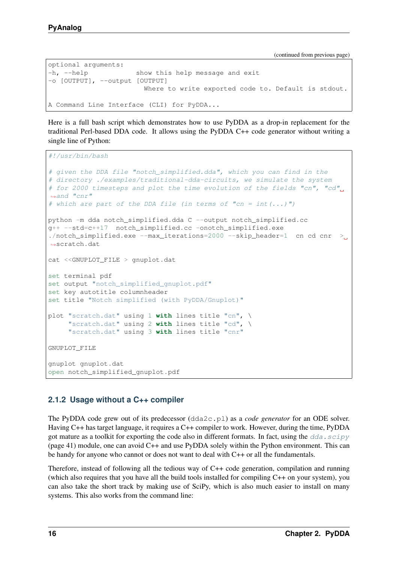```
optional arguments:
-h, --help show this help message and exit
-o [OUTPUT], --output [OUTPUT]
                       Where to write exported code to. Default is stdout.
A Command Line Interface (CLI) for PyDDA...
```
Here is a full bash script which demonstrates how to use PyDDA as a drop-in replacement for the traditional Perl-based DDA code. It allows using the PyDDA C++ code generator without writing a single line of Python:

```
#!/usr/bin/bash
```

```
# given the DDA file "notch_simplified.dda", which you can find in the
# directory ./examples/traditional-dda-circuits, we simulate the system
# for 2000 timesteps and plot the time evolution of the fields "cn", "cd",
˓→and "cnr"
# which are part of the DDA file (in terms of "cn = int(...)")
python -m dda notch_simplified.dda C --output notch_simplified.cc
g++ --std=c++17 notch_simplified.cc -onotch_simplified.exe
./notch_simplified.exe --max_iterations=2000 --skip_header=1 cn cd cnr >_{\_}˓→scratch.dat
cat <<GNUPLOT_FILE > gnuplot.dat
set terminal pdf
set output "notch_simplified_gnuplot.pdf"
set key autotitle columnheader
set title "Notch simplified (with PyDDA/Gnuplot)"
plot "scratch.dat" using 1 with lines title "cn", \
     "scratch.dat" using 2 with lines title "cd", \
     "scratch.dat" using 3 with lines title "cnr"
GNUPLOT_FILE
gnuplot gnuplot.dat
open notch_simplified_gnuplot.pdf
```
## <span id="page-19-0"></span>**2.1.2 Usage without a C++ compiler**

The PyDDA code grew out of its predecessor (dda2c.pl) as a *code generator* for an ODE solver. Having C++ has target language, it requires a C++ compiler to work. However, during the time, PyDDA got mature as a toolkit for exporting the code also in different formats. In fact, using the  $dda \cdot \text{scipy}$ (page 41) module, one can avoid C++ and use PyDDA solely within the Python environment. This can be handy for anyone who cannot or does not want to deal with C++ or all the fundamentals.

Therefore, instead of following all the tedious way of C++ code generation, compilation and running (which also requires that you have all the build tools installed for compiling C++ on your system), you can also take the short track by making use of SciPy, which is also much easier to install on many systems. This also works from the command line: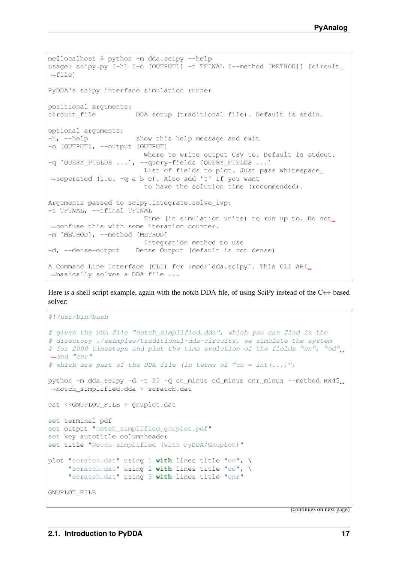```
me@localhost $ python -m dda.scipy --help
usage: scipy.py [-h] [-o [OUTPUT]] -t TFINAL [--method [METHOD]] [circuit_
˓→file]
PyDDA's scipy interface simulation runner
positional arguments:
circuit_file DDA setup (traditional file). Default is stdin.
optional arguments:
-h, --help show this help message and exit
-o [OUTPUT], --output [OUTPUT]
                       Where to write output CSV to. Default is stdout.
-q [QUERY_FIELDS ...], --query-fields [QUERY_FIELDS ...]
                       List of fields to plot. Just pass whitespace.
˓→seperated (i.e. -q a b c). Also add 't' if you want
                       to have the solution time (recommended).
Arguments passed to scipy.integrate.solve_ivp:
-t TFINAL, --tfinal TFINAL
                       Time (in simulation units) to run up to. Do not
˓→confuse this with some iteration counter.
-m [METHOD], --method [METHOD]
                       Integration method to use
-d, --dense-output Dense Output (default is not dense)
A Command Line Interface (CLI) for :mod: dda.scipy · This CLI API
˓→basically solves a DDA file ...
```
Here is a shell script example, again with the notch DDA file, of using SciPy instead of the C++ based solver:

```
#!/usr/bin/bash
# given the DDA file "notch_simplified.dda", which you can find in the
# directory ./examples/traditional-dda-circuits, we simulate the system
# for 2000 timesteps and plot the time evolution of the fields "cn", "cd",
˓→and "cnr"
# which are part of the DDA file (in terms of "cn = int(...)")
python -m dda.scipy -d -t 20 -q cn minus cd minus cnr minus --method RK45.
˓→notch_simplified.dda > scratch.dat
cat <<GNUPLOT_FILE > gnuplot.dat
set terminal pdf
set output "notch_simplified_gnuplot.pdf"
set key autotitle columnheader
set title "Notch simplified (with PyDDA/Gnuplot)"
plot "scratch.dat" using 1 with lines title "cn", \
     "scratch.dat" using 2 with lines title "cd", \
     "scratch.dat" using 3 with lines title "cnr"
GNUPLOT_FILE
```
(continues on next page)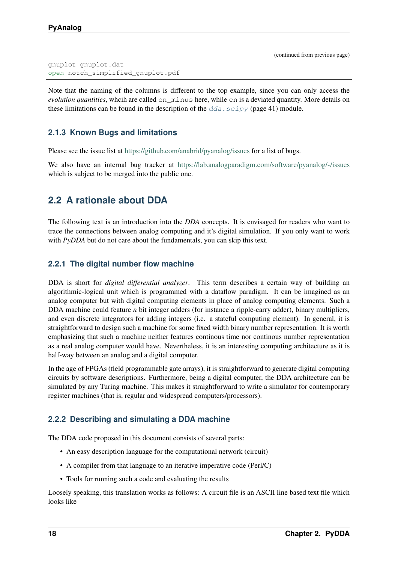```
gnuplot gnuplot.dat
open notch_simplified_gnuplot.pdf
```
Note that the naming of the columns is different to the top example, since you can only access the *evolution quantities*, whcih are called cn\_minus here, while cn is a deviated quantity. More details on these limitations can be found in the description of the  $dda \cdot \text{scipy}$  (page 41) module.

# <span id="page-21-0"></span>**2.1.3 Known Bugs and limitations**

Please see the issue list at <https://github.com/anabrid/pyanalog/issues> for a list of bugs.

We also have an internal bug tracker at <https://lab.analogparadigm.com/software/pyanalog/-/issues> which is subject to be merged into the public one.

# <span id="page-21-1"></span>**2.2 A rationale about DDA**

The following text is an introduction into the *DDA* concepts. It is envisaged for readers who want to trace the connections between analog computing and it's digital simulation. If you only want to work with *PyDDA* but do not care about the fundamentals, you can skip this text.

## <span id="page-21-2"></span>**2.2.1 The digital number flow machine**

DDA is short for *digital differential analyzer*. This term describes a certain way of building an algorithmic-logical unit which is programmed with a dataflow paradigm. It can be imagined as an analog computer but with digital computing elements in place of analog computing elements. Such a DDA machine could feature *n* bit integer adders (for instance a ripple-carry adder), binary multipliers, and even discrete integrators for adding integers (i.e. a stateful computing element). In general, it is straightforward to design such a machine for some fixed width binary number representation. It is worth emphasizing that such a machine neither features continous time nor continous number representation as a real analog computer would have. Nevertheless, it is an interesting computing architecture as it is half-way between an analog and a digital computer.

In the age of FPGAs (field programmable gate arrays), it is straightforward to generate digital computing circuits by software descriptions. Furthermore, being a digital computer, the DDA architecture can be simulated by any Turing machine. This makes it straightforward to write a simulator for contemporary register machines (that is, regular and widespread computers/processors).

## <span id="page-21-3"></span>**2.2.2 Describing and simulating a DDA machine**

The DDA code proposed in this document consists of several parts:

- An easy description language for the computational network (circuit)
- A compiler from that language to an iterative imperative code (Perl/C)
- Tools for running such a code and evaluating the results

Loosely speaking, this translation works as follows: A circuit file is an ASCII line based text file which looks like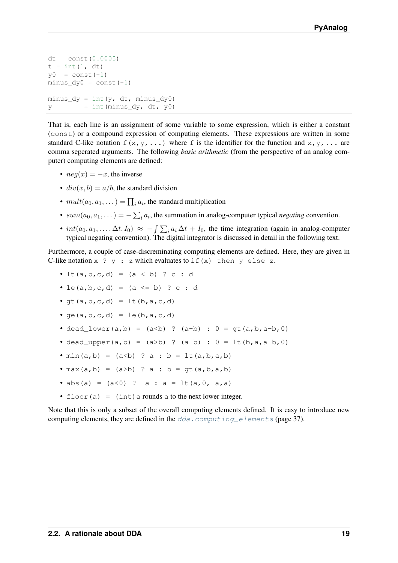```
dt = const(0.0005)t = int(1, dt)y0 = const(-1)minus\_dy0 = const(-1)minus_dy = int(y, dt, minus_dy0)
y = int(minus_dy, dt, y0)
```
That is, each line is an assignment of some variable to some expression, which is either a constant (const) or a compound expression of computing elements. These expressions are written in some standard C-like notation  $f(x,y,\ldots)$  where f is the identifier for the function and  $x, y, \ldots$  are comma seperated arguments. The following *basic arithmetic* (from the perspective of an analog computer) computing elements are defined:

- $neg(x) = -x$ , the inverse
- $div(x, b) = a/b$ , the standard division
- $mult(a_0, a_1, ...) = \prod_i a_i$ , the standard multiplication
- $sum(a_0, a_1, ...) = -\sum_i a_i$ , the summation in analog-computer typical *negating* convention.
- $int(a_0, a_1, \ldots, \Delta t, I_0) \approx -\int \sum_i a_i \Delta t + I_0$ , the time integration (again in analog-computer typical negating convention). The digital integrator is discussed in detail in the following text.

Furthermore, a couple of case-discreminating computing elements are defined. Here, they are given in C-like notation  $x \rightarrow y$ : z which evaluates to if  $(x)$  then y else z.

- lt(a, b, c, d) =  $(a < b)$  ? c : d
- le(a, b, c, d) = (a <= b) ? c : d
- $gt(a,b,c,d) = \text{l}t(b,a,c,d)$
- $qe(a, b, c, d) = le(b, a, c, d)$
- dead\_lower(a,b) = (a<b) ? (a-b) :  $0 = qt(a,b,a-b,0)$
- dead\_upper(a,b) = (a>b) ? (a-b) :  $0 =$  lt(b,a,a-b,0)
- $min(a, b) = (a < b)$  ?  $a : b = \text{lt}(a, b, a, b)$
- max(a,b) =  $(a>b)$  ? a : b =  $qt(a,b,a,b)$
- abs(a) =  $(a < 0)$  ? -a : a =  $lt(a, 0, -a, a)$
- floor(a) =  $(int)$  a rounds a to the next lower integer.

Note that this is only a subset of the overall computing elements defined. It is easy to introduce new computing elements, they are defined in the [dda.computing\\_elements](#page-40-0) (page 37).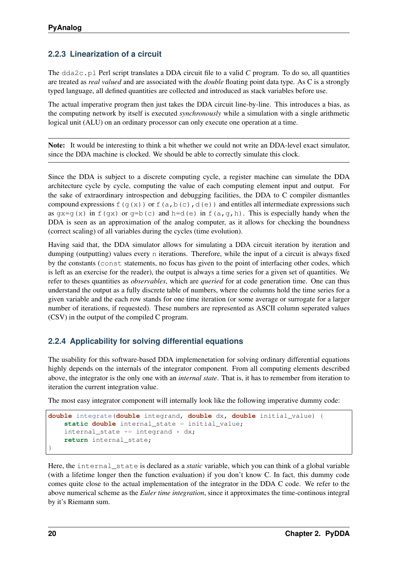# <span id="page-23-0"></span>**2.2.3 Linearization of a circuit**

The dda2c.pl Perl script translates a DDA circuit file to a valid *C* program. To do so, all quantities are treated as *real valued* and are associated with the *double* floating point data type. As C is a strongly typed language, all defined quantities are collected and introduced as stack variables before use.

The actual imperative program then just takes the DDA circuit line-by-line. This introduces a bias, as the computing network by itself is executed *synchronously* while a simulation with a single arithmetic logical unit (ALU) on an ordinary processor can only execute one operation at a time.

Note: It would be interesting to think a bit whether we could not write an DDA-level exact simulator, since the DDA machine is clocked. We should be able to correctly simulate this clock.

Since the DDA is subject to a discrete computing cycle, a register machine can simulate the DDA architecture cycle by cycle, computing the value of each computing element input and output. For the sake of extraordinary introspection and debugging facilities, the DDA to C compiler dismantles compound expressions  $f(g(x))$  or  $f(a,b(c),d(e))$  and entitles all intermediate expressions such as  $qx=q(x)$  in f(qx) or q=b(c) and h=d(e) in f(a,q,h). This is especially handy when the DDA is seen as an approximation of the analog computer, as it allows for checking the boundness (correct scaling) of all variables during the cycles (time evolution).

Having said that, the DDA simulator allows for simulating a DDA circuit iteration by iteration and dumping (outputting) values every n iterations. Therefore, while the input of a circuit is always fixed by the constants (const statements, no focus has given to the point of interfacing other codes, which is left as an exercise for the reader), the output is always a time series for a given set of quantities. We refer to theses quantities as *observables*, which are *queried* for at code generation time. One can thus understand the output as a fully discrete table of numbers, where the columns hold the time series for a given variable and the each row stands for one time iteration (or some average or surrogate for a larger number of iterations, if requested). These numbers are represented as ASCII column seperated values (CSV) in the output of the compiled C program.

## <span id="page-23-1"></span>**2.2.4 Applicability for solving differential equations**

The usability for this software-based DDA implemenetation for solving ordinary differential equations highly depends on the internals of the integrator component. From all computing elements described above, the integrator is the only one with an *internal state*. That is, it has to remember from iteration to iteration the current integration value.

The most easy integrator component will internally look like the following imperative dummy code:

```
double integrate(double integrand, double dx, double initial_value) {
   static double internal_state = initial_value;
    internal state += integrand * dx;
   return internal_state;
}
```
Here, the internal\_state is declared as a *static* variable, which you can think of a global variable (with a lifetime longer then the function evaluation) if you don't know C. In fact, this dummy code comes quite close to the actual implementation of the integrator in the DDA C code. We refer to the above numerical scheme as the *Euler time integration*, since it approximates the time-continous integral by it's Riemann sum.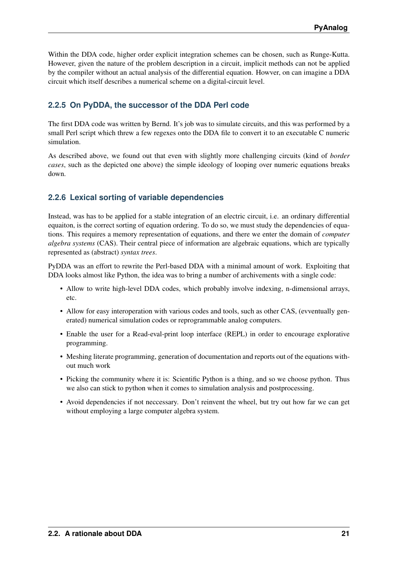Within the DDA code, higher order explicit integration schemes can be chosen, such as Runge-Kutta. However, given the nature of the problem description in a circuit, implicit methods can not be applied by the compiler without an actual analysis of the differential equation. Howver, on can imagine a DDA circuit which itself describes a numerical scheme on a digital-circuit level.

# <span id="page-24-0"></span>**2.2.5 On PyDDA, the successor of the DDA Perl code**

The first DDA code was written by Bernd. It's job was to simulate circuits, and this was performed by a small Perl script which threw a few regexes onto the DDA file to convert it to an executable C numeric simulation.

As described above, we found out that even with slightly more challenging circuits (kind of *border cases*, such as the depicted one above) the simple ideology of looping over numeric equations breaks down.

## <span id="page-24-1"></span>**2.2.6 Lexical sorting of variable dependencies**

Instead, was has to be applied for a stable integration of an electric circuit, i.e. an ordinary differential equaiton, is the correct sorting of equation ordering. To do so, we must study the dependencies of equations. This requires a memory representation of equations, and there we enter the domain of *computer algebra systems* (CAS). Their central piece of information are algebraic equations, which are typically represented as (abstract) *syntax trees*.

PyDDA was an effort to rewrite the Perl-based DDA with a minimal amount of work. Exploiting that DDA looks almost like Python, the idea was to bring a number of archivements with a single code:

- Allow to write high-level DDA codes, which probably involve indexing, n-dimensional arrays, etc.
- Allow for easy interoperation with various codes and tools, such as other CAS, (evventually generated) numerical simulation codes or reprogrammable analog computers.
- Enable the user for a Read-eval-print loop interface (REPL) in order to encourage explorative programming.
- Meshing literate programming, generation of documentation and reports out of the equations without much work
- Picking the community where it is: Scientific Python is a thing, and so we choose python. Thus we also can stick to python when it comes to simulation analysis and postprocessing.
- Avoid dependencies if not neccessary. Don't reinvent the wheel, but try out how far we can get without employing a large computer algebra system.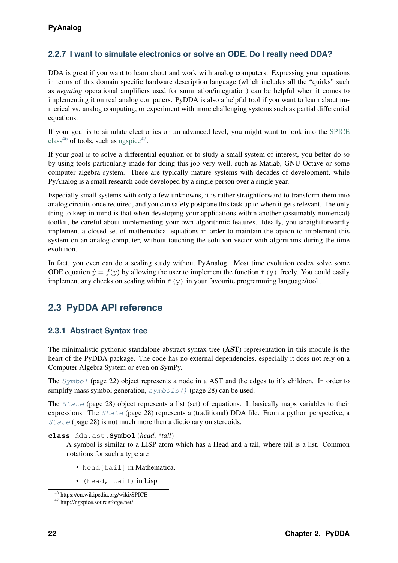# <span id="page-25-0"></span>**2.2.7 I want to simulate electronics or solve an ODE. Do I really need DDA?**

DDA is great if you want to learn about and work with analog computers. Expressing your equations in terms of this domain specific hardware description language (which includes all the "quirks" such as *negating* operational amplifiers used for summation/integration) can be helpful when it comes to implementing it on real analog computers. PyDDA is also a helpful tool if you want to learn about numerical vs. analog computing, or experiment with more challenging systems such as partial differential equations.

If your goal is to simulate electronics on an advanced level, you might want to look into the [SPICE](https://en.wikipedia.org/wiki/SPICE) [class](https://en.wikipedia.org/wiki/SPICE)<sup>[46](#page-25-3)</sup> of tools, such as [ngspice](http://ngspice.sourceforge.net/)<sup>[47](#page-25-4)</sup>.

If your goal is to solve a differential equation or to study a small system of interest, you better do so by using tools particularly made for doing this job very well, such as Matlab, GNU Octave or some computer algebra system. These are typically mature systems with decades of development, while PyAnalog is a small research code developed by a single person over a single year.

Especially small systems with only a few unknowns, it is rather straightforward to transform them into analog circuits once required, and you can safely postpone this task up to when it gets relevant. The only thing to keep in mind is that when developing your applications within another (assumably numerical) toolkit, be careful about implementing your own algorithmic features. Ideally, you straightforwardly implement a closed set of mathematical equations in order to maintain the option to implement this system on an analog computer, without touching the solution vector with algorithms during the time evolution.

In fact, you even can do a scaling study without PyAnalog. Most time evolution codes solve some ODE equation  $\dot{y} = f(y)$  by allowing the user to implement the function  $f(y)$  freely. You could easily implement any checks on scaling within  $f(y)$  in your favourite programming language/tool.

# <span id="page-25-1"></span>**2.3 PyDDA API reference**

## <span id="page-25-2"></span>**2.3.1 Abstract Syntax tree**

The minimalistic pythonic standalone abstract syntax tree (AST) representation in this module is the heart of the PyDDA package. The code has no external dependencies, especially it does not rely on a Computer Algebra System or even on SymPy.

The [Symbol](#page-25-5) (page 22) object represents a node in a AST and the edges to it's children. In order to simplify mass symbol generation,  $symbolls()$  (page 28) can be used.

The [State](#page-31-1) (page 28) object represents a list (set) of equations. It basically maps variables to their expressions. The [State](#page-31-1) (page 28) represents a (traditional) DDA file. From a python perspective, a [State](#page-31-1) (page 28) is not much more then a dictionary on stereoids.

#### <span id="page-25-5"></span>**class** dda.ast.**Symbol**(*head*, *\*tail*)

A symbol is similar to a LISP atom which has a Head and a tail, where tail is a list. Common notations for such a type are

- head [tail] in Mathematica,
- (head, tail) in Lisp

<span id="page-25-3"></span><sup>46</sup> https://en.wikipedia.org/wiki/SPICE

<span id="page-25-4"></span><sup>47</sup> http://ngspice.sourceforge.net/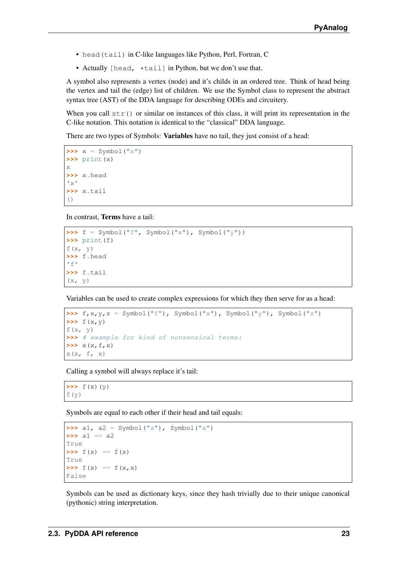- head (tail) in C-like languages like Python, Perl, Fortran, C
- Actually [head, \*tail] in Python, but we don't use that.

A symbol also represents a vertex (node) and it's childs in an ordered tree. Think of head being the vertex and tail the (edge) list of children. We use the Symbol class to represent the abstract syntax tree (AST) of the DDA language for describing ODEs and circuitery.

When you call  $str()$  or similar on instances of this class, it will print its representation in the C-like notation. This notation is identical to the "classical" DDA language.

There are two types of Symbols: **Variables** have no tail, they just consist of a head:

```
\Rightarrow \times = Symbol("\times")
>>> print(x)
x
>>> x.head
'x'
>>> x.tail
()
```
In contrast, Terms have a tail:

```
>>> f = Symbol("f", Symbol("x"), Symbol("y"))
>>> print(f)
f(\mathtt{x}, \ \mathtt{y})>>> f.head
r \in I>>> f.tail
(x, y)
```
Variables can be used to create complex expressions for which they then serve for as a head:

```
\Rightarrow f, x, y, z = Symbol("f"), Symbol("x"), Symbol("y"), Symbol("z")
\Rightarrow f(x,y)
f(x, y)>>> # example for kind of nonsensical terms:
>>> x(x,f,x)
X(X, f, x)
```
Calling a symbol will always replace it's tail:

 $\Rightarrow$   $f(x)(y)$ f(y)

Symbols are equal to each other if their head and tail equals:

```
>>> a1, a2 = Symbol("a"), Symbol("a")
\Rightarrow a1 == a2
True
\Rightarrow f(x) == f(x)True
\Rightarrow f(x) == f(x, x)False
```
Symbols can be used as dictionary keys, since they hash trivially due to their unique canonical (pythonic) string interpretation.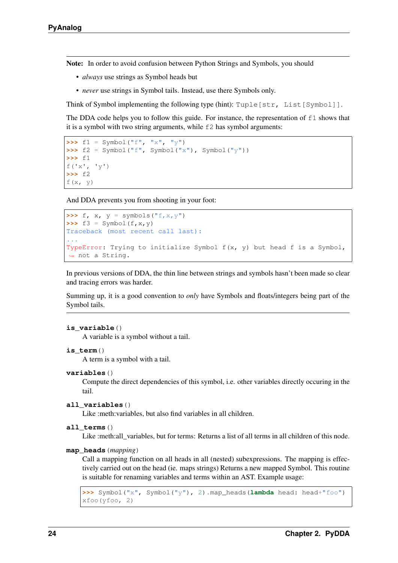Note: In order to avoid confusion between Python Strings and Symbols, you should

- *always* use strings as Symbol heads but
- *never* use strings in Symbol tails. Instead, use there Symbols only.

Think of Symbol implementing the following type (hint): Tuple [str, List [Symbol]].

The DDA code helps you to follow this guide. For instance, the representation of f1 shows that it is a symbol with two string arguments, while  $E2$  has symbol arguments:

```
\Rightarrow f1 = Symbol("f", "x", "y")
>>> f2 = Symbol("f", Symbol("x"), Symbol("y"))
>>> f1
f('x', 'y')
>>> f2
f(x, y)
```
And DDA prevents you from shooting in your foot:

```
\Rightarrow f, x, y = symbols("f, x, y")
\Rightarrow f3 = Symbol(f, x, y)
Traceback (most recent call last):
...
TypeError: Trying to initialize Symbol f(x, y) but head f is a Symbol,
˓→ not a String.
```
In previous versions of DDA, the thin line between strings and symbols hasn't been made so clear and tracing errors was harder.

Summing up, it is a good convention to *only* have Symbols and floats/integers being part of the Symbol tails.

#### **is\_variable**()

A variable is a symbol without a tail.

**is\_term**()

A term is a symbol with a tail.

```
variables()
```
Compute the direct dependencies of this symbol, i.e. other variables directly occuring in the tail.

```
all_variables()
```
Like :meth:variables, but also find variables in all children.

#### **all\_terms**()

Like :meth:all\_variables, but for terms: Returns a list of all terms in all children of this node.

#### <span id="page-27-0"></span>**map\_heads**(*mapping*)

Call a mapping function on all heads in all (nested) subexpressions. The mapping is effectively carried out on the head (ie. maps strings) Returns a new mapped Symbol. This routine is suitable for renaming variables and terms within an AST. Example usage:

```
>>> Symbol("x", Symbol("y"), 2).map_heads(lambda head: head+"foo")
xfoo(yfoo, 2)
```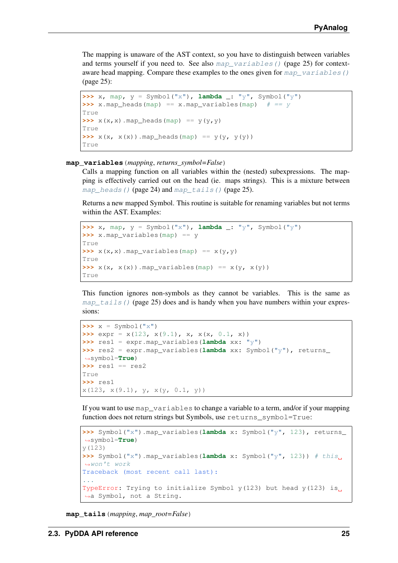The mapping is unaware of the AST context, so you have to distinguish between variables and terms yourself if you need to. See also map variables () (page 25) for contextaware head mapping. Compare these examples to the ones given for  $map\$  variables() (page 25):

```
\Rightarrow x, map, y = Symbol("x"), lambda _: "y", Symbol("y")
\Rightarrow x.map_heads(map) == x.map_variables(map) # == yTrue
\Rightarrow \frac{x(x, x) \cdot \text{map}_{\text{heads}}(\text{map}) \cdot \text{map}_{\text{false}}(\text{y}, \text{y})}{}True
\Rightarrow x(x, x(x)). map heads(map) == y(y, y(y))
True
```
#### <span id="page-28-0"></span>**map\_variables**(*mapping*, *returns\_symbol=False*)

Calls a mapping function on all variables within the (nested) subexpressions. The mapping is effectively carried out on the head (ie. maps strings). This is a mixture between [map\\_heads\(\)](#page-27-0) (page 24) and [map\\_tails\(\)](#page-28-1) (page 25).

Returns a new mapped Symbol. This routine is suitable for renaming variables but not terms within the AST. Examples:

```
\Rightarrow x, map, y = Symbol("x"), lambda \therefore "y", Symbol("y")
>>> x.map_variables(map) == y
True
\Rightarrow x(x, x). map_variables(map) == x(y, y)True
\Rightarrow x(x, x(x)). map_variables(map) == x(y, x(y))True
```
This function ignores non-symbols as they cannot be variables. This is the same as map  $tails()$  (page 25) does and is handy when you have numbers within your expressions:

```
\Rightarrow x = Symbol("x")
\Rightarrow \Rightarrow expr = x(123, x(9.1), x, x(x, 0.1, x))>>> res1 = expr.map_variables(lambda xx: "y")
>>> res2 = expr.map_variables(lambda xx: Symbol("y"), returns_
˓→symbol=True)
>>> res1 == res2
True
>>> res1
x(123, x(9.1), y, x(y, 0.1, y))
```
If you want to use map variables to change a variable to a term, and/or if your mapping function does not return strings but Symbols, use returns\_symbol=True:

```
>>> Symbol("x").map_variables(lambda x: Symbol("y", 123), returns_
˓→symbol=True)
y(123)
>>> Symbol("x").map variables(lambda x: Symbol("y", 123)) # this.
˓→won't work
Traceback (most recent call last):
...
TypeError: Trying to initialize Symbol y(123) but head y(123) is
˓→a Symbol, not a String.
```
<span id="page-28-1"></span>**map\_tails**(*mapping*, *map\_root=False*)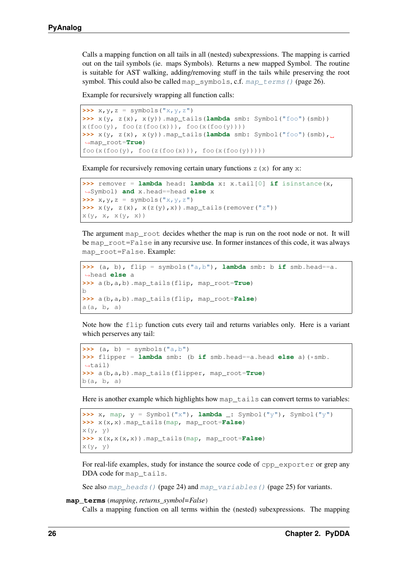Calls a mapping function on all tails in all (nested) subexpressions. The mapping is carried out on the tail symbols (ie. maps Symbols). Returns a new mapped Symbol. The routine is suitable for AST walking, adding/removing stuff in the tails while preserving the root symbol. This could also be called map\_symbols, c.f.  $map\_terms$  () (page 26).

Example for recursively wrapping all function calls:

```
\Rightarrow x, y, z = symbols("x, y, z")
>>> x(y, z(x), x(y)).map_tails(lambda smb: Symbol("foo")(smb))
x(foo(y), foo(z(foo(x)))), foo(x(foo(y))))\Rightarrow x(y, z(x), x(y)).map_tails(lambda smb: Symbol("foo")(smb),.
˓→map_root=True)
foo(x(foo(y), foo(z(foo(x))), foo(x(foo(y)))))
```
Example for recursively removing certain unary functions  $z(x)$  for any  $x$ :

```
>>> remover = lambda head: lambda x: x.tail[0] if isinstance(x,
˓→Symbol) and x.head==head else x
\Rightarrow x, y, z = symbols("x, y, z")
\Rightarrow x(y, z(x), x(z(y), x)).map_tails(remover("z"))
x(y, x, x(y, x))
```
The argument map\_root decides whether the map is run on the root node or not. It will be map\_root=False in any recursive use. In former instances of this code, it was always map\_root=False. Example:

```
>>> (a, b), flip = symbols("a,b"), lambda smb: b if smb.head==a.
˓→head else a
>>> a(b,a,b).map_tails(flip, map_root=True)
b
>>> a(b,a,b).map_tails(flip, map_root=False)
a(a, b, a)
```
Note how the flip function cuts every tail and returns variables only. Here is a variant which perserves any tail:

```
\Rightarrow (a, b) = symbols("a, b")
>>> flipper = lambda smb: (b if smb.head==a.head else a)(*smb.
˓→tail)
>>> a(b,a,b).map_tails(flipper, map_root=True)
b(a, b, a)
```
Here is another example which highlights how map  $\tau$  tails can convert terms to variables:

```
>>> x, map, y = Symbol("x"), lambda _: Symbol("y"), Symbol("y")
>>> x(x,x).map_tails(map, map_root=False)
x(y, y)>>> x(x,x(x,x)).map_tails(map, map_root=False)
x(y, y)
```
For real-life examples, study for instance the source code of cpp\_exporter or grep any DDA code for map tails.

See also [map\\_heads\(\)](#page-27-0) (page 24) and [map\\_variables\(\)](#page-28-0) (page 25) for variants.

#### <span id="page-29-0"></span>**map\_terms**(*mapping*, *returns\_symbol=False*)

Calls a mapping function on all terms within the (nested) subexpressions. The mapping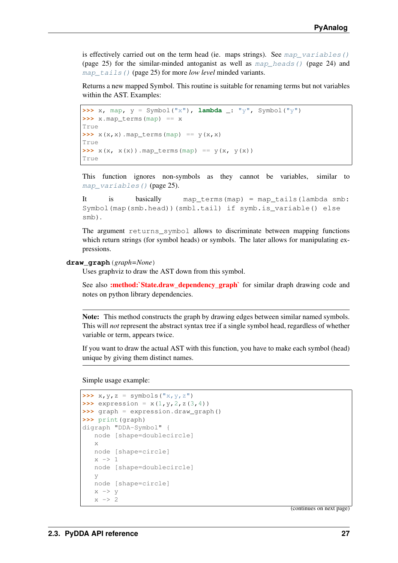is effectively carried out on the term head (ie. maps strings). See map variables() (page 25) for the similar-minded antoganist as well as  $map$  heads() (page 24) and map tails() (page 25) for more *low level* minded variants.

Returns a new mapped Symbol. This routine is suitable for renaming terms but not variables within the AST. Examples:

```
\Rightarrow x, map, y = Symbol("x"), lambda : "y", Symbol("y")
>>> x.map_terms(map) == x
True
\Rightarrow \frac{x(x, x)}{x^2 + y^2} \Rightarrow \frac{x(x, x)}{x^2}True
\Rightarrow x(x, x(x)).map_terms(map) == y(x, y(x))
True
```
This function ignores non-symbols as they cannot be variables, similar to [map\\_variables\(\)](#page-28-0) (page 25).

```
It is basically map_terms(map) = map_tails(lambda smb:
Symbol(map(smb.head))(smbl.tail) if symb.is_variable() else
smb).
```
The argument returns symbol allows to discriminate between mapping functions which return strings (for symbol heads) or symbols. The later allows for manipulating expressions.

#### **draw\_graph**(*graph=None*)

Uses graphviz to draw the AST down from this symbol.

See also :method:`State.draw\_dependency\_graph` for similar draph drawing code and notes on python library dependencies.

Note: This method constructs the graph by drawing edges between similar named symbols. This will *not* represent the abstract syntax tree if a single symbol head, regardless of whether variable or term, appears twice.

If you want to draw the actual AST with this function, you have to make each symbol (head) unique by giving them distinct names.

Simple usage example:

```
\Rightarrow x, y, z = symbols("x, y, z")
>>> expression = x(1, y, 2, z(3, 4))>>> graph = expression.draw_graph()
>>> print(graph)
digraph "DDA-Symbol" {
   node [shape=doublecircle]
   x
   node [shape=circle]
   x \rightarrow 1node [shape=doublecircle]
   y
   node [shape=circle]
   x \rightarrow yx \rightarrow 2
```
(continues on next page)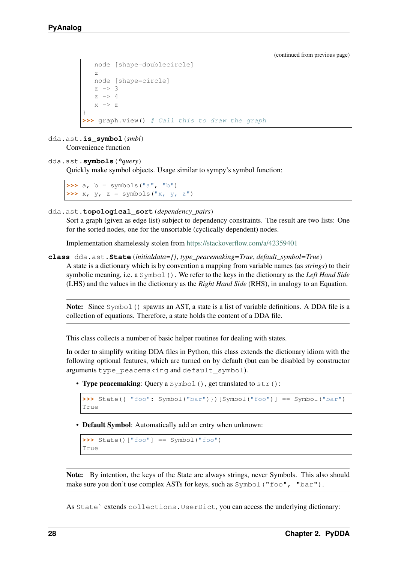```
node [shape=doublecircle]
   z
   node [shape=circle]
   z \rightarrow 3z \rightarrow 4x \rightarrow z}
>>> graph.view() # Call this to draw the graph
```
dda.ast.**is\_symbol**(*smbl*) Convenience function

<span id="page-31-0"></span>dda.ast.**symbols**(*\*query*)

Quickly make symbol objects. Usage similar to sympy's symbol function:

 $\Rightarrow$  a,  $b =$  symbols("a", "b")  $\Rightarrow$  **x**,  $\gamma$ ,  $z =$  symbols("x,  $\gamma$ ,  $z$ ")

<span id="page-31-2"></span>dda.ast.**topological\_sort**(*dependency\_pairs*)

Sort a graph (given as edge list) subject to dependency constraints. The result are two lists: One for the sorted nodes, one for the unsortable (cyclically dependent) nodes.

Implementation shamelessly stolen from <https://stackoverflow.com/a/42359401>

<span id="page-31-1"></span>**class** dda.ast.**State**(*initialdata={}*, *type\_peacemaking=True*, *default\_symbol=True*)

A state is a dictionary which is by convention a mapping from variable names (as *strings*) to their symbolic meaning, i.e. a Symbol(). We refer to the keys in the dictionary as the *Left Hand Side* (LHS) and the values in the dictionary as the *Right Hand Side* (RHS), in analogy to an Equation.

Note: Since Symbol() spawns an AST, a state is a list of variable definitions. A DDA file is a collection of equations. Therefore, a state holds the content of a DDA file.

This class collects a number of basic helper routines for dealing with states.

In order to simplify writing DDA files in Python, this class extends the dictionary idiom with the following optional features, which are turned on by default (but can be disabled by constructor arguments type\_peacemaking and default\_symbol).

• Type peacemaking: Query a Symbol (), get translated to str():

```
>>> State({ "foo": Symbol("bar")})[Symbol("foo")] == Symbol("bar")
True
```
• Default Symbol: Automatically add an entry when unknown:

```
>>> State()["foo"] == Symbol("foo")
True
```
Note: By intention, the keys of the State are always strings, never Symbols. This also should make sure you don't use complex ASTs for keys, such as  $Symbol("foo", "bar")$ .

As State` extends collections.UserDict, you can access the underlying dictionary: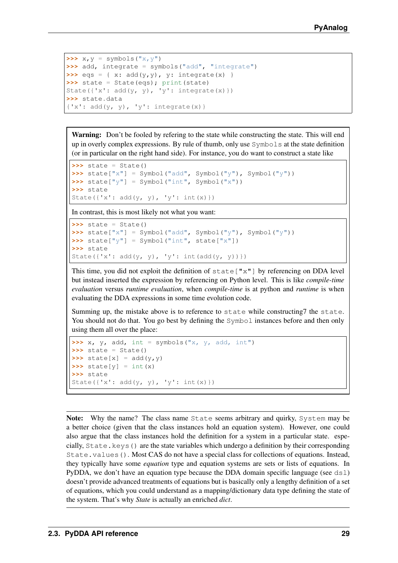```
\Rightarrow x, y = symbols("x, y")
>>> add, integrate = symbols("add", "integrate")
\Rightarrow \Rightarrow eqs = { x: add(y,y), y: integrate(x) }
>>> state = State(eqs); print(state)
State({'x': add(y, y), 'y': integrate(x)})
>>> state.data
{'x': add(y, y), 'y': integrate(x)}
```
Warning: Don't be fooled by refering to the state while constructing the state. This will end up in overly complex expressions. By rule of thumb, only use Symbols at the state definition (or in particular on the right hand side). For instance, you do want to construct a state like

```
\Rightarrow \Rightarrow state = State()
>>> state["x"] = Symbol("add", Symbol("y"), Symbol("y"))
\Rightarrow state["y"] = Symbol("int", Symbol("x"))
>>> state
State({'x': add(y, y), 'y': int(x)})
```
In contrast, this is most likely not what you want:

```
\rightarrow\rightarrow state = State()
>>> state["x"] = Symbol("add", Symbol("y"), Symbol("y"))
>>> state["y"] = Symbol("int", state["x"])
>>> state
State({'x': add(y, y), 'y': int(add(y, y))})
```
This time, you did not exploit the definition of  $state['x"]$  by referencing on DDA level but instead inserted the expression by referencing on Python level. This is like *compile-time evaluation* versus *runtime evaluation*, when *compile-time* is at python and *runtime* is when evaluating the DDA expressions in some time evolution code.

Summing up, the mistake above is to reference to state while constructing7 the state. You should not do that. You go best by defining the Symbol instances before and then only using them all over the place:

```
\Rightarrow x, y, add, int = symbols("x, y, add, int")
\rightarrow\rightarrow state = State()
\Rightarrow \Rightarrow \text{state}[x] = \text{add}(y, y)\Rightarrow \Rightarrow \text{state}[y] = \text{int}(x)>>> state
State({'x': add(y, y, 'y': int(x)})
```
Note: Why the name? The class name State seems arbitrary and quirky, System may be a better choice (given that the class instances hold an equation system). However, one could also argue that the class instances hold the definition for a system in a particular state. especially, State.keys() are the state variables which undergo a definition by their corresponding State.values(). Most CAS do not have a special class for collections of equations. Instead, they typically have some *equation* type and equation systems are sets or lists of equations. In PyDDA, we don't have an equation type because the DDA domain specific language (see  $ds1$ ) doesn't provide advanced treatments of equations but is basically only a lengthy definition of a set of equations, which you could understand as a mapping/dictionary data type defining the state of the system. That's why *State* is actually an enriched *dict*.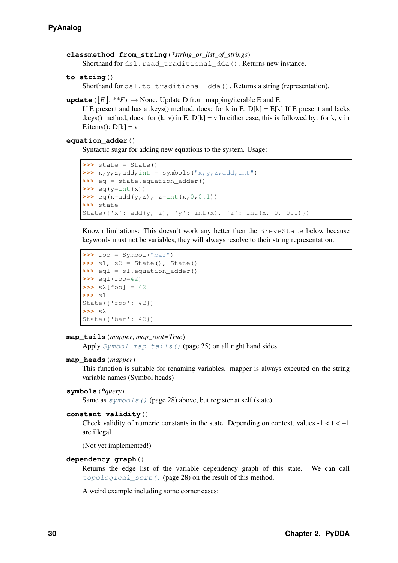```
classmethod from_string(*string_or_list_of_strings)
```
Shorthand for dsl.read traditional dda(). Returns new instance.

```
to_string()
```
Shorthand for dsl.to\_traditional\_dda(). Returns a string (representation).

```
update (|E|, **F) \rightarrow None. Update D from mapping/iterable E and F.
```
If E present and has a .keys() method, does: for k in E:  $D[k] = E[k]$  If E present and lacks .keys() method, does: for (k, v) in E:  $D[k] = v$  In either case, this is followed by: for k, v in F.items():  $D[k] = v$ 

#### **equation\_adder**()

Syntactic sugar for adding new equations to the system. Usage:

```
\Rightarrow \Rightarrow state = State()
\Rightarrow x, y, z, \text{add}, \text{int} = \text{symbol}(x, y, z, \text{add}, \text{int})).>>> eq = state.equation_adder()
\rightarrow \rightarrow eq(y=int(x))
>>> eq(x=add(y,z), z=int(x, 0, 0.1))
>>> state
State({'x': add(y, z), 'y': int(x), 'z': int(x, 0, 0.1)})
```
Known limitations: This doesn't work any better then the BreveState below because keywords must not be variables, they will always resolve to their string representation.

```
>>> foo = Symbol("bar")
>>> s1, s2 = State(), State()
>>> eq1 = s1.equation_adder()
>>> eq1(foo=42)
>>> s2[foo] = 42
>>> s1
State({'foo': 42})
>>> s2
State({'bar': 42})
```
#### **map\_tails**(*mapper*, *map\_root=True*)

Apply  $Symbol$ . map\_tails() (page 25) on all right hand sides.

#### **map\_heads**(*mapper*)

This function is suitable for renaming variables. mapper is always executed on the string variable names (Symbol heads)

#### **symbols**(*\*query*)

Same as  $symbols()$  (page 28) above, but register at self (state)

#### **constant\_validity**()

Check validity of numeric constants in the state. Depending on context, values  $-1 < t < +1$ are illegal.

(Not yet implemented!)

#### <span id="page-33-0"></span>**dependency\_graph**()

Returns the edge list of the variable dependency graph of this state. We can call [topological\\_sort\(\)](#page-31-2) (page 28) on the result of this method.

A weird example including some corner cases: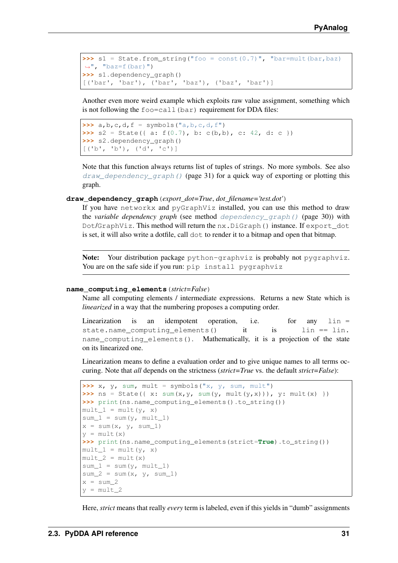```
>>> s1 = State.from_string("foo = const(0.7)", "bar=mult(bar,baz)
\leftrightarrow", "baz=f(bar)")
>>> s1.dependency_graph()
[('bar', 'bar'), ('bar', 'baz'), ('baz', 'bar')]
```
Another even more weird example which exploits raw value assignment, something which is not following the  $f \circ \circ = \text{call}(\text{bar})$  requirement for DDA files:

```
\Rightarrow a, b, c, d, f = symbols ("a, b, c, d, f")
\Rightarrow s2 = State({ a: f(0.7), b: c(b,b), c: 42, d: c })
>>> s2.dependency_graph()
[('b', 'b'), ('d', 'c')]
```
Note that this function always returns list of tuples of strings. No more symbols. See also draw dependency graph() (page 31) for a quick way of exporting or plotting this graph.

#### <span id="page-34-0"></span>**draw\_dependency\_graph**(*export\_dot=True*, *dot\_filename='test.dot'*)

If you have networkx and pyGraphViz installed, you can use this method to draw the *variable dependency graph* (see method [dependency\\_graph\(\)](#page-33-0) (page 30)) with Dot/GraphViz. This method will return the nx.DiGraph() instance. If export\_dot is set, it will also write a dotfile, call dot to render it to a bitmap and open that bitmap.

Note: Your distribution package python-graphviz is probably not pygraphviz. You are on the safe side if you run: pip install pygraphviz

#### **name\_computing\_elements**(*strict=False*)

Name all computing elements / intermediate expressions. Returns a new State which is *linearized* in a way that the numbering proposes a computing order.

```
Linearization is an idempotent operation, i.e. for any \ln =state.name_computing_elements() it is lin == lin.
name_computing_elements(). Mathematically, it is a projection of the state
on its linearized one.
```
Linearization means to define a evaluation order and to give unique names to all terms occuring. Note that *all* depends on the strictness (*strict=True* vs. the default *strict=False*):

```
>>> x, y, sum, mult = symbols("x, y, sum, mult")
>>> ns = State({ x: sum(x, y, sum(y, mult(y, x))), y: mult(x) })
>>> print(ns.name_computing_elements().to_string())
mult_1 = mult(y, x)sum_1 = sum(y, mult_1)x = sum(x, y, sum_1)y = mult(x)>>> print(ns.name_computing_elements(strict=True).to_string())
mult_1 = mult(y, x)mult 2 = mult(x)sum_1 = sum(y, mult 1)sum_2 = sum(x, y, sum_1)x = sum_2y = \text{mult} 2
```
Here, *strict* means that really *every* term is labeled, even if this yields in "dumb" assignments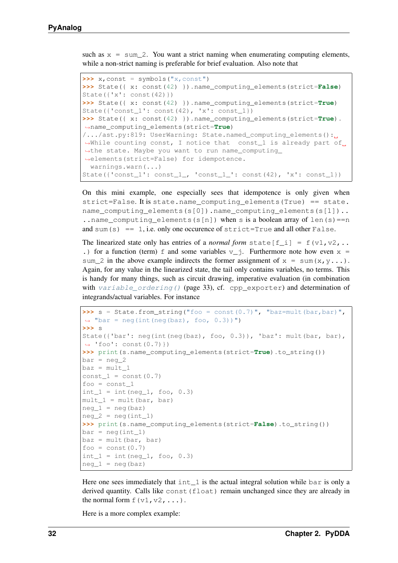such as  $x = \text{sum } 2$ . You want a strict naming when enumerating computing elements, while a non-strict naming is preferable for brief evaluation. Also note that

```
\Rightarrow \Rightarrow x, const = symbols("x, const")>>> State({ x: const(42) }).name_computing_elements(strict=False)
State({'x': const(42)})
>>> State({ x: const(42) }).name_computing_elements(strict=True)
State({'const_1': const(42), 'x': const_1})
>>> State({ x: const(42) }).name_computing_elements(strict=True).
˓→name_computing_elements(strict=True)
/.../ast.py:819: UserWarning: State.named_computing_elements():
→While counting const, I notice that const_1 is already part of.
→the state. Maybe you want to run name_computing_
˓→elements(strict=False) for idempotence.
 warnings.warn(...)
State(\{ 'const\_1': const\_1_, 'const\_1\_': const(42), 'x': const\_1 \})
```
On this mini example, one especially sees that idempotence is only given when strict=False. It is state.name\_computing\_elements(True) == state. name\_computing\_elements(s[0]).name\_computing\_elements(s[1]).. ..name\_computing\_elements(s[n]) when s is a boolean array of len(s)==n and sum(s) == 1, i.e. only one occurence of  $strict=True$  and all other False.

The linearized state only has entries of a *normal form* state  $[f_i] = f(v_1, v_2, ...)$ .) for a function (term) f and some variables  $v_i$ . Furthermore note how even x = sum 2 in the above example indirects the former assignment of  $x = \text{sum}(x, y...).$ Again, for any value in the linearized state, the tail only contains variables, no terms. This is handy for many things, such as circuit drawing, imperative evaluation (in combination with [variable\\_ordering\(\)](#page-36-0) (page 33), cf. cpp\_exporter) and determination of integrands/actual variables. For instance

```
>>> s = State.from_string("foo = const(0.7)", "baz=mult(bar,bar)",
\rightarrow "bar = neg(int(neg(baz), foo, 0.3))")
>>> s
State({'bar': neg(int(neg(baz), foo, 0.3)), 'baz': mult(bar, bar),
\rightarrow 'foo': const(0.7)})
>>> print(s.name_computing_elements(strict=True).to_string())
bar = neg_2\text{baz} = \text{mult}_1const_1 = const(0.7)foo = const_1int 1 = \text{int}(neq 1, foo, 0.3)mult 1 = \text{mult}(\text{bar}, \text{bar})neg_1 = neg(baz)neg_2 = neg(int_1)>>> print(s.name_computing_elements(strict=False).to_string())
bar = neg(int_1)\text{baz} = \text{mult}(\text{bar}, \text{bar})foo = const(0.7)int_1 = int(neg_1, foo, 0.3)neg_1 = neg(baz)
```
Here one sees immediately that  $int 1$  is the actual integral solution while bar is only a derived quantity. Calls like const(float) remain unchanged since they are already in the normal form  $f(v1, v2, \ldots)$ .

Here is a more complex example: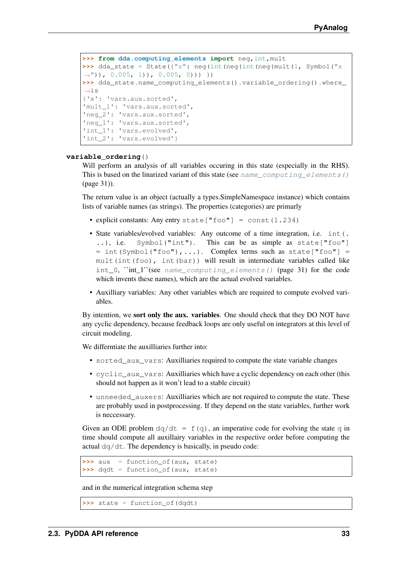```
>>> from dda.computing_elements import neg,int,mult
>>> dda_state = State({"x": neg(int(neg(int(neg(mult(1, Symbol("x))
\rightarrow")), 0.005, 1)), 0.005, 0))) })
>>> dda_state.name_computing_elements().variable_ordering().where_
\leftrightarrow i s{'x': 'vars.aux.sorted',
'mult_1': 'vars.aux.sorted',
'neg_2': 'vars.aux.sorted',
'neg_1': 'vars.aux.sorted',
'int_1': 'vars.evolved',
'int_2': 'vars.evolved'}
```
### **variable\_ordering**()

Will perform an analysis of all variables occuring in this state (especially in the RHS). This is based on the linarized variant of this state (see name computing elements() (page 31)).

The return value is an object (actually a types.SimpleNamespace instance) which contains lists of variable names (as strings). The properties (categories) are primarly

- explicit constants: Any entry state  $["foo"] = const(1.234)$
- State variables/evolved variables: Any outcome of a time integration, i.e. int(. ..), i.e. Symbol("int"). This can be as simple as state["foo"] = int(Symbol("foo"),...). Complex terms such as state["foo"] = mult(int(foo), int(bar)) will result in intermediate variables called like int\_0,  $\text{``int\_l}$ "(see [name\\_computing\\_elements\(\)](#page-34-0) (page 31) for the code which invents these names), which are the actual evolved variables.
- Auxilliary variables: Any other variables which are required to compute evolved variables.

By intention, we **sort only the aux. variables**. One should check that they DO NOT have any cyclic dependency, because feedback loops are only useful on integrators at this level of circuit modeling.

We differntiate the auxilliaries further into:

- sorted\_aux\_vars: Auxilliaries required to compute the state variable changes
- cyclic\_aux\_vars: Auxilliaries which have a cyclic dependency on each other (this should not happen as it won't lead to a stable circuit)
- unneeded\_auxers: Auxilliaries which are not required to compute the state. These are probably used in postprocessing. If they depend on the state variables, further work is neccessary.

Given an ODE problem  $dq/dt = f(q)$ , an imperative code for evolving the state q in time should compute all auxillairy variables in the respective order before computing the actual dq/dt. The dependency is basically, in pseudo code:

```
>>> aux = function_of(aux, state)
>>> dqdt = function_of(aux, state)
```
and in the numerical integration schema step

```
>>> state = function_of(dqdt)
```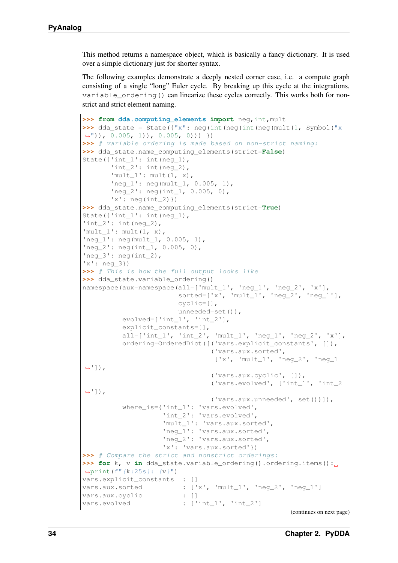This method returns a namespace object, which is basically a fancy dictionary. It is used over a simple dictionary just for shorter syntax.

The following examples demonstrate a deeply nested corner case, i.e. a compute graph consisting of a single "long" Euler cycle. By breaking up this cycle at the integrations, variable\_ordering() can linearize these cycles correctly. This works both for nonstrict and strict element naming.

```
>>> from dda.computing_elements import neg,int,mult
>>> dda_state = State(\{"x": neg(int(neg(int(neg(mult(1, Symbol("x)))
\rightarrow")), 0.005, 1)), 0.005, 0))) })
>>> # variable ordering is made based on non-strict naming:
>>> dda_state.name_computing_elements(strict=False)
State({'int 1': int(neg 1),
       'int_2': int(neq_2),'mult_1': mult(1, x),
       'neg_1': neg(mult_1, 0.005, 1),
       'neg_2': neg(int_1, 0.005, 0),
       'x': neg(int_2)})
>>> dda_state.name_computing_elements(strict=True)
State({'int_1': int(neg_1),
'int_2': int(neq_2),'mult_1': mult(1, x),
'neg_1': neg(mult_1, 0.005, 1),
'neg_2': neg(int_1, 0.005, 0),
'neg_3': neg(int_2),'x': neg_3})
>>> # This is how the full output looks like
>>> dda_state.variable_ordering()
namespace(aux=namespace(all=['mult_1', 'neg_1', 'neg_2', 'x'],
                        sorted=['x', 'mult_1', 'neg_2', 'neg_1'],
                        cyclic=[],
                        unneeded=set()),
          evolved=['int_1', 'int_2'],
          explicit_constants=[],
          all=['int_1', 'int_2', 'mult_1', 'neq_1', 'neq_2', 'x'],
          ordering=OrderedDict([('vars.explicit_constants', []),
                                 ('vars.aux.sorted',
                                  ['x', 'mult_1', 'neg_2', 'neg_1
ightharpoonup']),
                                 ('vars.aux.cyclic', []),
                                 ('vars.evolved', ['int_1', 'int_2
\leftrightarrow']),
                                 ('vars.aux.unneeded', set())]),
          where is={'int 1': 'vars.evolved',
                     'int_2': 'vars.evolved',
                     'mult_1': 'vars.aux.sorted',
                    'neg_1': 'vars.aux.sorted',
                    'neg_2': 'vars.aux.sorted',
                    'x': 'vars.aux.sorted'})
>>> # Compare the strict and nonstrict orderings:
>>> for k, v in dda_state.variable_ordering().ordering.items():
\rightarrowprint(f"{k:25s}: {v}")
vars.explicit_constants : []
vars.aux.sorted : ['x', 'mult_1', 'neg_2', 'neg_1']
vars.aux.cyclic : []
vars.evolved : ['int_1', 'int_2']
```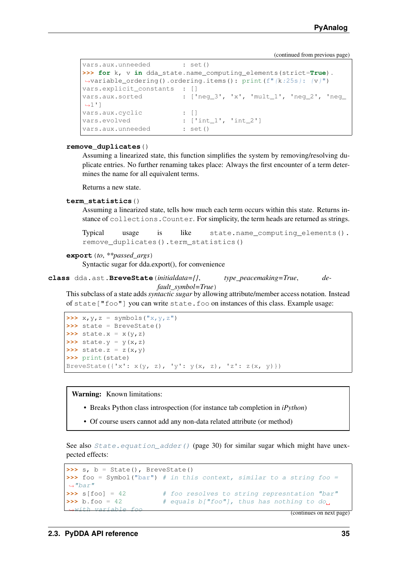```
vars.aux.unneeded : set()
>>> for k, v in dda_state.name_computing_elements(strict=True).
˓→variable_ordering().ordering.items(): print(f"{k:25s}: {v}")
vars.explicit_constants : []
vars.aux.sorted : ['neg_3', 'x', 'mult_1', 'neg_2', 'neg_
\rightarrow1']
vars.aux.cyclic : []
vars.evolved : ['int_1', 'int_2']
vars.aux.unneeded : set()
```
### **remove\_duplicates**()

Assuming a linearized state, this function simplifies the system by removing/resolving duplicate entries. No further renaming takes place: Always the first encounter of a term determines the name for all equivalent terms.

Returns a new state.

### **term\_statistics**()

Assuming a linearized state, tells how much each term occurs within this state. Returns instance of collections.Counter. For simplicity, the term heads are returned as strings.

```
Typical usage is like state.name_computing_elements().
remove_duplicates().term_statistics()
```

```
export(to, **passed_args)
```
Syntactic sugar for dda.export(), for convenience

```
class dda.ast.BreveState(initialdata={}, type_peacemaking=True, de-
```
*fault\_symbol=True*) This subclass of a state adds *syntactic sugar* by allowing attribute/member access notation. Instead of state["foo"] you can write state.foo on instances of this class. Example usage:

```
\Rightarrow x, y, z = symbols("x, y, z")
>>> state = BreveState()
\Rightarrow \Rightarrow \text{state} \cdot x = x(y, z)\Rightarrow \Rightarrow \text{state} \cdot y = y(x, z)\Rightarrow \Rightarrow \text{state} \cdot z = z(x, y)>>> print(state)
BreveState({'x': x(y, z), 'y': y(x, z), 'z': z(x, y) })
```
Warning: Known limitations:

- Breaks Python class introspection (for instance tab completion in *iPython*)
- Of course users cannot add any non-data related attribute (or method)

See also  $State\text{-}equation\_adder$  () (page 30) for similar sugar which might have unexpected effects:

```
\Rightarrow s, b = State(), BreveState()
>>> foo = Symbol("bar") # in this context, similar to a string foo =
ightharpoonup"bar"
>>> s[foo] = 42 # foo resolves to string represntation "bar"
\Rightarrow b.foo = 42 # equals b["foo"], thus has nothing to do.
  with variable foo (continues on next page)
```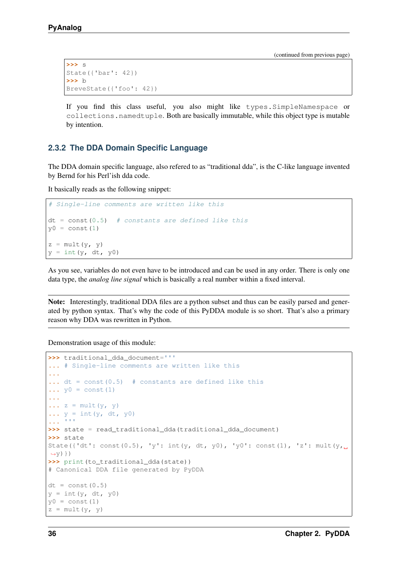```
>>> s
State({'bar': 42})
>>> b
BreveState({'foo': 42})
```
If you find this class useful, you also might like types.SimpleNamespace or collections.namedtuple. Both are basically immutable, while this object type is mutable by intention.

# <span id="page-39-0"></span>**2.3.2 The DDA Domain Specific Language**

The DDA domain specific language, also refered to as "traditional dda", is the C-like language invented by Bernd for his Perl'ish dda code.

It basically reads as the following snippet:

```
# Single-line comments are written like this
dt = const(0.5) # constants are defined like this
y0 = const(1)z = \text{mult}(y, y)y = int(y, dt, y0)
```
As you see, variables do not even have to be introduced and can be used in any order. There is only one data type, the *analog line signal* which is basically a real number within a fixed interval.

Note: Interestingly, traditional DDA files are a python subset and thus can be easily parsed and generated by python syntax. That's why the code of this PyDDA module is so short. That's also a primary reason why DDA was rewritten in Python.

Demonstration usage of this module:

```
>>> traditional_dda_document='''
... # Single-line comments are written like this
...
... dt = const(0.5) # constants are defined like this
\cdots y0 = const (1)
...
\ldots z = mult(y, y)
\ldots y = int(y, dt, y0)
... '''
>>> state = read_traditional_dda(traditional_dda_document)
>>> state
State({'dt': const(0.5), 'y': int(y, dt, y0), 'y0': const(1), 'z': mult(y,
˓→y)})
>>> print(to_traditional_dda(state))
# Canonical DDA file generated by PyDDA
dt = const(0.5)y = int(y, dt, y0)y0 = const(1)z = \text{mult}(y, y)
```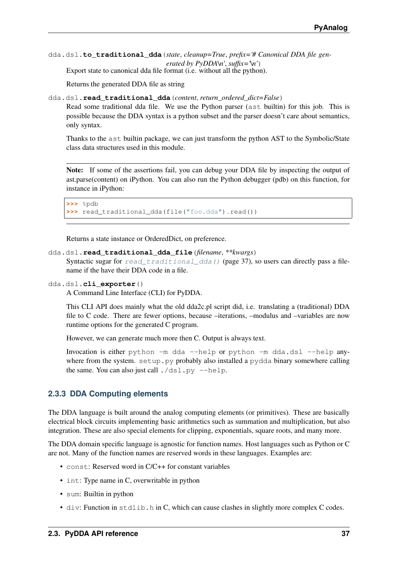```
dda.dsl.to_traditional_dda(state, cleanup=True, prefix='# Canonical DDA file gen-
                                   erated by PvDDA\u', suffix=\u')
```
Export state to canonical dda file format (i.e. without all the python).

Returns the generated DDA file as string

<span id="page-40-0"></span>dda.dsl.**read\_traditional\_dda**(*content*, *return\_ordered\_dict=False*)

Read some traditional dda file. We use the Python parser (ast builtin) for this job. This is possible because the DDA syntax is a python subset and the parser doesn't care about semantics, only syntax.

Thanks to the ast builtin package, we can just transform the python AST to the Symbolic/State class data structures used in this module.

Note: If some of the assertions fail, you can debug your DDA file by inspecting the output of ast.parse(content) on iPython. You can also run the Python debugger (pdb) on this function, for instance in iPython:

```
>>> %pdb
>>> read_traditional_dda(file("foo.dda").read())
```
Returns a state instance or OrderedDict, on preference.

```
dda.dsl.read_traditional_dda_file(filename, **kwargs)
```
Syntactic sugar for [read\\_traditional\\_dda\(\)](#page-40-0) (page 37), so users can directly pass a filename if the have their DDA code in a file.

### dda.dsl.**cli\_exporter**()

A Command Line Interface (CLI) for PyDDA.

This CLI API does mainly what the old dda2c.pl script did, i.e. translating a (traditional) DDA file to C code. There are fewer options, because –iterations, –modulus and –variables are now runtime options for the generated C program.

However, we can generate much more then C. Output is always text.

Invocation is either python -m dda --help or python -m dda.dsl --help anywhere from the system. setup.py probably also installed a pydda binary somewhere calling the same. You can also just call  $./dsl.py$  --help.

## **2.3.3 DDA Computing elements**

The DDA language is built around the analog computing elements (or primitives). These are basically electrical block circuits implementing basic arithmetics such as summation and multiplication, but also integration. These are also special elements for clipping, exponentials, square roots, and many more.

The DDA domain specific language is agnostic for function names. Host languages such as Python or C are not. Many of the function names are reserved words in these languages. Examples are:

- const: Reserved word in C/C++ for constant variables
- int: Type name in C, overwritable in python
- sum: Builtin in python
- div: Function in stdlib.h in C, which can cause clashes in slightly more complex C codes.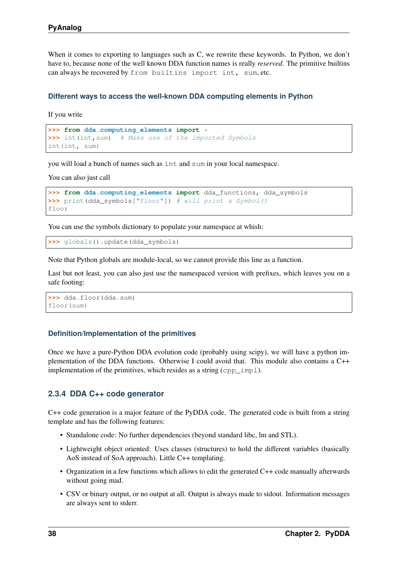When it comes to exporting to languages such as C, we rewrite these keywords. In Python, we don't have to, because none of the well known DDA function names is really *reserved*. The primitive builtins can always be recovered by from builtins import int, sum, etc.

## **Different ways to access the well-known DDA computing elements in Python**

If you write

```
>>> from dda.computing_elements import *
>>> int(int,sum) # Make use of the imported Symbols
int(int, sum)
```
you will load a bunch of names such as int and sum in your local namespace.

You can also just call

```
>>> from dda.computing_elements import dda_functions, dda_symbols
>>> print(dda_symbols["floor"]) # will print a Symbol()
floor
```
You can use the symbols dictionary to populate your namespace at whish:

**>>>** globals().update(dda\_symbols)

Note that Python globals are module-local, so we cannot provide this line as a function.

Last but not least, you can also just use the namespaced version with prefixes, which leaves you on a safe footing:

```
>>> dda.floor(dda.sum)
floor(sum)
```
### **Definition/Implementation of the primitives**

Once we have a pure-Python DDA evolution code (probably using scipy), we will have a python implementation of the DDA functions. Otherwise I could avoid that. This module also contains a C++ implementation of the primitives, which resides as a string (cpp\_impl).

## <span id="page-41-0"></span>**2.3.4 DDA C++ code generator**

C++ code generation is a major feature of the PyDDA code. The generated code is built from a string template and has the following features:

- Standalone code: No further dependencies (beyond standard libc, lm and STL).
- Lightweight object oriented: Uses classes (structures) to hold the different variables (basically AoS instead of SoA approach). Little C++ templating.
- Organization in a few functions which allows to edit the generated C++ code manually afterwards without going mad.
- CSV or binary output, or no output at all. Output is always made to stdout. Information messages are always sent to stderr.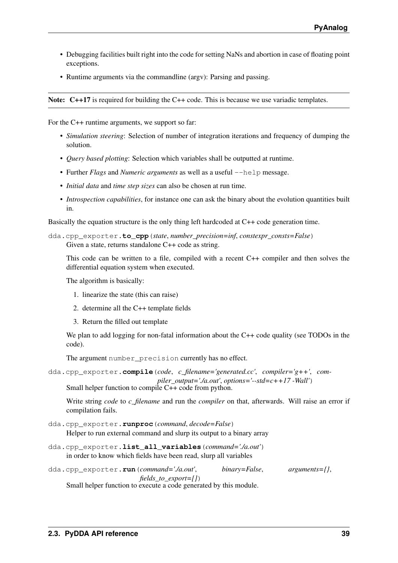- Debugging facilities built right into the code for setting NaNs and abortion in case of floating point exceptions.
- Runtime arguments via the commandline (argv): Parsing and passing.

Note: C++17 is required for building the C++ code. This is because we use variadic templates.

For the C++ runtime arguments, we support so far:

- *Simulation steering*: Selection of number of integration iterations and frequency of dumping the solution.
- *Query based plotting*: Selection which variables shall be outputted at runtime.
- Further *Flags* and *Numeric arguments* as well as a useful  $-\text{help message}$ .
- *Initial data* and *time step sizes* can also be chosen at run time.
- *Introspection capabilities*, for instance one can ask the binary about the evolution quantities built in.

Basically the equation structure is the only thing left hardcoded at C++ code generation time.

```
dda.cpp_exporter.to_cpp(state, number_precision=inf, constexpr_consts=False)
     Given a state, returns standalone C++ code as string.
```
This code can be written to a file, compiled with a recent C++ compiler and then solves the differential equation system when executed.

The algorithm is basically:

- 1. linearize the state (this can raise)
- 2. determine all the C++ template fields
- 3. Return the filled out template

We plan to add logging for non-fatal information about the C++ code quality (see TODOs in the code).

The argument number\_precision currently has no effect.

```
dda.cpp_exporter.compile(code, c_filename='generated.cc', compiler='g++', com-
                                  piler\ output='./a.out', options=' - std = c++17 -Wall')
     Small helper function to compile C++ code from python.
```
Write string *code* to *c\_filename* and run the *compiler* on that, afterwards. Will raise an error if compilation fails.

- dda.cpp\_exporter.**runproc**(*command*, *decode=False*) Helper to run external command and slurp its output to a binary array
- <span id="page-42-0"></span>dda.cpp\_exporter.**list\_all\_variables**(*command='./a.out'*) in order to know which fields have been read, slurp all variables

```
dda.cpp_exporter.run(command='./a.out', binary=False, arguments={},
```
*fields\_to\_export=[]*)

Small helper function to execute a code generated by this module.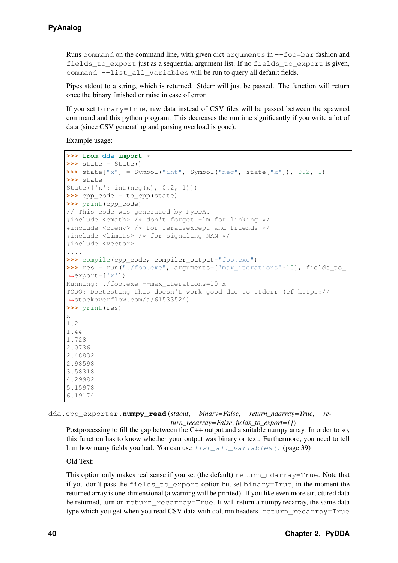Runs command on the command line, with given dict arguments in  $-$ foo=bar fashion and fields to export just as a sequential argument list. If no fields to export is given, command --list all variables will be run to query all default fields.

Pipes stdout to a string, which is returned. Stderr will just be passed. The function will return once the binary finished or raise in case of error.

If you set binary=True, raw data instead of CSV files will be passed between the spawned command and this python program. This decreases the runtime significantly if you write a lot of data (since CSV generating and parsing overload is gone).

Example usage:

```
>>> from dda import *
>>> state = State()
>>> state["x"] = Symbol("int", Symbol("neg", state["x"]), 0.2, 1)
>>> state
State({'x': int(neg(x), 0.2, 1)})
>>> cpp_code = to_cpp(state)
>>> print(cpp_code)
// This code was generated by PyDDA.
#include <cmath> /* don't forget -lm for linking */
#include <cfenv> /* for feraisexcept and friends */
#include <limits> /* for signaling NAN */
#include <vector>
....
>>> compile(cpp_code, compiler_output="foo.exe")
>>> res = run("./foo.exe", arguments={'max_iterations':10}, fields_to_
˓→export=['x'])
Running: ./foo.exe --max_iterations=10 x
TODO: Doctesting this doesn't work good due to stderr (cf https://
˓→stackoverflow.com/a/61533524)
>>> print(res)
x
1.2
1.44
1.728
2.0736
2.48832
2.98598
3.58318
4.29982
5.15978
6.19174
```
dda.cpp\_exporter.**numpy\_read**(*stdout*, *binary=False*, *return\_ndarray=True*, *return\_recarray=False*, *fields\_to\_export=[]*)

Postprocessing to fill the gap between the C++ output and a suitable numpy array. In order to so, this function has to know whether your output was binary or text. Furthermore, you need to tell him how many fields you had. You can use  $list$  all variables () (page 39)

Old Text:

This option only makes real sense if you set (the default) return\_ndarray=True. Note that if you don't pass the fields\_to\_export option but set binary=True, in the moment the returned array is one-dimensional (a warning will be printed). If you like even more structured data be returned, turn on return recarray=True. It will return a numpy.recarray, the same data type which you get when you read CSV data with column headers. return\_recarray=True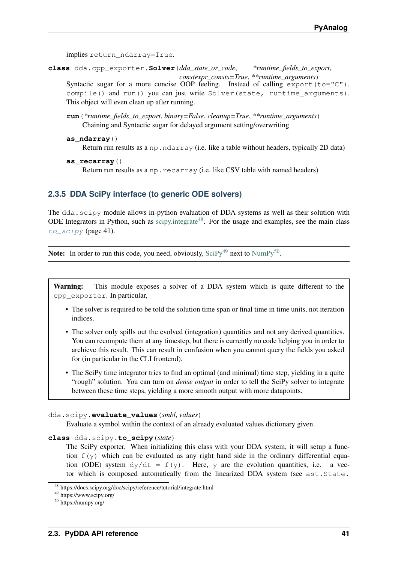implies return\_ndarray=True.

**class** dda.cpp\_exporter.**Solver**(*dda\_state\_or\_code*, *\*runtime\_fields\_to\_export*,

*constexpr\_consts=True*, *\*\*runtime\_arguments*) Syntactic sugar for a more concise OOP feeling. Instead of calling export (to="C"), compile() and run() you can just write Solver(state, runtime arguments). This object will even clean up after running.

- **run**(*\*runtime\_fields\_to\_export*, *binary=False*, *cleanup=True*, *\*\*runtime\_arguments*) Chaining and Syntactic sugar for delayed argument setting/overwriting
- **as\_ndarray**()

Return run results as a np.ndarray (i.e. like a table without headers, typically 2D data)

**as\_recarray**()

Return run results as a np.recarray (i.e. like CSV table with named headers)

# <span id="page-44-4"></span>**2.3.5 DDA SciPy interface (to generic ODE solvers)**

The dda.scipy module allows in-python evaluation of DDA systems as well as their solution with ODE Integrators in Python, such as [scipy.integrate](https://docs.scipy.org/doc/scipy/reference/tutorial/integrate.html)<sup>[48](#page-44-0)</sup>. For the usage and examples, see the main class to scipy (page 41).

**Note:** In order to run this code, you need, obviously,  $\text{SciPy}^{49}$  $\text{SciPy}^{49}$  $\text{SciPy}^{49}$  $\text{SciPy}^{49}$  $\text{SciPy}^{49}$  next to  $\text{NumPy}^{50}$  $\text{NumPy}^{50}$  $\text{NumPy}^{50}$  $\text{NumPy}^{50}$  $\text{NumPy}^{50}$ .

Warning: This module exposes a solver of a DDA system which is quite different to the cpp\_exporter. In particular,

- The solver is required to be told the solution time span or final time in time units, not iteration indices.
- The solver only spills out the evolved (integration) quantities and not any derived quantities. You can recompute them at any timestep, but there is currently no code helping you in order to archieve this result. This can result in confusion when you cannot query the fields you asked for (in particular in the CLI frontend).
- The SciPy time integrator tries to find an optimal (and minimal) time step, yielding in a quite "rough" solution. You can turn on *dense output* in order to tell the SciPy solver to integrate between these time steps, yielding a more smooth output with more datapoints.

### dda.scipy.**evaluate\_values**(*smbl*, *values*)

Evaluate a symbol within the context of an already evaluated values dictionary given.

<span id="page-44-1"></span>**class** dda.scipy.**to\_scipy**(*state*)

The SciPy exporter. When initializing this class with your DDA system, it will setup a function  $f(y)$  which can be evaluated as any right hand side in the ordinary differential equation (ODE) system  $dy/dt = f(y)$ . Here, y are the evolution quantities, i.e. a vector which is composed automatically from the linearized DDA system (see ast.State.

<span id="page-44-0"></span><sup>48</sup> https://docs.scipy.org/doc/scipy/reference/tutorial/integrate.html

<span id="page-44-2"></span><sup>49</sup> https://www.scipy.org/

<span id="page-44-3"></span><sup>50</sup> https://numpy.org/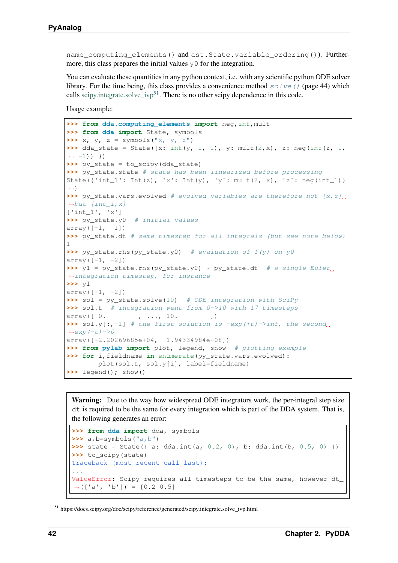name computing elements() and ast. State.variable ordering()). Furthermore, this class prepares the initial values  $\vee$  for the integration.

You can evaluate these quantities in any python context, i.e. with any scientific python ODE solver library. For the time being, this class provides a convenience method  $\mathfrak{solve}(t)$  (page 44) which calls [scipy.integrate.solve\\_ivp](https://docs.scipy.org/doc/scipy/reference/generated/scipy.integrate.solve_ivp.html)<sup>[51](#page-45-0)</sup>. There is no other scipy dependence in this code.

Usage example:

```
>>> from dda.computing_elements import neg,int,mult
>>> from dda import State, symbols
\Rightarrow x, \gamma, z = symbols("x, \gamma, z")
>>> dda state = State({x: int(y, 1, 1), y: mult(2,x), z: neg(int(z, 1,
\rightarrow -1)) })
>>> py_state = to_scipy(dda_state)
>>> py_state.state # state has been linearized before processing
State({'int_1': Int(z), 'x': Int(y), 'y': mult(2, x), 'z': neg(int_1)}
˓→)
>>> py_state.vars.evolved # evolved variables are therefore not [x, z].
\rightarrowbut [int_1, x]['int_1', 'x']
>>> py_state.y0 # initial values
array([-1, 1])>>> py_state.dt # same timestep for all integrals (but see note below)
1
>>> py_state.rhs(py_state.y0) # evaluation of f(y) on y0
array([-1, -2])\Rightarrow y1 = py_state.rhs(py_state.y0) * py_state.dt # a single Euler.
˓→integration timestep, for instance
>>> y1
array([-1, -2])>>> sol = py_state.solve(10) # ODE integration with SciPy
>>> sol.t # integration went from 0->10 with 17 timesteps
array([ 0. 1, ..., 10.]
>>> sol.y[:,-1] # the first solution is ~exp(+t)->inf, the second.
\leftrightarrowexp(-t)->0
array([-2.20269685e+04, 1.94334984e-08])
>>> from pylab import plot, legend, show # plotting example
>>> for i,fieldname in enumerate(py_state.vars.evolved):
        plot(sol.t, sol.y[i], label=fieldname)
>>> legend(); show()
```
Warning: Due to the way how widespread ODE integrators work, the per-integral step size dt is required to be the same for every integration which is part of the DDA system. That is, the following generates an error:

```
>>> from dda import dda, symbols
>>> a,b=symbols("a,b")
>>> state = State({ a: dda.int(a, 0.2, 0), b: dda.int(b, 0.5, 0) })
>>> to_scipy(state)
Traceback (most recent call last):
...
ValueError: Scipy requires all timesteps to be the same, however dt_
\rightarrow (['a', 'b']) = [0.2 \ 0.5]
```
<span id="page-45-0"></span><sup>51</sup> https://docs.scipy.org/doc/scipy/reference/generated/scipy.integrate.solve\_ivp.html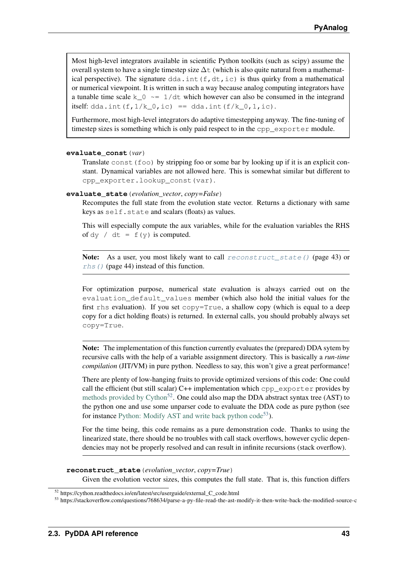Most high-level integrators available in scientific Python toolkits (such as scipy) assume the overall system to have a single timestep size  $\Delta t$  (which is also quite natural from a mathematical perspective). The signature  $dda$ . int (f,dt,ic) is thus quirky from a mathematical or numerical viewpoint. It is written in such a way because analog computing integrators have a tunable time scale k  $\circ$  ~= 1/dt which however can also be consumed in the integrand itself: dda.int(f, $1/k_0$ ,ic) == dda.int( $f/k_0$ , $1$ ,ic).

Furthermore, most high-level integrators do adaptive timestepping anyway. The fine-tuning of timestep sizes is something which is only paid respect to in the cpp\_exporter module.

#### **evaluate\_const**(*var*)

Translate const ( $f \circ \circ$ ) by stripping foo or some bar by looking up if it is an explicit constant. Dynamical variables are not allowed here. This is somewhat similar but different to cpp\_exporter.lookup\_const(var).

### **evaluate\_state**(*evolution\_vector*, *copy=False*)

Recomputes the full state from the evolution state vector. Returns a dictionary with same keys as self.state and scalars (floats) as values.

This will especially compute the aux variables, while for the evaluation variables the RHS of dy / dt =  $f(y)$  is computed.

Note: As a user, you most likely want to call [reconstruct\\_state\(\)](#page-46-0) (page 43) or  $r$ hs() (page 44) instead of this function.

For optimization purpose, numerical state evaluation is always carried out on the evaluation default values member (which also hold the initial values for the first rhs evaluation). If you set  $copy=True$ , a shallow copy (which is equal to a deep copy for a dict holding floats) is returned. In external calls, you should probably always set copy=True.

Note: The implementation of this function currently evaluates the (prepared) DDA sytem by recursive calls with the help of a variable assignment directory. This is basically a *run-time compilation* (JIT/VM) in pure python. Needless to say, this won't give a great performance!

There are plenty of low-hanging fruits to provide optimized versions of this code: One could call the efficient (but still scalar)  $C++$  implementation which cpp\_exporter provides by [methods provided by Cython](https://cython.readthedocs.io/en/latest/src/userguide/external_C_code.html)<sup>[52](#page-46-1)</sup>. One could also map the DDA abstract syntax tree (AST) to the python one and use some unparser code to evaluate the DDA code as pure python (see for instance [Python: Modify AST and write back python code](https://stackoverflow.com/questions/768634/parse-a-py-file-read-the-ast-modify-it-then-write-back-the-modified-source-c)<sup>[53](#page-46-2)</sup>).

For the time being, this code remains as a pure demonstration code. Thanks to using the linearized state, there should be no troubles with call stack overflows, however cyclic dependencies may not be properly resolved and can result in infinite recursions (stack overflow).

<span id="page-46-0"></span>**reconstruct\_state**(*evolution\_vector*, *copy=True*)

Given the evolution vector sizes, this computes the full state. That is, this function differs

<span id="page-46-1"></span><sup>52</sup> https://cython.readthedocs.io/en/latest/src/userguide/external\_C\_code.html

<span id="page-46-2"></span><sup>53</sup> https://stackoverflow.com/questions/768634/parse-a-py-file-read-the-ast-modify-it-then-write-back-the-modified-source-c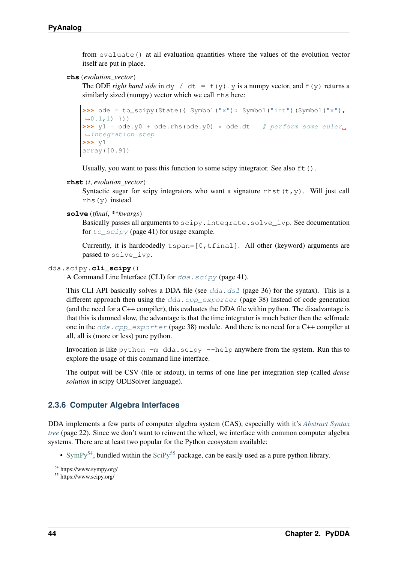from evaluate() at all evaluation quantities where the values of the evolution vector itself are put in place.

### <span id="page-47-1"></span>**rhs**(*evolution\_vector*)

The ODE *right hand side* in dy / dt =  $f(y)$ . y is a numpy vector, and  $f(y)$  returns a similarly sized (numpy) vector which we call rhs here:

```
>>> ode = to scipy(State({ Symbol("x"): Symbol("int")(Symbol("x"),
\rightarrow 0.1,1) }))
\Rightarrow \frac{1}{2} = ode.y0 + ode.rhs(ode.y0) * ode.dt # perform some euler.
˓→integration step
>>> y1
array([0.9])
```
Usually, you want to pass this function to some scipy integrator. See also  $ft()$ .

```
rhst(t, evolution_vector)
```
Syntactic sugar for scipy integrators who want a signature rhst  $(t, y)$ . Will just call rhs(y) instead.

```
solve(tfinal, **kwargs)
```
Basically passes all arguments to scipy.integrate.solve\_ivp. See documentation for  $to\_scipy$  (page 41) for usage example.

Currently, it is hardcodedly  $tspan=[0,tfinal]$ . All other (keyword) arguments are passed to solve\_ivp.

### dda.scipy.**cli\_scipy**()

A Command Line Interface (CLI) for  $dda$ .  $scipy$  (page 41).

This CLI API basically solves a DDA file (see  $dda$ .dsl (page 36) for the syntax). This is a different approach then using the  $dda$ .cpp\_exporter (page 38) Instead of code generation (and the need for a C++ compiler), this evaluates the DDA file within python. The disadvantage is that this is damned slow, the advantage is that the time integrator is much better then the selfmade one in the [dda.cpp\\_exporter](#page-41-0) (page 38) module. And there is no need for a C++ compiler at all, all is (more or less) pure python.

Invocation is like python  $-m$  dda.scipy  $--$ help anywhere from the system. Run this to explore the usage of this command line interface.

The output will be CSV (file or stdout), in terms of one line per integration step (called *dense solution* in scipy ODESolver language).

# **2.3.6 Computer Algebra Interfaces**

DDA implements a few parts of computer algebra system (CAS), especially with it's *[Abstract Syntax](#page-25-0) [tree](#page-25-0)* (page 22). Since we don't want to reinvent the wheel, we interface with common computer algebra systems. There are at least two popular for the Python ecosystem available:

• [SymPy](https://www.sympy.org/)<sup>[54](#page-47-2)</sup>, bundled within the [SciPy](https://www.scipy.org/)<sup>[55](#page-47-3)</sup> package, can be easily used as a pure python library.

<span id="page-47-2"></span><sup>54</sup> https://www.sympy.org/

<span id="page-47-3"></span><sup>55</sup> https://www.scipy.org/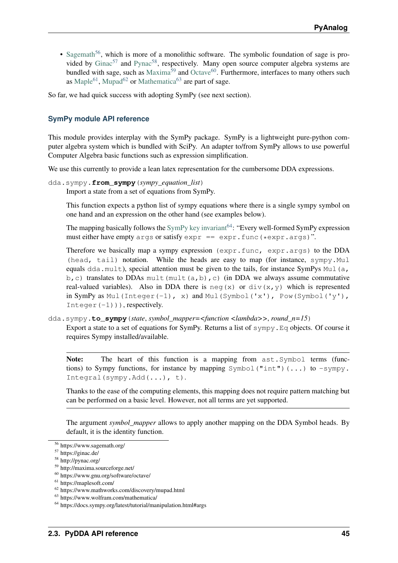• [Sagemath](https://www.sagemath.org/)<sup>[56](#page-48-0)</sup>, which is more of a monolithic software. The symbolic foundation of sage is provided by  $Ginac^{57}$  $Ginac^{57}$  $Ginac^{57}$  $Ginac^{57}$  and [Pynac](http://pynac.org/)<sup>[58](#page-48-2)</sup>, respectively. Many open source computer algebra systems are bundled with sage, such as  $Maxima^{59}$  $Maxima^{59}$  $Maxima^{59}$  $Maxima^{59}$  and [Octave](https://www.gnu.org/software/octave/)<sup>[60](#page-48-4)</sup>. Furthermore, interfaces to many others such as [Maple](https://maplesoft.com/)<sup>[61](#page-48-5)</sup>, [Mupad](https://www.mathworks.com/discovery/mupad.html)<sup>[62](#page-48-6)</sup> or [Mathematica](https://www.wolfram.com/mathematica/)<sup>[63](#page-48-7)</sup> are part of sage.

So far, we had quick success with adopting SymPy (see next section).

# <span id="page-48-9"></span>**SymPy module API reference**

This module provides interplay with the SymPy package. SymPy is a lightweight pure-python computer algebra system which is bundled with SciPy. An adapter to/from SymPy allows to use powerful Computer Algebra basic functions such as expression simplification.

We use this currently to provide a lean latex representation for the cumbersome DDA expressions.

```
dda.sympy.from_sympy(sympy_equation_list)
```
Import a state from a set of equations from SymPy.

This function expects a python list of sympy equations where there is a single sympy symbol on one hand and an expression on the other hand (see examples below).

The mapping basically follows the [SymPy key invariant](https://docs.sympy.org/latest/tutorial/manipulation.html#args)<sup>[64](#page-48-8)</sup>: "Every well-formed SymPy expression must either have empty args or satisfy  $exp r = exp r$ . func (\*expr.args)".

Therefore we basically map a sympy expression (expr.func, expr.args) to the DDA (head, tail) notation. While the heads are easy to map (for instance, sympy.Mul equals dda.mult), special attention must be given to the tails, for instance SymPys Mul(a, b, c) translates to DDAs mult(mult(a,b),c) (in DDA we always assume commutative real-valued variables). Also in DDA there is neg(x) or div(x, y) which is represented in SymPy as Mul(Integer(-1), x) and Mul(Symbol('x'), Pow(Symbol('y'), Integer $(-1)$ ), respectively.

dda.sympy.**to\_sympy**(*state*, *symbol\_mapper=<function <lambda>>*, *round\_n=15*) Export a state to a set of equations for SymPy. Returns a list of  $\sigma y_m$ ,  $E \sigma z_b$  objects. Of course it requires Sympy installed/available.

Note: The heart of this function is a mapping from ast. Symbol terms (functions) to Sympy functions, for instance by mapping  $Symbol("int")$  (...) to  $-sympy$ . Integral(sympy.Add(...), t).

Thanks to the ease of the computing elements, this mapping does not require pattern matching but can be performed on a basic level. However, not all terms are yet supported.

The argument *symbol\_mapper* allows to apply another mapping on the DDA Symbol heads. By default, it is the identity function.

<span id="page-48-0"></span><sup>56</sup> https://www.sagemath.org/

<span id="page-48-1"></span><sup>57</sup> https://ginac.de/

<span id="page-48-2"></span><sup>58</sup> http://pynac.org/

<span id="page-48-3"></span><sup>59</sup> http://maxima.sourceforge.net/

<span id="page-48-4"></span><sup>60</sup> https://www.gnu.org/software/octave/

<span id="page-48-5"></span> $61$  https://maplesoft.com/

<span id="page-48-6"></span><sup>62</sup> https://www.mathworks.com/discovery/mupad.html

<span id="page-48-7"></span><sup>63</sup> https://www.wolfram.com/mathematica/

<span id="page-48-8"></span><sup>64</sup> https://docs.sympy.org/latest/tutorial/manipulation.html#args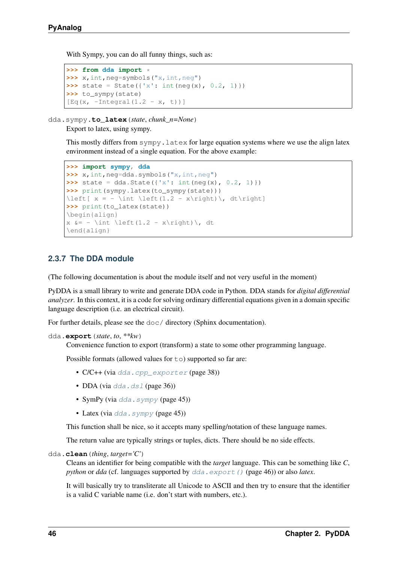With Sympy, you can do all funny things, such as:

```
>>> from dda import *
>>> x,int,neg=symbols("x,int,neg")
>>> state = State(\{x': \text{int}(neg(x), 0.2, 1)\}\)>>> to_sympy(state)
[Eq(x, -Integral(1.2 - x, t))]
```
dda.sympy.**to\_latex**(*state*, *chunk\_n=None*)

Export to latex, using sympy.

This mostly differs from sympy. Latex for large equation systems where we use the align latex environment instead of a single equation. For the above example:

```
>>> import sympy, dda
>>> x,int,neg=dda.symbols("x,int,neg")
>>> state = dda.State({'x': int(neg(x), 0.2, 1)})
>>> print(sympy.latex(to_sympy(state)))
\left[ x = - \int \left(1.2 - x\right)\right), dt\right]
>>> print(to_latex(state))
\begin{align}
x \&= - \int \left(1.2 - x\right) \right), dt
\end{align}
```
# **2.3.7 The DDA module**

(The following documentation is about the module itself and not very useful in the moment)

PyDDA is a small library to write and generate DDA code in Python. DDA stands for *digital differential analyzer*. In this context, it is a code for solving ordinary differential equations given in a domain specific language description (i.e. an electrical circuit).

For further details, please see the doc/ directory (Sphinx documentation).

```
dda.export(state, to, **kw)
```
Convenience function to export (transform) a state to some other programming language.

Possible formats (allowed values for  $\pm \circ$ ) supported so far are:

- C/C++ (via [dda.cpp\\_exporter](#page-41-0) (page 38))
- DDA (via  $dda$ .dsl (page 36))
- SymPy (via  $dda \cdot \text{sympy}$  (page 45))
- Latex (via  $dda.sympy$  (page 45))

This function shall be nice, so it accepts many spelling/notation of these language names.

The return value are typically strings or tuples, dicts. There should be no side effects.

```
dda.clean(thing, target='C')
```
Cleans an identifier for being compatible with the *target* language. This can be something like *C*, *python* or *dda* (cf. languages supported by  $dda \cdot export$  () (page 46)) or also *latex*.

It will basically try to transliterate all Unicode to ASCII and then try to ensure that the identifier is a valid C variable name (i.e. don't start with numbers, etc.).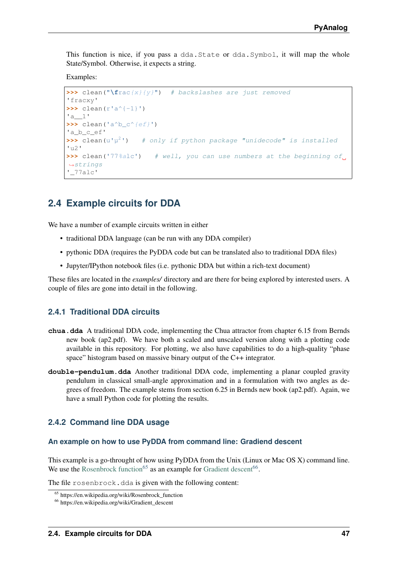This function is nice, if you pass a dda.State or dda.Symbol, it will map the whole State/Symbol. Otherwise, it expects a string.

Examples:

```
>>> clean("\frac{x}{y}") # backslashes are just removed
'fracxy'
>>> clean(r'a^{-1}')
'a__1'
\rightarrow clean('a^b_c^{ef}')
'a_b_c_ef'
\rightarrow \rightarrow clean(u'\mu^2')
                   2') # only if python package "unidecode" is installed
'112'>>> clean('77%alc') # well, you can use numbers at the beginning of
˓→strings
'_77alc'
```
# **2.4 Example circuits for DDA**

We have a number of example circuits written in either

- traditional DDA language (can be run with any DDA compiler)
- pythonic DDA (requires the PyDDA code but can be translated also to traditional DDA files)
- Jupyter/IPython notebook files (i.e. pythonic DDA but within a rich-text document)

These files are located in the *examples/* directory and are there for being explored by interested users. A couple of files are gone into detail in the following.

## **2.4.1 Traditional DDA circuits**

- **chua.dda** A traditional DDA code, implementing the Chua attractor from chapter 6.15 from Bernds new book (ap2.pdf). We have both a scaled and unscaled version along with a plotting code available in this repository. For plotting, we also have capabilities to do a high-quality "phase space" histogram based on massive binary output of the C++ integrator.
- **double-pendulum.dda** Another traditional DDA code, implementing a planar coupled gravity pendulum in classical small-angle approximation and in a formulation with two angles as degrees of freedom. The example stems from section 6.25 in Bernds new book (ap2.pdf). Again, we have a small Python code for plotting the results.

# **2.4.2 Command line DDA usage**

### **An example on how to use PyDDA from command line: Gradiend descent**

This example is a go-throught of how using PyDDA from the Unix (Linux or Mac OS X) command line. We use the [Rosenbrock function](https://en.wikipedia.org/wiki/Rosenbrock_function)<sup>[65](#page-50-0)</sup> as an example for [Gradient descent](https://en.wikipedia.org/wiki/Gradient_descent)<sup>[66](#page-50-1)</sup>.

The file rosenbrock.dda is given with the following content:

<span id="page-50-0"></span><sup>65</sup> https://en.wikipedia.org/wiki/Rosenbrock\_function

<span id="page-50-1"></span><sup>66</sup> https://en.wikipedia.org/wiki/Gradient\_descent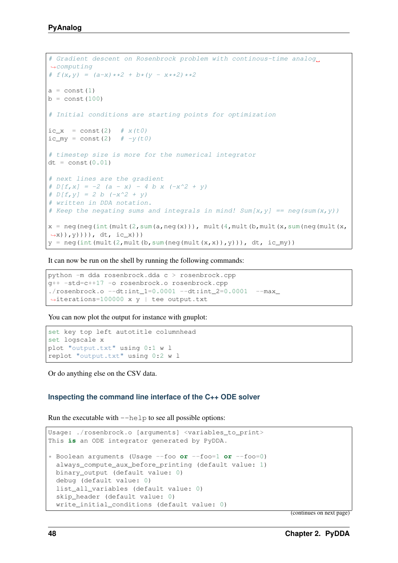```
# Gradient descent on Rosenbrock problem with continous-time analog
˓→computing
# f(x, y) = (a-x) *2 + b * (y - x *2) *2a = const(1)b = const(100)# Initial conditions are starting points for optimization
ic_x = const(2) # x(t0)ic my = const(2) # -y(t0)# timestep size is more for the numerical integrator
dt = const(0.01)# next lines are the gradient
# D[f, x] = -2 (a - x) - 4 b x (-x^2 + y)
# D[f, y] = 2 b (-x^2 + y)# written in DDA notation.
# Keep the negating sums and integrals in mind! Sum[x, y] == neg(sum(x, y))x =neg(neg(int(mult(2,sum(a,neg(x))), mult(4,mult(b,mult(x,sum(neg(mult(x,
\rightarrowx)),y))), dt, ic_x)))
y = neg(int(mult(2,mult(b, sum(neg(mult(x,x)),y))), dt, ic_my))
```
It can now be run on the shell by running the following commands:

```
python -m dda rosenbrock.dda c > rosenbrock.cpp
g++ -std=c++17 -o rosenbrock.o rosenbrock.cpp
./rosenbrock.o --dt:int_1=0.0001 --dt:int_2=0.0001 --max˓→iterations=100000 x y | tee output.txt
```
You can now plot the output for instance with gnuplot:

```
set key top left autotitle columnhead
set logscale x
plot "output.txt" using 0:1 w l
replot "output.txt" using 0:2 w l
```
Or do anything else on the CSV data.

### **Inspecting the command line interface of the C++ ODE solver**

Run the executable with  $-\text{help}$  to see all possible options:

```
Usage: ./rosenbrock.o [arguments] <variables_to_print>
This is an ODE integrator generated by PyDDA.
* Boolean arguments (Usage --foo or --foo=1 or --foo=0)
 always_compute_aux_before_printing (default value: 1)
 binary_output (default value: 0)
 debug (default value: 0)
 list_all_variables (default value: 0)
 skip header (default value: 0)
 write initial conditions (default value: 0)
```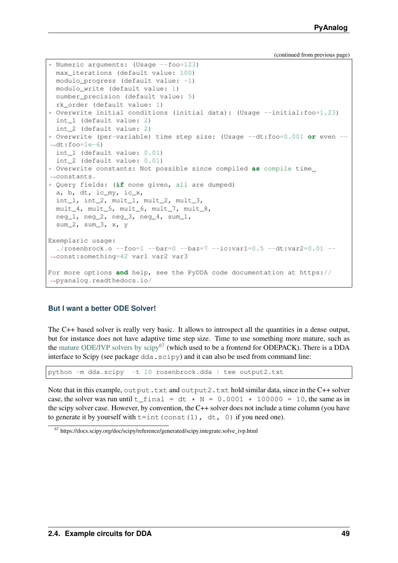```
* Numeric arguments: (Usage --foo=123)
 max_iterations (default value: 100)
 modulo_progress (default value: -1)
 modulo_write (default value: 1)
 number_precision (default value: 5)
  rk_order (default value: 1)
* Overwrite initial conditions (initial data): (Usage --initial:foo=1.23)
 int_1 (default value: 2)
 int_2 (default value: 2)
* Overwrite (per-variable) time step size: (Usage --dt:foo=0.001 or even --
\rightarrowdt:foo=1e-6)
 int_1 (default value: 0.01)
 int_2 (default value: 0.01)
* Overwrite constants: Not possible since compiled as compile time
˓→constants.
* Query fields: (if none given, all are dumped)
 a, b, dt, ic_my, ic_x,
 int_1, int_2, mult_1, mult_2, mult_3,
 mult_4, mult_5, mult_6, mult_7, mult_8,
 neg_1, neg_2, neg_3, neg_4, sum_1,
 sum_2, sum_3, x, y
Exemplaric usage:
  ./rosenbrock.o -foo=1 -bar=0 -baz=7 -ic:var1=0.5 -dt:var2=0.01 -˓→const:something=42 var1 var2 var3
For more options and help, see the PyDDA code documentation at https://
˓→pyanalog.readthedocs.io/
```
## **But I want a better ODE Solver!**

The C++ based solver is really very basic. It allows to introspect all the quantities in a dense output, but for instance does not have adaptive time step size. Time to use something more mature, such as the [mature ODE/IVP solvers by scipy](https://docs.scipy.org/doc/scipy/reference/generated/scipy.integrate.solve_ivp.html)<sup>[67](#page-52-0)</sup> (which used to be a frontend for ODEPACK). There is a DDA interface to Scipy (see package  $dda$ .  $scipy$ ) and it can also be used from command line:

python -m dda.scipy -t 10 rosenbrock.dda | tee output2.txt

Note that in this example, output.txt and output2.txt hold similar data, since in the C++ solver case, the solver was run until t\_ final = dt  $*$  N = 0.0001  $*$  100000 = 10, the same as in the scipy solver case. However, by convention, the C++ solver does not include a time column (you have to generate it by yourself with  $t=$ int (const(1), dt, 0) if you need one).

<span id="page-52-0"></span><sup>67</sup> https://docs.scipy.org/doc/scipy/reference/generated/scipy.integrate.solve\_ivp.html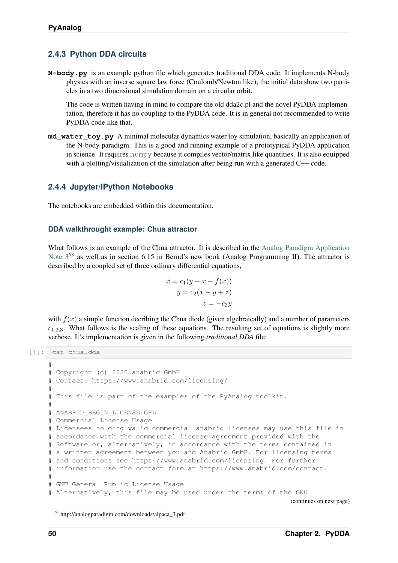# **2.4.3 Python DDA circuits**

**N-body.py** is an example python file which generates traditional DDA code. It implements N-body physics with an inverse square law force (Coulomb/Newton like); the initial data show two particles in a two dimensional simulation domain on a circular orbit.

The code is written having in mind to compare the old dda2c.pl and the novel PyDDA implementation, therefore it has no coupling to the PyDDA code. It is in general not recommended to write PyDDA code like that.

**md** water toy.py A minimal molecular dynamics water toy simulation, basically an application of the N-body paradigm. This is a good and running example of a prototypical PyDDA application in science. It requires numpy because it compiles vector/matrix like quantities. It is also equipped with a plotting/visualization of the simulation after being run with a generated C++ code.

# **2.4.4 Jupyter/IPython Notebooks**

The notebooks are embedded within this documentation.

## **DDA walkthrought example: Chua attractor**

What follows is an example of the Chua attractor. It is described in the [Analog Paradigm Application](http://analogparadigm.com/downloads/alpaca_3.pdf) Note  $3^{68}$  $3^{68}$  $3^{68}$  as well as in section 6.15 in Bernd's new book (Analog Programming II). The attractor is described by a coupled set of three ordinary differential equations,

$$
\begin{aligned}\n\dot{x} &= c_1(y - x - f(x)) \\
\dot{y} &= c_2(x - y + z) \\
\dot{z} &= -c_3y\n\end{aligned}
$$

with  $f(x)$  a simple function decribing the Chua diode (given algebraically) and a number of parameters  $c_{1,2,3}$ . What follows is the scaling of these equations. The resulting set of equations is slightly more verbose. It's implementation is given in the following *traditional DDA* file:

```
[1]: !cat chua.dda
```

```
#
# Copyright (c) 2020 anabrid GmbH
# Contact: https://www.anabrid.com/licensing/
#
# This file is part of the examples of the PyAnalog toolkit.
#
# ANABRID_BEGIN_LICENSE:GPL
# Commercial License Usage
# Licensees holding valid commercial anabrid licenses may use this file in
# accordance with the commercial license agreement provided with the
# Software or, alternatively, in accordance with the terms contained in
# a written agreement between you and Anabrid GmbH. For licensing terms
# and conditions see https://www.anabrid.com/licensing. For further
# information use the contact form at https://www.anabrid.com/contact.
#
# GNU General Public License Usage
# Alternatively, this file may be used under the terms of the GNU
```
<span id="page-53-0"></span><sup>68</sup> http://analogparadigm.com/downloads/alpaca\_3.pdf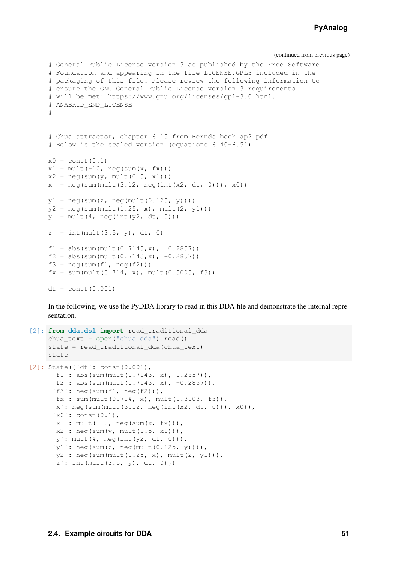```
# General Public License version 3 as published by the Free Software
# Foundation and appearing in the file LICENSE.GPL3 included in the
# packaging of this file. Please review the following information to
# ensure the GNU General Public License version 3 requirements
# will be met: https://www.gnu.org/licenses/gpl-3.0.html.
# ANABRID_END_LICENSE
#
# Chua attractor, chapter 6.15 from Bernds book ap2.pdf
# Below is the scaled version (equations 6.40-6.51)
x0 = \text{const}(0.1)x1 = \text{mult}(-10, \text{neg}(\text{sum}(x, fx)))x2 = neg(sum(y, mult(0.5, x1)))x = neg(sum(mult(3.12, neg(int(x2, dt, 0)))), x0))
y1 = neg(sum(z, neg(mult(0.125, y))))y2 = neg(sum(mult(1.25, x), mult(2, y1)))y = \text{mult}(4, \text{neg(int(y2, dt, 0))))z = int(mult(3.5, y), dt, 0)f1 = abs(sum(mult(0.7143, x), 0.2857))f2 = abs(sum(mult(0.7143, x), -0.2857))f3 = neg(sum(f1, neg(f2)))fx = sum(mult(0.714, x), mult(0.3003, f3))dt = const(0.001)
```
In the following, we use the PyDDA library to read in this DDA file and demonstrate the internal representation.

```
[2]: from dda.dsl import read_traditional_dda
     chua\_text = open("chua.dda") .read()state = read_traditional_dda(chua_text)
     state
[2]: State({'dt': const(0.001),
      'f1': abs(sum(mult(0.7143, x), 0.2857)),
      'f2': abs(sum(mult(0.7143, x), -0.2857)),
      'f3': neg(sum(f1, neg(f2))),
      'fx': sum(mult(0.714, x), mult(0.3003, f3)),
      'x': neg(\text{sum}(mult(3.12, neg(int(x2, dt, 0)))), x0)),
      'x0': \text{const}(0,1),
      'x1': mult(-10, neg(sum(x, fx))),
      'x2': neg(sum(y, mult(0.5, x1))),
      'y': \text{mult}(4, \text{neg(int}(y2, dt, 0))),
      'y1': neg(sum(z, neg(mult(0.125, y)))),
      'y2': \text{neg}(\text{sum}(\text{mult}(1.25, x), \text{mult}(2, y1))),
      'z': int (mult (3.5, y), dt, 0) })
```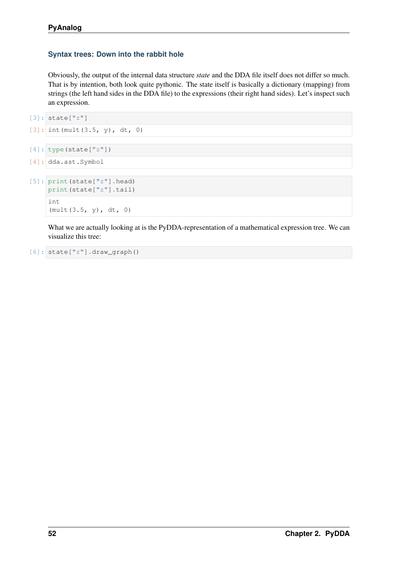## **Syntax trees: Down into the rabbit hole**

Obviously, the output of the internal data structure *state* and the DDA file itself does not differ so much. That is by intention, both look quite pythonic. The state itself is basically a dictionary (mapping) from strings (the left hand sides in the DDA file) to the expressions (their right hand sides). Let's inspect such an expression.

```
[3]: state["z"]
```

```
[3]: int (mult(3.5, y), dt, 0)
```

```
[4]: type(state["z"])
```

```
[4]: dda.ast.Symbol
```

```
[5]: print(state["z"].head)
    print(state["z"].tail)
    int
     (mult(3.5, y), dt, 0)
```
What we are actually looking at is the PyDDA-representation of a mathematical expression tree. We can visualize this tree:

```
[6]: state["z"].draw_graph()
```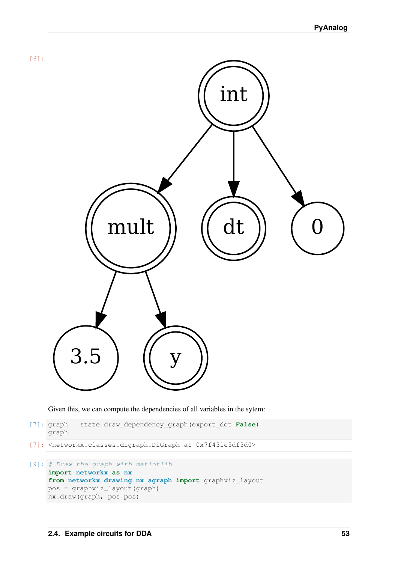

Given this, we can compute the dependencies of all variables in the sytem:

```
[7]: graph = state.draw_dependency_graph(export_dot=False)
    graph
```
[7]: <networkx.classes.digraph.DiGraph at 0x7f431c5df3d0>

```
[9]: # Draw the graph with matlotlib
    import networkx as nx
    from networkx.drawing.nx_agraph import graphviz_layout
    pos = graphviz_layout(graph)
    nx.draw(graph, pos=pos)
```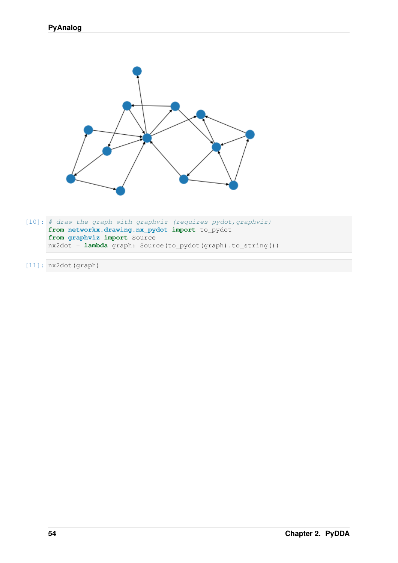

- [10]: # draw the graph with graphviz (requires pydot,graphviz) **from networkx.drawing.nx\_pydot import** to\_pydot **from graphviz import** Source nx2dot = **lambda** graph: Source(to\_pydot(graph).to\_string())
- [11]: nx2dot(graph)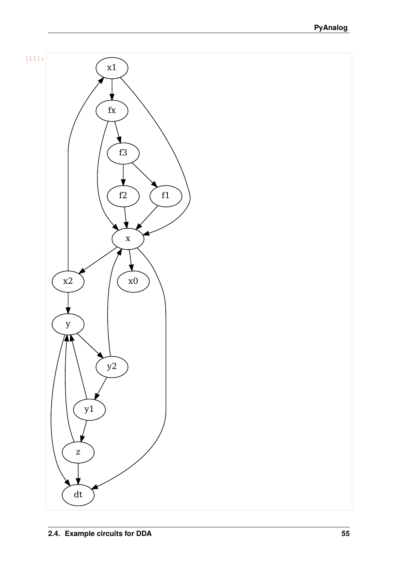

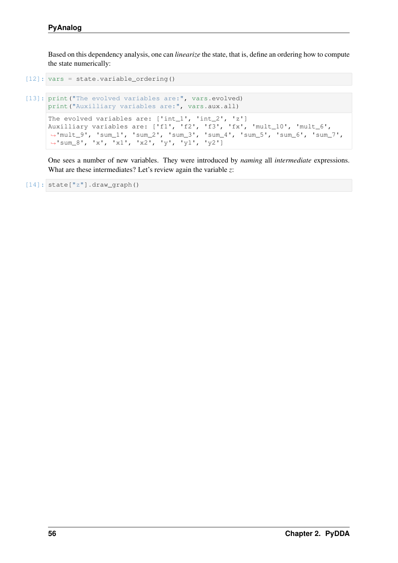Based on this dependency analysis, one can *linearize* the state, that is, define an ordering how to compute the state numerically:

```
[12]: vars = state.variable_ordering()
```

```
[13]: print ("The evolved variables are:", vars.evolved)
     print("Auxilliary variables are:", vars.aux.all)
     The evolved variables are: ['int_1', 'int_2', 'z']
     Auxilliary variables are: ['f1', 'f2', 'f3', 'fx', 'mult_10', 'mult_6',
      ˓→'mult_9', 'sum_1', 'sum_2', 'sum_3', 'sum_4', 'sum_5', 'sum_6', 'sum_7',
      ˓→'sum_8', 'x', 'x1', 'x2', 'y', 'y1', 'y2']
```
One sees a number of new variables. They were introduced by *naming* all *intermediate* expressions. What are these intermediates? Let's review again the variable *z*:

```
[14]: state["z"].draw_graph()
```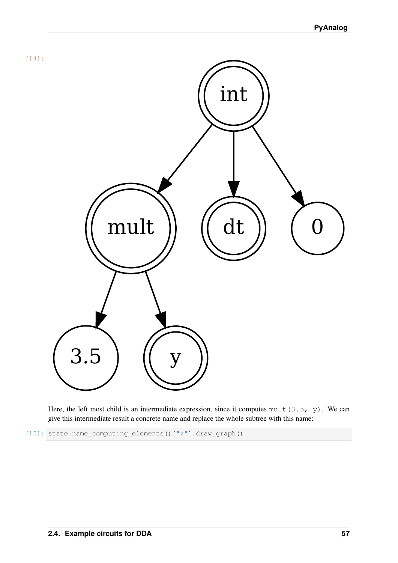

Here, the left most child is an intermediate expression, since it computes mult (3.5,  $y$ ). We can give this intermediate result a concrete name and replace the whole subtree with this name:

[15]: state.name\_computing\_elements()["z"].draw\_graph()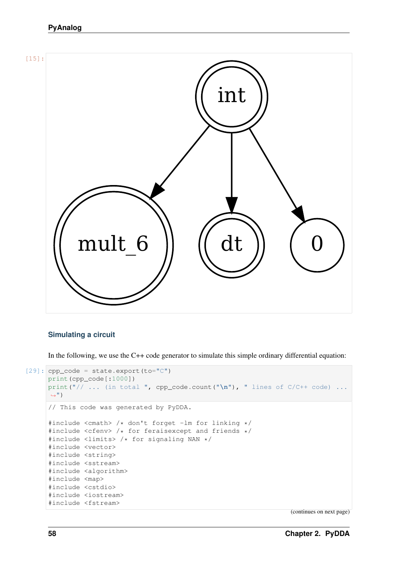# **PyAnalog**



## **Simulating a circuit**

In the following, we use the C++ code generator to simulate this simple ordinary differential equation:

```
[29]: cpp_code = state.export(to="C")
     print(cpp_code[:1000])
     print("// ... (in total ", cpp_code.count("\n"), " lines of C/C++ code) ...
      \hookrightarrow")
     // This code was generated by PyDDA.
     #include <cmath> /* don't forget -lm for linking */
     #include <cfenv> /* for feraisexcept and friends */
     #include <limits> /* for signaling NAN */
     #include <vector>
     #include <string>
     #include <sstream>
     #include <algorithm>
     #include <map>
     #include <cstdio>
     #include <iostream>
      #include <fstream>
```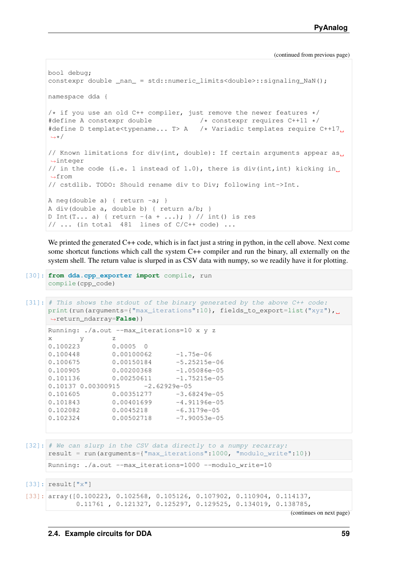```
bool debug;
constexpr double _nan_ = std::numeric_limits<double>::signaling_NaN();
namespace dda {
/* if you use an old C++ compiler, just remove the newer features */#define A constexpr double /* constexpr requires C++11 */
#define D template<typename... T> A /* Variadic templates require C++17
˓→*/
// Known limitations for div(int, double): If certain arguments appear as,
˓→integer
// in the code (i.e. 1 instead of 1.0), there is div(int,int) kicking in.
˓→from
// cstdlib. TODO: Should rename div to Div; following int->Int.
A neg(double a) { return -a; }
A div(double a, double b) { return a/b; }
D Int(T... a) { return -(a + ...); } // int() is res
// ... (in total 481 lines of C/C++ code) ...
```
We printed the generated C++ code, which is in fact just a string in python, in the cell above. Next come some shortcut functions which call the system C++ compiler and run the binary, all externally on the system shell. The return value is slurped in as CSV data with numpy, so we readily have it for plotting.

```
[30]: from dda.cpp_exporter import compile, run
     compile(cpp_code)
```

```
[31]: # This shows the stdout of the binary generated by the above C++ code:
     print(run(arguments={"max_iterations":10}, fields_to_export=list("xyz"),
     ˓→return_ndarray=False))
     Running: ./a.out --max_iterations=10 x y z
     x y z
     0.100223 0.0005 0
     0.100448 0.00100062 -1.75e-06
     0.100675  0.00150184 -5.25215e-06
     0.100905 0.00200368 -1.05086e-05
     0.101136  0.00250611 -1.75215e-05
     0.10137 0.00300915 -2.62929e-05<br>0.101605 0.00351277 -3.68249e-050.101605 0.00351277
     0.101843  0.00401699  -4.91196e-05
     0.102082 0.0045218 -6.3179e-05
     0.102324 0.00502718 -7.90053e-05
[32]: # We can slurp in the CSV data directly to a numpy recarray:
     result = run(arguments={"max_iterations":1000, "modulo_write":10})
     Running: ./a.out --max_iterations=1000 --modulo_write=10
[33]: result["x"]
```

```
[33]: array([0.100223, 0.102568, 0.105126, 0.107902, 0.110904, 0.114137,
            0.11761 , 0.121327, 0.125297, 0.129525, 0.134019, 0.138785,
```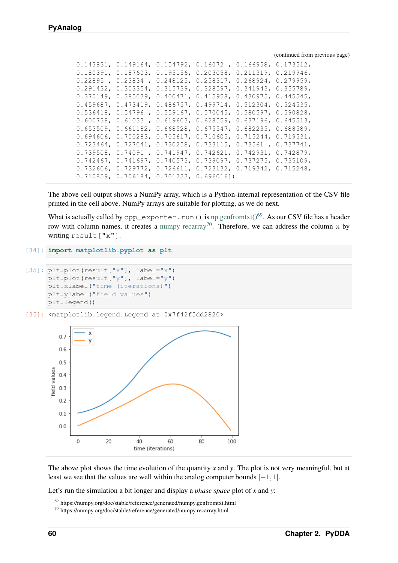|  |                                           |  | $0.143831, 0.149164, 0.154792, 0.16072, 0.166958, 0.173512,$                  |  |
|--|-------------------------------------------|--|-------------------------------------------------------------------------------|--|
|  |                                           |  | $0.180391, 0.187603, 0.195156, 0.203058, 0.211319, 0.219946,$                 |  |
|  |                                           |  | $0.22895$ , $0.23834$ , $0.248125$ , $0.258317$ , $0.268924$ , $0.279959$ ,   |  |
|  |                                           |  | $0.291432, 0.303354, 0.315739, 0.328597, 0.341943, 0.355789,$                 |  |
|  |                                           |  | $0.370149$ , $0.385039$ , $0.400471$ , $0.415958$ , $0.430975$ , $0.445545$ , |  |
|  |                                           |  | $0.459687, 0.473419, 0.486757, 0.499714, 0.512304, 0.524535,$                 |  |
|  |                                           |  | $0.536418$ , 0.54796, 0.559167, 0.570045, 0.580597, 0.590828,                 |  |
|  |                                           |  | $0.600738$ , 0.61033, 0.619603, 0.628559, 0.637196, 0.645513,                 |  |
|  |                                           |  | $0.653509, 0.661182, 0.668528, 0.675547, 0.682235, 0.688589,$                 |  |
|  |                                           |  | $0.694606, 0.700283, 0.705617, 0.710605, 0.715244, 0.719531,$                 |  |
|  |                                           |  | $0.723464, 0.727041, 0.730258, 0.733115, 0.73561, 0.737741,$                  |  |
|  |                                           |  | $0.739508, 0.74091, 0.741947, 0.742621, 0.742931, 0.742879,$                  |  |
|  |                                           |  | $0.742467$ , 0.741697, 0.740573, 0.739097, 0.737275, 0.735109,                |  |
|  |                                           |  | $0.732606, 0.729772, 0.726611, 0.723132, 0.719342, 0.715248,$                 |  |
|  | $0.710859, 0.706184, 0.701233, 0.696016)$ |  |                                                                               |  |
|  |                                           |  |                                                                               |  |

The above cell output shows a NumPy array, which is a Python-internal representation of the CSV file printed in the cell above. NumPy arrays are suitable for plotting, as we do next.

What is actually called by  $cpp\_exporter$ .run() is [np.genfromtxt\(\)](https://numpy.org/doc/stable/reference/generated/numpy.genfromtxt.html)<sup>[69](#page-63-0)</sup>. As our CSV file has a header row with column names, it creates a [numpy recarray](https://numpy.org/doc/stable/reference/generated/numpy.recarray.html)<sup>[70](#page-63-1)</sup>. Therefore, we can address the column x by writing result["x"].

```
[34]: import matplotlib.pyplot as plt
```

```
[35]: plt.plot(result["x"], label="x")
     plt.plot(result["y"], label="y")
     plt.xlabel("time (iterations)")
     plt.ylabel("field values")
     plt.legend()
```

```
[35]: <matplotlib.legend.Legend at 0x7f42f5dd2820>
```


The above plot shows the time evolution of the quantity *x* and *y*. The plot is not very meaningful, but at least we see that the values are well within the analog computer bounds  $[-1, 1]$ .

Let's run the simulation a bit longer and display a *phase space* plot of *x* and *y*:

<span id="page-63-0"></span><sup>69</sup> https://numpy.org/doc/stable/reference/generated/numpy.genfromtxt.html

<span id="page-63-1"></span><sup>70</sup> https://numpy.org/doc/stable/reference/generated/numpy.recarray.html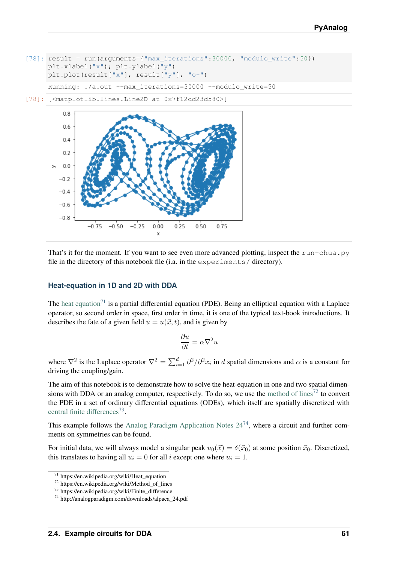

Running:  $\ldots/a$ .out --max iterations=30000 --modulo write=50

[78]: [<matplotlib.lines.Line2D at 0x7f12dd23d580>]



That's it for the moment. If you want to see even more advanced plotting, inspect the run-chua.py file in the directory of this notebook file (i.a. in the experiments/ directory).

## **Heat-equation in 1D and 2D with DDA**

The [heat equation](https://en.wikipedia.org/wiki/Heat_equation)<sup>[71](#page-64-0)</sup> is a partial differential equation (PDE). Being an elliptical equation with a Laplace operator, so second order in space, first order in time, it is one of the typical text-book introductions. It describes the fate of a given field  $u = u(\vec{x}, t)$ , and is given by

$$
\frac{\partial u}{\partial t} = \alpha \nabla^2 u
$$

where  $\nabla^2$  is the Laplace operator  $\nabla^2 = \sum_{i=1}^d \partial^2/\partial^2 x_i$  in d spatial dimensions and  $\alpha$  is a constant for driving the coupling/gain.

The aim of this notebook is to demonstrate how to solve the heat-equation in one and two spatial dimensions with DDA or an analog computer, respectively. To do so, we use the [method of lines](https://en.wikipedia.org/wiki/Method_of_lines)<sup>[72](#page-64-1)</sup> to convert the PDE in a set of ordinary differential equations (ODEs), which itself are spatially discretized with [central finite differences](https://en.wikipedia.org/wiki/Finite_difference)<sup>[73](#page-64-2)</sup>.

This example follows the Analog Paradigm Application Notes  $24^{74}$  $24^{74}$  $24^{74}$ , where a circuit and further comments on symmetries can be found.

For initial data, we will always model a singular peak  $u_0(\vec{x}) = \delta(\vec{x}_0)$  at some position  $\vec{x}_0$ . Discretized, this translates to having all  $u_i = 0$  for all *i* except one where  $u_i = 1$ .

<span id="page-64-0"></span><sup>71</sup> https://en.wikipedia.org/wiki/Heat\_equation

<span id="page-64-1"></span><sup>72</sup> https://en.wikipedia.org/wiki/Method\_of\_lines

<span id="page-64-2"></span><sup>73</sup> https://en.wikipedia.org/wiki/Finite\_difference

<span id="page-64-3"></span><sup>74</sup> http://analogparadigm.com/downloads/alpaca\_24.pdf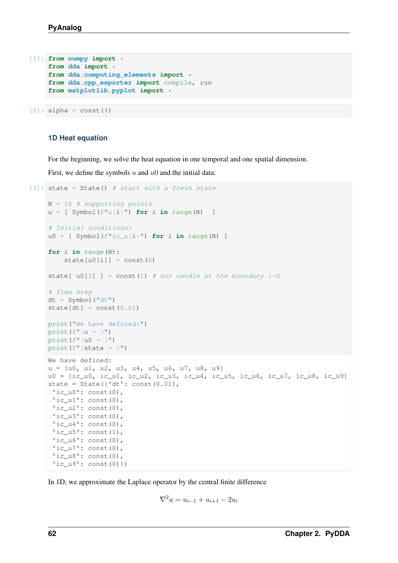```
[1]: from numpy import *
    from dda import *
    from dda.computing_elements import *
    from dda.cpp_exporter import compile, run
    from matplotlib.pyplot import *
```

```
[2]: alpha = const(4)
```
## **1D Heat equation**

For the beginning, we solve the heat equation in one temporal and one spatial dimension.

First, we define the symbols  $u$  and  $u_0$  and the initial data:

```
[3]: state = State() # start with a fresh state
    N = 10 # supporting points
    u = [Symbol(f''u/i)" for i in range(N) ]
     # Initial conditions:
    u0 = [ Symbol(f''ic_u(i)") for i in range(N) ]
    for i in range(N):
         state[u0[i]] = const(0)state[ u0[5] ] = const(1) # our candle at the boundary :-D
     # Time step
    dt = Symbol("dt")state[dt] = const(0.01)print("We have defined:")
    print (f''(u = )'')print (f''(u0 = )'')print (f" {state = }")
    We have defined:
    u = [u0, u1, u2, u3, u4, u5, u6, u7, u8, u9]
    u0 = [ic_u0, ic_u1, ic_u2, ic_u3, ic_u4, ic_u5, ic_u6, ic_u7, ic_u8, ic_u9]
    state = State({'dt': const(0.01)},
     'ic u0': const(0),
     'ic ul': const(0),
      'ic_u2': \text{const}(0),'ic_u3': const(0),'ic_u4': const(0),'ic_u5': const(1),
      'ic_u6': const(0),'ic_u7': \text{const}(0),'ic_18': \text{const}(0),
      'ic_u9': const(0)})
```
In 1D, we approximate the Laplace operator by the central finite difference

$$
\nabla^2 u = u_{i-1} + u_{i+1} - 2u_i
$$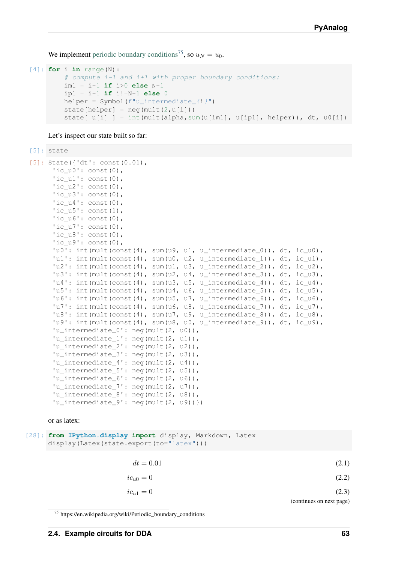We implement [periodic boundary conditions](https://en.wikipedia.org/wiki/Periodic_boundary_conditions)<sup>[75](#page-66-0)</sup>, so  $u_N = u_0$ .

```
[4]: for i in range(N):
         # compute i-1 and i+1 with proper boundary conditions:
        im1 = i-1 if i>0 else N-1
        ip1 = i+1 if i!=N-1 else 0
        helper = Symbol(f"u_interestmediate_{i})"state[helper] = neg(mult(2, u[i]))state[ u[i] ] = int(mult(alpha, sum(u[im1], u[ip1], helper)), dt, u0[i])
```
Let's inspect our state built so far:

[5]: state

```
[5]: State({'dt': const(0.01),
     'ic_u0': const(0),'ic ul': const(0),
      'ic_u2': const(0),
      'ic u3': const(0),
      'ic_u4': const(0),
      'ic_15': const(1),'ic_u6': const(0),'ic_u7': const(0),
     'ic u8': const(0),
     'ic_u9': const(0),'u0': int(mult(const(4), sum(u9, u1, u_intermediate_0)), dt, ic_u0),
      'u1': int(mult(const(4), sum(u0, u2, u_intermediate_1)), dt, ic_u1),
      'u2': int(mult(const(4), sum(u1, u3, u_intermediate_2)), dt, ic_u2),
     'u3': int(mult(const(4), sum(u2, u4, u_intermediate_3)), dt, ic_u3),
     'u4': int(mult(const(4), sum(u3, u5, u_intermediate_4)), dt, ic_u4),
     'u5': int(mult(const(4), sum(u4, u6, u intermediate 5)), dt, ic u5),
     'u6': int(mult(const(4), sum(u5, u7, u_intermediate_6)), dt, ic_u6),
      'u7': int(mult(const(4), sum(u6, u8, u intermediate 7)), dt, ic u7),
      'u8': int(mult(const(4), sum(u7, u9, u_intermediate_8)), dt, ic_u8),
      'u9': int(mult(const(4), sum(u8, u0, u_intermediate_9)), dt, ic_u9),
      'u_intermediate_0': neg(mult(2, u0)),
     'u_intermediate_1': neg(mult(2, u1)),
     'u_intermediate_2': neg(mult(2, u2)),
     'u_intermediate_3': neg(mult(2, u3)),
      'u_intermediate_4': neg(mult(2, u4)),
      'u_intermediate_5': neg(mult(2, u5)),
      'u_intermediate_6': neg(mult(2, u6)),
      'u_intermediate_7': neg(mult(2, u7)),
      'u_intermediate_8': neg(mult(2, u8)),
      'u_intermediate_9': neg(mult(2, u9))})
```
or as latex:

| [28]: from IPython.display import display, Markdown, Latex<br>display (Latex (state.export (to="latex"))) |                          |  |  |  |
|-----------------------------------------------------------------------------------------------------------|--------------------------|--|--|--|
| $dt = 0.01$                                                                                               | (2.1)                    |  |  |  |
| $ic_{u0}=0$                                                                                               | (2.2)                    |  |  |  |
| $ic_{u1}=0$                                                                                               | (2.3)                    |  |  |  |
|                                                                                                           | (continues on next page) |  |  |  |

<span id="page-66-0"></span><sup>75</sup> https://en.wikipedia.org/wiki/Periodic\_boundary\_conditions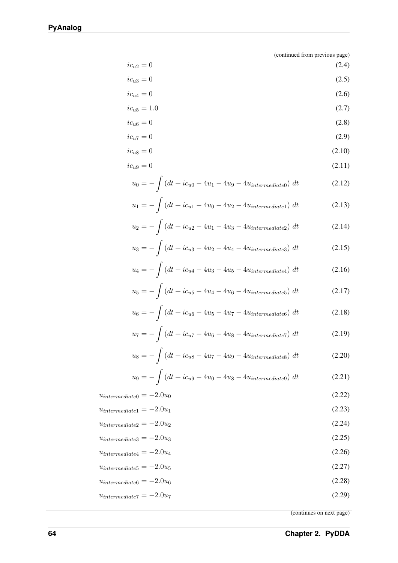| $ic_{u2}=0$ | (2.4) |
|-------------|-------|
| $ic_{u3}=0$ | (2.5) |

$$
ic_{u4} = 0 \tag{2.6}
$$

$$
ic_{u5} = 1.0 \t\t(2.7)
$$

$$
ic_{u6} = 0 \tag{2.8}
$$

$$
ic_{u7} = 0 \tag{2.9}
$$

$$
ic_{u8} = 0 \tag{2.10}
$$

$$
ic_{u9} = 0 \tag{2.11}
$$

$$
u_0 = -\int (dt + ic_{u0} - 4u_1 - 4u_9 - 4u_{intermediate0}) dt
$$
 (2.12)

$$
u_1 = -\int (dt + ic_{u1} - 4u_0 - 4u_2 - 4u_{intermediate1}) dt
$$
 (2.13)

$$
u_2 = -\int (dt + ic_{u2} - 4u_1 - 4u_3 - 4u_{intermediate2}) dt
$$
 (2.14)

$$
u_3 = -\int (dt + ic_{u3} - 4u_2 - 4u_4 - 4u_{intermediate3}) dt
$$
 (2.15)

$$
u_4 = -\int (dt + ic_{u4} - 4u_3 - 4u_5 - 4u_{intermediate4}) dt
$$
 (2.16)

$$
u_5 = -\int (dt + ic_{u5} - 4u_4 - 4u_6 - 4u_{intermediate5}) dt
$$
 (2.17)

$$
u_6 = -\int (dt + ic_{u6} - 4u_5 - 4u_7 - 4u_{intermediate6}) dt
$$
 (2.18)

$$
u_7 = -\int (dt + ic_{u7} - 4u_6 - 4u_8 - 4u_{intermediate7}) dt
$$
 (2.19)

$$
u_8 = -\int (dt + ic_{u8} - 4u_7 - 4u_9 - 4u_{intermediate8}) dt
$$
 (2.20)

$$
u_9 = -\int (dt + ic_{u9} - 4u_0 - 4u_8 - 4u_{intermediate9}) dt
$$
 (2.21)

$$
u_{intermediate0} = -2.0u_0 \tag{2.22}
$$

$$
u_{intermediate1} = -2.0u_1 \tag{2.23}
$$

$$
u_{intermediate2} = -2.0u_2 \tag{2.24}
$$

$$
u_{intermediate3} = -2.0u_3 \tag{2.25}
$$

$$
u_{intermediate4} = -2.0u_4 \tag{2.26}
$$

$$
u_{intermediate5} = -2.0u_5 \tag{2.27}
$$

 $u_{intermediate6} = -2.0u_6$  (2.28)

$$
u_{intermediate7} = -2.0u_7 \tag{2.29}
$$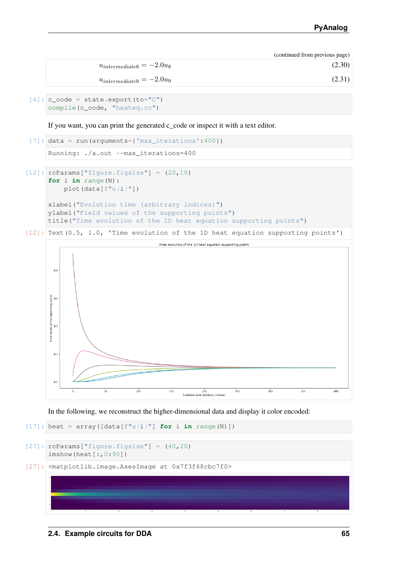| $u_{intermediate8} = -2.0u_8$ | (2.30) |
|-------------------------------|--------|
|                               | .      |

 $u_{intermediate9} = -2.0u_9$  (2.31)

```
[6]: c code = state.export(to="C")
    compile(c_code, "heateq.cc")
```
If you want, you can print the generated c\_code or inspect it with a text editor.

```
[7]: data = run(arguments={'max_iterations':400})
```
Running: ./a.out --max\_iterations=400

```
[12]: rcParams['figure.figsize''] = (20, 10)for i in range(N):
         plot(data[f''u(i)"])
```

```
xlabel("Evolution time (arbitrary indices)")
ylabel("Field values of the supporting points")
title("Time evolution of the 1D heat equation supporting points")
```
[12]: Text(0.5, 1.0, 'Time evolution of the 1D heat equation supporting points')



In the following, we reconstruct the higher-dimensional data and display it color encoded:

```
[17]: heat = array([data[f''u(i)] for i in range(N)])
```

```
[27]: rcParams["figure.figsize"] = (40, 20)imshow(heat[:,0:90])
```

```
[27]: <matplotlib.image.AxesImage at 0x7f3f68cbc7f0>
```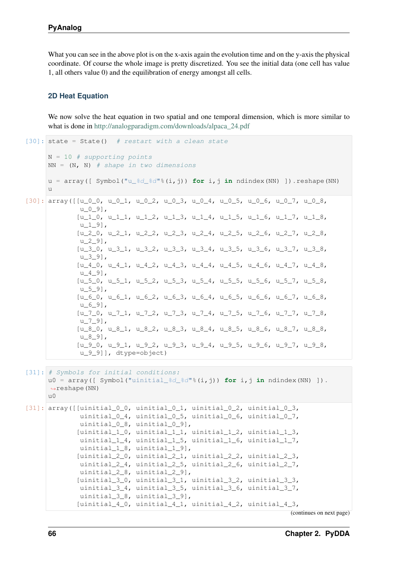What you can see in the above plot is on the x-axis again the evolution time and on the y-axis the physical coordinate. Of course the whole image is pretty discretized. You see the initial data (one cell has value 1, all others value 0) and the equilibration of energy amongst all cells.

### **2D Heat Equation**

We now solve the heat equation in two spatial and one temporal dimension, which is more similar to what is done in [http://analogparadigm.com/downloads/alpaca\\_24.pdf](http://analogparadigm.com/downloads/alpaca_24.pdf)

```
[30]: state = State() # restart with a clean state
      N = 10 # supporting points
       NN = (N, N) # shape in two dimensions
       u = array([ Symbol("u_%d_%d"%(i,j)) for i,j in ndindex(NN) ]).reshape(NN)
       u
[30]: array([ [u_0_0, u_0_1, u_0_2, u_0_3, u_0_4, u_0_5, u_0_6, u_0_7, u_0_8,u_0_9],
                [u_1_0, u_1_1, u_1_2, u_1_3, u_1_4, u_1_5, u_1_6, u_1_7, u_1_8,
                u 1 9],
                [u_2_0, u_2_1, u_2_2, u_2_3, u_2_4, u_2_5, u_2_6, u_2_7, u_2_8,
                u_{29},
                [u_3], u_3<sub>1</sub>, u_3<sub>2</sub>, u_3<sub>3</sub>, u_3<sub>4</sub>, u_3<sub>5</sub>, u_3<sub>6</sub>, u_3<sub>7</sub>, u_3<sub>8</sub>,
                u_{39},
                [u_4_0, u_4_1, u_4_2, u_4_3, u_4_4, u_4_5, u_4_6, u_4_7, u_4_8,u_{49},
                [u_5_0, u_5_1, u_5_2, u_5_3, u_5_4, u_5_5, u_5_6, u_5_7, u_5_8,u_5_9],
                [u 6 0, u 6 1, u 6 2, u 6 3, u 6 4, u 6 5, u 6 6, u 6 7, u 6 8,
                u_6_9],
                [u_7_0, u_7_1, u_7_2, u_7_3, u_7_4, u_7_5, u_7_6, u_7_7, u_7_8,u_{79},
                [u_8, 0, u_8, 1, u_8, 2, u_8, 3, u_8, 4, u_8, 5, u_8, 6, u_8, 7, u_8, 8,u_{89},
                [u_9_0, u_9_1, u_9_2, u_9_3, u_9_4, u_9_5, u_9_6, u_9_7, u_9_8,u_9_9]], dtype=object)
[31]: # Symbols for initial conditions:
       u0 = \arctan{(\arccos(1 - \arccos(1 - \arccos(1 - \arccos(1 - \arccos(1 - \arccos(1 - \arccos(1 - \arccos(1 - \arccos(1 - \arccos(1 - \arccos(1 - \arccos(1 - \arccos(1 - \arccos(1 - \arccos(1 - \arccos(1 - \arccos(1 - \arccos(1 - \arccos(1 - \arccos(1 - \arccos(1 - \arccos(1 - \arccos(1 - \arccos(1 - \arccos(1 - \arccos(1 - \arccos(1 - \arccos(1 - \arccos(1 - \arccos(1 - \ar˓→reshape(NN)
       110[31]: array([I对i:1000, unital 0, unital 0, unital 0, a, unital 0, a]uinitial_0_4, uinitial_0_5, uinitial_0_6, uinitial_0_7,
                 uinitial_0_8, uinitial_0_9],
                [uinitial_1_0, uinitial_1_1, uinitial_1_2, uinitial_1_3,
                uinitial_1_4, uinitial_1_5, uinitial_1_6, uinitial_1_7,
                uinitial_1_8, uinitial_1_9],
                [uinitial_2_0, uinitial_2_1, uinitial_2_2, uinitial_2_3,
                uinitial_2_4, uinitial_2_5, uinitial_2_6, uinitial_2_7,
                 uinitial_2_8, uinitial_2_9],
                [uinitial_3_0, uinitial_3_1, uinitial_3_2, uinitial_3_3,
                uinitial_3_4, uinitial_3_5, uinitial_3_6, uinitial_3_7,
                uinitial_3_8, uinitial_3_9],
                [\text{unital}_4_0, \text{unital}_4_1, \text{unital}_4_2, \text{unital}_4_3,
```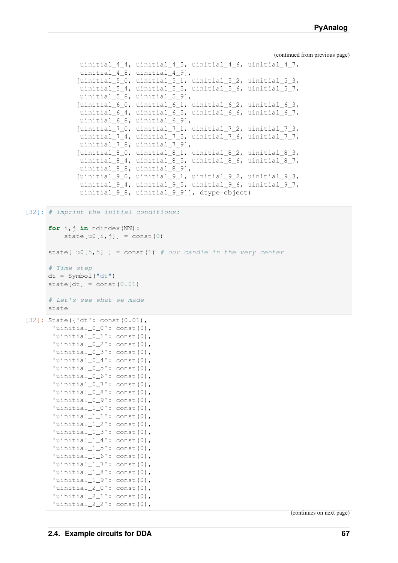```
uinitial_4_4, uinitial_4_5, uinitial_4_6, uinitial_4_7,
uinitial_4_8, uinitial_4_9],
[uinitial_5_0, uinitial_5_1, uinitial_5_2, uinitial_5_3,
uinitial_5_4, uinitial_5_5, uinitial_5_6, uinitial_5_7,
uinitial_5_8, uinitial_5_9],
[uinitial_6_0, uinitial_6_1, uinitial_6_2, uinitial_6_3,
uinitial_6_4, uinitial_6_5, uinitial_6_6, uinitial_6_7,
uinitial_6_8, uinitial_6_9],
[uinitial_7_0, uinitial_7_1, uinitial_7_2, uinitial_7_3,
uinitial 7 4, uinitial 7 5, uinitial 7 6, uinitial 7 7,
uinitial 7 8, uinitial 7 9],
[uinitial_8_0, uinitial_8_1, uinitial_8_2, uinitial_8_3,
uinitial 8 4, uinitial 8 5, uinitial 8 6, uinitial 8 7,
uinitial_8_8, uinitial_8_9],
[uinitial_9_0, uinitial_9_1, uinitial_9_2, uinitial_9_3,
uinitial_9_4, uinitial_9_5, uinitial_9_6, uinitial_9_7,
uinitial_9_8, uinitial_9_9]], dtype=object)
```
[32]: # imprint the initial conditions:

```
for i, j in ndindex(NN):
          state[u0[i,j]] = const(0)
     state[ u0[5,5] ] = const(1) # our candle in the very center
     # Time step
     dt = Symbol("dt")
     state[dt] = const(0.01)# Let's see what we made
     state
[32]: State({'dt': const(0.01),
      'uinitial_0_0': const(0),
       'uinitial_0_1': const(0),
       'uinitial_0_2': const(0),
       'uinitial_0_3': const(0),
       'uinitial_0_4': const(0),
       'uinitial_0_5': const(0),
       'uinitial_0_6': const(0),
       'uinitial_0_7': const(0),
       'uinitial 0 8': const(0),
       'uinitial 0 9': const(0),
       'uinitial 1 0': const(0),
       'uinitial_1_1': const(0),
       'uinitial_1_2': const(0),
       'uinitial1_3': const(0),
       'uinitial1_4': const(0),
       'uinitial1_5': const(0),
       'uinitial_1_6': const(0),
       'uinitial_1_7': const(0),
       'uinitial_1_8': const(0),
       'uinitial 1 9': const(0),
       'uinitial_2_0': const(0),
       'uinitial2_1': const(0),
       'uinitial_2_2': const(0),
```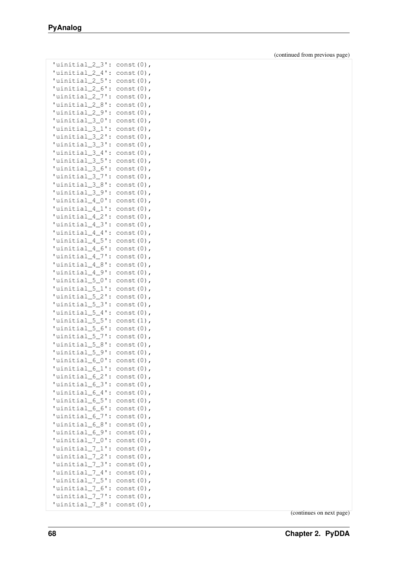| 'uinitial_2_3'                   | $const(0)$ ,                |
|----------------------------------|-----------------------------|
| $\ddot{\cdot}$                   |                             |
| 'uinitial_2_4'<br>$\vdots$       | $const(0)$ ,                |
| 'uinitial_2_5'<br>$\ddot{\cdot}$ | const (0)                   |
| 'uinitial_2_6'<br>$\ddot{\cdot}$ | const (0)                   |
| 'uinitial_2_7'<br>$\ddot{\cdot}$ | const<br>(0)                |
| 'uinitial_2_8'<br>$\ddot{\cdot}$ | const<br>(0)                |
| 'uinitial 2 9'<br>$\ddot{\cdot}$ | const (0)                   |
| 'uinitial_3_0'<br>$\ddot{\cdot}$ | const (0)                   |
| 'uinitial 3 1                    | const (0)                   |
| $\ddot{\cdot}$                   |                             |
| 'uinitial 3 2<br>$\ddot{\cdot}$  | const (0)                   |
| 'uinitial 3 3'<br>$\ddot{\cdot}$ | const (0)                   |
| 'uinitial 3 4'<br>$\ddot{\cdot}$ | const (0)                   |
| 'uinitial 3 5'<br>$\ddot{\cdot}$ | const (0)                   |
| uinitial 3 6<br>$\ddot{\cdot}$   | const (0)                   |
| 'uinitial_3_7<br>$\ddot{\cdot}$  | const (0)                   |
| uinitial 3 8<br>$\ddot{\cdot}$   | const (0)                   |
| 'uinitial_3_9'<br>$\ddot{\cdot}$ | const (0)                   |
| 'uinitial 4 0'<br>$\ddot{\cdot}$ | const (0)                   |
| 'uinitial_4_1                    | const (0)                   |
| $\ddot{\cdot}$                   |                             |
| 'uinitial_4_2<br>$\ddot{\cdot}$  | const (0)                   |
| 'uinitial_4_3'<br>$\ddot{\cdot}$ | const (0)                   |
| 'uinitial 4 4'<br>$\ddot{\cdot}$ | const (0)                   |
| 'uinitial_4_5'<br>$\ddot{\cdot}$ | const (0)                   |
| 'uinitial_4_6'<br>$\ddot{\cdot}$ | const (0)                   |
| 'uinitial_4_7'<br>$\ddot{\cdot}$ | const (0)                   |
| uinitial_4_8<br>$\ddot{\cdot}$   | const (0)                   |
| 'uinitial_4_9'<br>$\ddot{\cdot}$ | const (0)                   |
| uinitial_5_0"<br>$\ddot{\cdot}$  | const (0)                   |
| 'uinitial_5_1<br>$\ddot{\cdot}$  | const (0)                   |
| 'uinitial_5_2<br>$\ddot{\cdot}$  | const (0)                   |
| 'uinitial_5_3'                   |                             |
| $\ddot{\cdot}$                   | const (0)                   |
| 'uinitial_5_4<br>$\ddot{\cdot}$  | const (0)                   |
| 'uinitial 5 5'<br>$\ddot{\cdot}$ | const (1)                   |
| 'uinitial 5 6'<br>$\ddot{\cdot}$ | const (0)                   |
| 'uinitial_5_7'<br>$\ddot{\cdot}$ | const (0)                   |
| 'uinitial_5_8'<br>$\ddot{\cdot}$ | const (0)                   |
| 'uinitial_5_9'<br>$\ddot{\cdot}$ | $const(0)$ ,                |
| uinitial_6_0'<br>$\ddot{\cdot}$  | const (0)                   |
| 'uinitial_6_1'<br>$\ddot{\cdot}$ | const (0)                   |
| 'uinitial_6_2'<br>$\vdots$       | const (0)                   |
| 'uinitial_6_3'<br>$\vdots$       | const (0)                   |
| 'uinitial_6_4'<br>$\ddot{\cdot}$ | const (0)                   |
|                                  |                             |
| 'uinitial_6_5'<br>$\ddot{\cdot}$ | $const(0)$ ,                |
| 'uinitial_6_6'<br>$\ddot{\cdot}$ | const (0)                   |
| 'uinitial_6_7'<br>$\ddot{\cdot}$ | $const(0)$ ,                |
| 'uinitial_6_8'<br>$\ddot{\cdot}$ | const (0)                   |
| 'uinitial_6_9'<br>$\ddot{\cdot}$ | const (0)                   |
| 'uinitial_7_0'<br>$\ddot{\cdot}$ | const (0)                   |
| 'uinitial_7_1'<br>$\ddot{\cdot}$ | const (0)                   |
| 'uinitial_7_2'<br>$\ddot{\cdot}$ | const (0)                   |
| 'uinitial_7_3'<br>$\ddot{\cdot}$ | const (0)                   |
| 'uinitial_7_4'<br>$\ddot{\cdot}$ | const (0)                   |
| 'uinitial_7_5'<br>$\ddot{\cdot}$ | const (0)<br>$\overline{ }$ |
|                                  | $const(0)$ ,                |
| 'uinitial_7_6'<br>$\ddot{\cdot}$ |                             |
| 'uinitial_7_7'<br>$\ddot{\cdot}$ | const (0)<br>$\overline{ }$ |
| 'uinitial_7_8':                  | $const(0)$ ,                |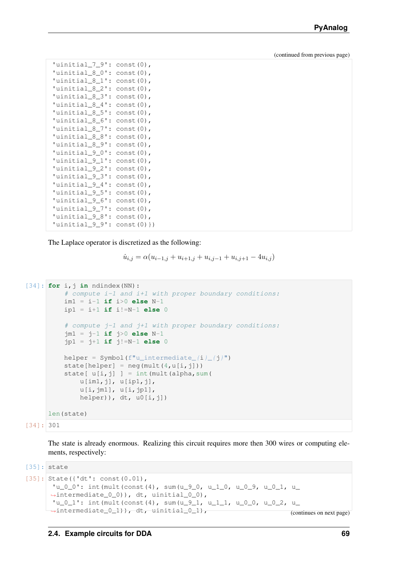```
'uinitial_7_9': const(0),
'uinitial_8_0': const(0),
'uinitial 8 1': const(0),
'uinitial_8_2': const(0),
'uinitial_8_3': const(0),
'uinitial_8_4': const(0),
'uinitial_8_5': const(0),
'uinitial_8_6': const(0),
'uinitial_8_7': const(0),
'uinitial 8 8': const(0),
'uinitial 89': const(0),
'uinitial_9_0': const(0),
'uinitial 9 1': const(0),
'uinitial_9_2': const(0),
'uinitial_9_3': const(0),
'uinitial_9_4': const(0),
'uinitial_9_5': const(0),
'uinitial_9_6': const(0),
'uinitial_9_7': const(0),
'uinitial_9_8': const(0),
'uinitial_9_9': const(0) })
```
The Laplace operator is discretized as the following:

```
\dot{u}_{i,j} = \alpha (u_{i-1,j} + u_{i+1,j} + u_{i,j-1} + u_{i,j+1} - 4u_{i,j})
```

```
[34]: for i,j in ndindex(NN):
         # compute i-1 and i+1 with proper boundary conditions:
         im1 = i-1 if i>0 else N-1
         ip1 = i+1 if i!=N-1 else 0
          # compute j-1 and j+1 with proper boundary conditions:
         jm1 = j-1 if j>0 else N-1
         jp1 = j+1 if j!=N-1 else 0
         helper = Symbol(f"u_intermediate_(i) /j")
         state[helper] = neg(mult(4, u[i, j]))state[u[i, j]] = int(mult(alpha, sum(
             u[im1,j], u[ip1,j],
              u[i,jm1], u[i,jp1],
              helper)), dt, u0[i,j])
     len(state)
```

```
[34]: 301
```
The state is already enormous. Realizing this circuit requires more then 300 wires or computing elements, respectively:

```
[35]: state
[35]: State({'dt': const(0.01),
      'u_0_0': int(mult(const(4), sum(u_9_0, u_1_0, u_0_9, u_0_1, u_
      ˓→intermediate_0_0)), dt, uinitial_0_0),
      'u_0_1': int(mult(const(4), sum(u_9_1, u_1_1, u_0_0, u_0_2, u_
     →intermediate_0_1)), dt, uinitial_0_1), (continues on next page)
```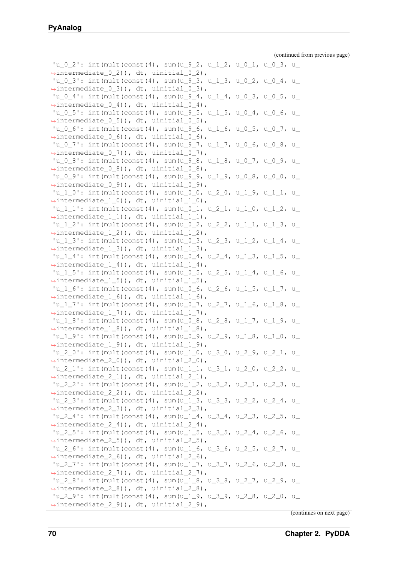```
'u_0_2': int (mult (const(4), sum(u_9_2, u_1_2, u_0_1, u_0_3, u_
˓→intermediate_0_2)), dt, uinitial_0_2),
'u_0_3'': int (mult (const (4), sum (u_9_3, u_1_3, u_0_2, u_0_4, u_1˓→intermediate_0_3)), dt, uinitial_0_3),
'u_0_4': int(mult(const(4), sum(u_9_4, u_1_4, u_0_3, u_0_5, u_
˓→intermediate_0_4)), dt, uinitial_0_4),
'u_0_5'': int(mult(const(4), sum(u_9_5, u_1_5, u_0_4, u_0_6, u_1˓→intermediate_0_5)), dt, uinitial_0_5),
'u_0_6'': int (mult (const (4), sum (u_0_6, u_1_6, u_0_5, u_0_7, u_1˓→intermediate_0_6)), dt, uinitial_0_6),
'u_0_7': int(mult(const(4), sum(u_9_7, u_1_7, u_0_6, u_0_8, u_
˓→intermediate_0_7)), dt, uinitial_0_7),
'u_0_8': int(mult(const(4), sum(u_9_8, u_1_8, u_0_7, u_0_9, u_
˓→intermediate_0_8)), dt, uinitial_0_8),
'u_0_9'': int (mult (const(4), sum(u_9_9, u_1_9, u_0_8, u_0_0, u_
˓→intermediate_0_9)), dt, uinitial_0_9),
'u_1_0': int(mult(const (4), sum(u_0_0, u_2_0, u_1, 9, u_1, u_1))˓→intermediate_1_0)), dt, uinitial_1_0),
'u_1_1': int(mult(const(4), sum(u_0_1, u_2_1, u_1_0, u_1_2, u_1))˓→intermediate_1_1)), dt, uinitial_1_1),
'u_1_2'': int (mult (const (4), sum (u_0_2, u_2_2, u_1_1, u_1_3, u_
˓→intermediate_1_2)), dt, uinitial_1_2),
'u_1_3': int (mult (const (4), sum (u_0_3, u_2_3, u_1_2, u_1_4, u_1_5˓→intermediate_1_3)), dt, uinitial_1_3),
'u_1_4': int(mult(const(4), sum(u_0_4, u_2_4, u_1_3, u_1_5, u_
˓→intermediate_1_4)), dt, uinitial_1_4),
'u_1_5'': int(mult(const(4), sum(u_0_5, u_2_5, u_1_4, u_1_6, u_
˓→intermediate_1_5)), dt, uinitial_1_5),
'u_1_6': int(mult(const(4), sum(u_0_6, u_2_6, u_1_5, u_1_7, u_
˓→intermediate_1_6)), dt, uinitial_1_6),
'u_1_7'': int (mult (const(4), sum(u_0_7, u_2_7, u_1_6, u_1_8, u_
˓→intermediate_1_7)), dt, uinitial_1_7),
'u_1_8': int (mult (const (4), sum (u_0_8, u_2_8, u_1_7, u_1_9, u_1_9˓→intermediate_1_8)), dt, uinitial_1_8),
'u_1_9'': int (mult (const (4), sum (u_0_9, u_2_9, u_1_8, u_1_0, u_1_0˓→intermediate_1_9)), dt, uinitial_1_9),
'u_2_0': int (mult (const (4), sum (u_1_0, u_3_0, u_2_0, u_2_1, u_2)˓→intermediate_2_0)), dt, uinitial_2_0),
'u_2_1': int (mult(const(4), sum(u_1_1, u_3_1, u_2_0, u_2_2, u_
˓→intermediate_2_1)), dt, uinitial_2_1),
'u_2_2'': int (mult (const (4), sum (u_1_2, u_3_2, u_2_1, u_2_3, u_
˓→intermediate_2_2)), dt, uinitial_2_2),
'u_2_3'': int (mult (const(4), sum(u_1_3, u_3_3, u_2_2, u_2_4, u_1˓→intermediate_2_3)), dt, uinitial_2_3),
'u_2_4': int(mult(const(4), sum(u_1_4, u_3_4, u_2_3, u_2_5, u_
˓→intermediate_2_4)), dt, uinitial_2_4),
'u_2_5'': int (mult (const (4), sum (u_1_5, u_3_5, u_2_4, u_2_6, u_
\rightarrowintermediate_2_5)), dt, uinitial_2_5),
'u_2_6': int(mult(const(4), sum(u_1_6, u_3_6, u_2_5, u_2_7, u_
˓→intermediate_2_6)), dt, uinitial_2_6),
'u_2_7': int (mult (const (4), sum (u_1_7, u_3_7, u_2_6, u_2_8, u_
\rightarrowintermediate 2 7)), dt, uinitial 2 7),
'u_2_8'': int (mult (const(4), sum(u_1_8, u_3_8, u_2_7, u_2_9, u_1˓→intermediate_2_8)), dt, uinitial_2_8),
'u_2_9': int(mult(const(4), sum(u_1_9, u_3_9, u_2_8, u_2_0, u_
˓→intermediate_2_9)), dt, uinitial_2_9),
```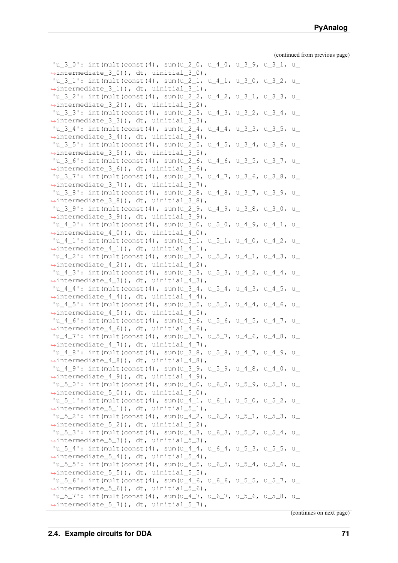```
'u_3_0': int (mult (const(4), sum(u_2_0, u_4_0, u_3_9, u_3_1, u_1˓→intermediate_3_0)), dt, uinitial_3_0),
'u_3_1': int (mult (const (4), sum (u_2_1, u_4_1, u_3_0, u_3_2, u_1˓→intermediate_3_1)), dt, uinitial_3_1),
'u_3_2': int (mult (const (4), sum (u_2_2, u_4_2, u_3_1, u_3_3, u_
˓→intermediate_3_2)), dt, uinitial_3_2),
'u_3_3': int(mult(const (4), sum(u_2_3, u_4_3, u_3_2, u_3_4, u_4))˓→intermediate_3_3)), dt, uinitial_3_3),
'u_3_4'': int (mult (const (4), sum (u_2_4, u_4_4, u_3_3, u_3_5, u_2\rightarrowintermediate 3 4)), dt, uinitial 3 4),
'u_3_5': int(mult(const(4), sum(u_2_5, u_4_5, u_3_4, u_3_6, u_1˓→intermediate_3_5)), dt, uinitial_3_5),
'u_3_6': int(mult(const(4), sum(u_2_6, u_4_6, u_3_5, u_3_7, u_
˓→intermediate_3_6)), dt, uinitial_3_6),
'u_3_7'': int (mult (const(4), sum(u_2_7, u_4_7, u_3_6, u_3_8, u_1˓→intermediate_3_7)), dt, uinitial_3_7),
'u_3_8': int (mult (const (4), sum (u_2_8, u_4_8, u_3_7, u_3_9, u_1˓→intermediate_3_8)), dt, uinitial_3_8),
'u_3_9': int(mult(const(4), sum(u_2_9, u_4_9, u_3_8, u_3_0, u_1˓→intermediate_3_9)), dt, uinitial_3_9),
'u_4_0': int (mult(const(4), sum(u_3_0, u_5_0, u_4_9, u_4_1, u_1˓→intermediate_4_0)), dt, uinitial_4_0),
'u_4_1': int (mult (const(4), sum(u_3_1, u_5_1, u_4_0, u_4_2, u_1˓→intermediate_4_1)), dt, uinitial_4_1),
'u_4_2': int (mult (const (4), sum (u_3_2, u_5_2, u_4_1, u_4_3, u_1˓→intermediate_4_2)), dt, uinitial_4_2),
'u_4_3': int(mult(const(4), sum(u_3_3, u_5_3, u_4_2, u_4_4, u_1˓→intermediate_4_3)), dt, uinitial_4_3),
'u_4_4': int(mult(const (4), sum(u_3_4, u_5_4, u_4_3, u_4_5, u_4_5))˓→intermediate_4_4)), dt, uinitial_4_4),
'u_4_5': int(mult(const(4), sum(u_3_5, u_5_5, u_4_4, u_4_6, u_1˓→intermediate_4_5)), dt, uinitial_4_5),
'u_4_6': int(mult(const(4), sum(u_3_6, u_5_6, u_4_5, u_4_7, u_1\rightarrowintermediate 4 6)), dt, uinitial 4 6),
'u_4_7'': int (mult (const (4), sum (u_3_7, u_5_7, u_4_6, u_4_8, u_1˓→intermediate_4_7)), dt, uinitial_4_7),
'u_4_8': int (mult (const (4), sum (u_3_8, u_5_8, u_4_7, u_4_9, u_
˓→intermediate_4_8)), dt, uinitial_4_8),
'u_4_9': int (mult(const(4), sum(u_3_9, u_5_9, u_4_8, u_4_0, u_1˓→intermediate_4_9)), dt, uinitial_4_9),
'u_5_0': int (mult (const (4), sum (u_4_0, u_6_0, u_5_9, u_5_1, u_
˓→intermediate_5_0)), dt, uinitial_5_0),
'u_5_1': int(mult(const (4), sum(u_4_1, u_6_1, u_5_0, u_5_2, u_1))˓→intermediate_5_1)), dt, uinitial_5_1),
'u_5_2': int (mult (const(4), sum(u_4_2, u_6_2, u_5_1, u_5_3, u_
˓→intermediate_5_2)), dt, uinitial_5_2),
'u_{-5} : int (mult (const (4), sum (u_4_3, u_6_3, u_5_2, u_5_4, u_
˓→intermediate_5_3)), dt, uinitial_5_3),
'u_5_4': int(mult(const(4), sum(u_4_4, u_6_4, u_5_3, u_5_5, u_
˓→intermediate_5_4)), dt, uinitial_5_4),
'u_5_5': int (mult (const (4), sum (u_4_5, u_6_5, u_5_4, u_5_6, u_
\rightarrowintermediate 5 5)), dt, uinitial 5 5),
'u_5_6': int(mult(const(4), sum(u_4_6, u_6_6, u_5_5, u_5_7, u_
˓→intermediate_5_6)), dt, uinitial_5_6),
'u_{-5}7': int(mult(const(4), sum(u_4_7, u_6_7, u_5_6, u_5_8, u_
˓→intermediate_5_7)), dt, uinitial_5_7),
```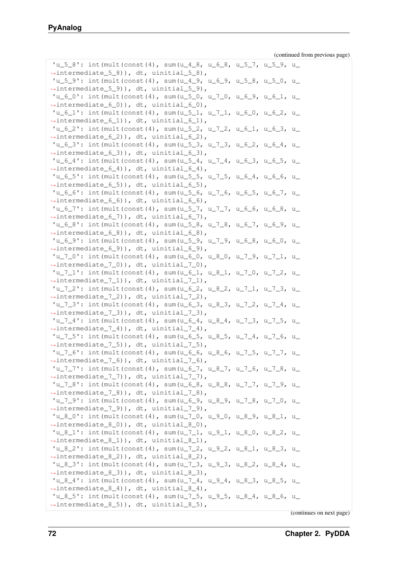```
'u_5_8': int (mult (const(4), sum(u_4_8, u_6_8, u_5_7, u_5_9, u_1˓→intermediate_5_8)), dt, uinitial_5_8),
'u_5_9': int (mult (const (4), sum (u_4_9, u_6_9, u_5_8, u_5_0, u_1˓→intermediate_5_9)), dt, uinitial_5_9),
'u_6_0': int (mult (const (4), sum (u_5_0, u_7_0, u_6_9, u_6_1, u_1˓→intermediate_6_0)), dt, uinitial_6_0),
'u_6_1': int(mult(const (4), sum(u_5_1, u_7_1, u_6_0, u_6_2, u_1))˓→intermediate_6_1)), dt, uinitial_6_1),
'u_6_2': int (mult (const (4), sum (u_5_2, u_7_2, u_6_1, u_6_3, u_1˓→intermediate_6_2)), dt, uinitial_6_2),
'u_6_3': int(mult(const(4), sum(u_5_3, u_7_3, u_6_2, u_6_4, u_
˓→intermediate_6_3)), dt, uinitial_6_3),
'u_6_4'': int (mult (const(4), sum(u_5_4, u_7_4, u_6_3, u_6_5, u_1˓→intermediate_6_4)), dt, uinitial_6_4),
'u_6_5'': int(mult(const(4), sum(u_5_5, u_7_5, u_6_4, u_6_6, u_7˓→intermediate_6_5)), dt, uinitial_6_5),
'u_6_6'': int (mult (const (4), sum (u_5_6, u_7_6, u_6_5, u_6_7, u_1˓→intermediate_6_6)), dt, uinitial_6_6),
'u_6_7': int (mult (const (4), sum (u_5_7, u_7_7, u_6_6, u_6_8, u_
˓→intermediate_6_7)), dt, uinitial_6_7),
'u_{-6-8}'': int (mult (const (4), sum (u_{-5-8}, u_{-7-8}, u_{-6-7}, u_{-6-9}, u_{-7}˓→intermediate_6_8)), dt, uinitial_6_8),
'u_6_9': int (mult (const (4), sum (u_5_9, u_7_9, u_6_8, u_6_0, u_1˓→intermediate_6_9)), dt, uinitial_6_9),
'u_7_0': int(mult(const(4), sum(u_6_0, u_8_0, u_7_9, u_7_1, u_
˓→intermediate_7_0)), dt, uinitial_7_0),
'u_7_1': int(mult(const (4), sum(u_6_1, u_8_1, u_7_0, u_7_2, u_2))˓→intermediate_7_1)), dt, uinitial_7_1),
'u_2': int(mult(const(4), sum(u_6_2, u_8_2, u_7_1, u_7_3, u_
˓→intermediate_7_2)), dt, uinitial_7_2),
'u_{1}, 3': int(mult(const(4), sum(u_{6}, 6, u_{8}, u_{1}, u_{1}, u_{1}, u_{1}, u_{2}, u_{1}, u_{2}˓→intermediate_7_3)), dt, uinitial_7_3),
'u_{-7\_4}': int(mult(const(4), sum(u_{-6\_4}, u_{-8\_4}, u_{-7\_3}, u_{-7\_5}, u_{-7\_4}˓→intermediate_7_4)), dt, uinitial_7_4),
'u_{17\_5}': int(mult(const(4), sum(u_{16\_5}, u_{18\_5}, u_{17\_4}, u_{17\_6}, u_{18\_6}˓→intermediate_7_5)), dt, uinitial_7_5),
'u_7_6': int(mult(const(4), sum(u_6_6, u_8_6, u_7_5, u_7_7, u_
˓→intermediate_7_6)), dt, uinitial_7_6),
'u_7_7': int (mult (const (4), sum (u_6'_7, u_8'_7, u_7'_6, u_7'_8, u_8'_7˓→intermediate_7_7)), dt, uinitial_7_7),
'u_{-7-8}': int(mult(const(4), sum(u_{-6-8}, u_{-8-8}, u_{-7-7}, u_{-7-9}, u_{-8}˓→intermediate_7_8)), dt, uinitial_7_8),
'u_7_9': int(mult(const(4), sum(u_6_9, u_8_9, u_7_8, u_7_0, u_
˓→intermediate_7_9)), dt, uinitial_7_9),
'u_8_0': int(mult(const(4), sum(u_7_0, u_9_0, u_8_9, u_8_1, u_
˓→intermediate_8_0)), dt, uinitial_8_0),
'u_8_1': int(mult(const(4), sum(u_7_1, u_9_1, u_8_0, u_8_2, u_
\rightarrowintermediate_8_1)), dt, uinitial_8_1),
'u_8_2': int(mult(const(4), sum(u_7_2, u_9_2, u_8_1, u_8_3, u_
˓→intermediate_8_2)), dt, uinitial_8_2),
'u_8_3': int(mult(const(4), sum(u_7_3, u_9_3, u_8_2, u_8_4, u_
\rightarrowintermediate 8 3)), dt, uinitial 8 3),
'u_8_4'': int (mult (const(4), sum(u_7_4, u_9_4, u_8_3, u_8_5, u_1˓→intermediate_8_4)), dt, uinitial_8_4),
'u_8_5'': int (mult (const (4), sum (u_7_5, u_9_5, u_8_4, u_8_6, u_
˓→intermediate_8_5)), dt, uinitial_8_5),
```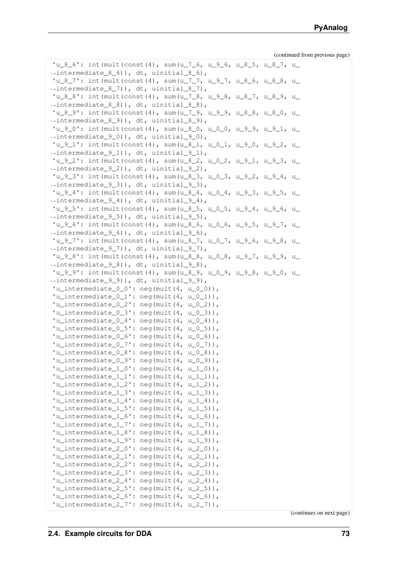```
'u_8_6': int(mult(const(4), sum(u_7_6, u_9_6, u_8_5, u_8_7, u_
˓→intermediate_8_6)), dt, uinitial_8_6),
'u_8_7': int (mult (const (4), sum (u_7_7, u_9_7, u_8_6, u_8_8, u_9˓→intermediate_8_7)), dt, uinitial_8_7),
'u_8_8': int (mult (const (4), sum (u_7_8, u_9_8, u_8_7, u_1_8_9, u_1˓→intermediate_8_8)), dt, uinitial_8_8),
'u_8_9': int (mult (const (4), sum (u_7_9, u_9_9, u_8_8, u_8_0, u_
˓→intermediate_8_9)), dt, uinitial_8_9),
'u_9_0': int (mult (const (4), sum (u_8_0, u_0_0, u_9_9, u_9_1, u_1→intermediate 9 0)), dt, uinitial 9 0),
'u_9_1': int(mult(const(4), sum(u_8_1, u_0_1, u_9_0, u_9_2, u_
˓→intermediate_9_1)), dt, uinitial_9_1),
'u_9_2': int(mult(const(4), sum(u_8_2, u_0_2, u_9_1, u_9_3, u_
˓→intermediate_9_2)), dt, uinitial_9_2),
'u_9_3'': int (mult (const (4), sum (u_8_3, u_0_3, u_9_2, u_9_4, u_1˓→intermediate_9_3)), dt, uinitial_9_3),
'u_9_4'': int (mult (const (4), sum (u_8_4, u_0_4, u_9_3, u_9_5, u_1˓→intermediate_9_4)), dt, uinitial_9_4),
'u_9_5'': int (mult (const (4), sum (u_8_5, u_0_5, u_9_4, u_9_6, u_1˓→intermediate_9_5)), dt, uinitial_9_5),
'u_9_6'': int (mult (const (4), sum (u_8_6, u_0_6, u_9_5, u_9_7, u_1˓→intermediate_9_6)), dt, uinitial_9_6),
'u_9_7': int(mult(const(4), sum(u_8_7, u_0_7, u_9_6, u_9_8, u_
˓→intermediate_9_7)), dt, uinitial_9_7),
'u_{-}9_{-}8': int(mult(const(4), sum(u_{-}8_{-}8, u_{-}0_{-}8, u_{-}9_{-}7, u_{-}9_{-}9, u_{-}˓→intermediate_9_8)), dt, uinitial_9_8),
'u_9_9': int(mult(const(4), sum(u_8_9, u_0_9, u_9_8, u_9_0, u_
˓→intermediate_9_9)), dt, uinitial_9_9),
'u_intermediate_0<sup>'</sup>: neg(mult(4, u_0<sup>0</sup>)),
'u_intermediate_0_1': neg(mult(4, u_0_1)),
'u_intermediate_0_2': neg(mult(4, u_0_2)),
'u_intermediate 0_3': neg(mult(4, u 0 3)),
'u_internediate_0_4': neg(mult(4, u_0_4)),'u_intermediate 0\ 5': neg(mult(4, u 0 5)),
'u_intermediate_0_6': neg(mult(4, u_0_6)),
'u_intermediate_0_7': neg(mult(4, u_0_7)),
'u_intermediate_0_8': neg(mult(4, u_0_8)),
'u_intermediate_0_9': neg(mult(4, u_0_9)),
'u_intermediate1_0': neg(mult(4, u_1_0)),
'u_intermediate_1_1': neg(mult(4, u_1_1)),
'u_intermediate_1_2': neg(mult(4, u_1_2)),
'u_intermediate1_3': neg(mult(4, u1_3)),
'u_intermediate1_4': neg(mult(4, u1_4)),
'u_intermediate1_5': neg(mult(4, u1_5)),
'u_intermediate1_6': neg(mult(4, u1_6)),
'u_intermediate1_7': neg(mult(4, u1_7)),
'u_intermediate1_8': neg(mult(4, u1_8)),
'u_intermediate1_9': neg(mult(4, u1_9)),
'u_intermediate_2_0': neg(mult(4, u_2_0)),
'u_intermediate2_1': neg(mult(4, u2_1)),
'u_intermediate_2_2': neg(mult(4, u_2_2)),
'u_intermediate_2_3': neg(mult(4, u_2_3)),
'u_intermediate_2_4': neg(mult(4, u_2_4)),
'u_intermediate2_5': neg(mult(4, u2_5)),
'u_intermediate2_6': neg(mult(4, u2_6)),
'u_internediate_27': neg(mult(4, u_27)),(continues on next page)
```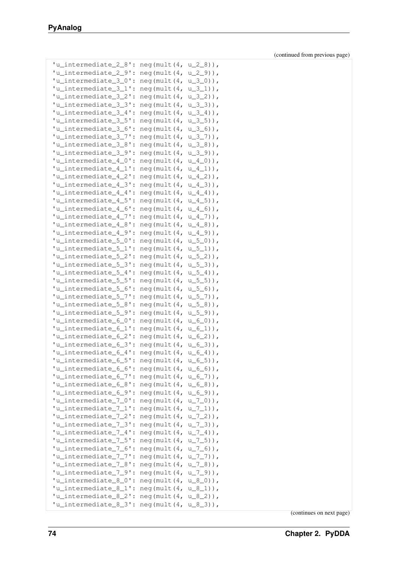| 'u_intermediate_2_8': | neg(mult(4,        | $u_2_8)$ ,        |
|-----------------------|--------------------|-------------------|
| 'u_intermediate_2_9': | neg(mult(4,        | $u_{29}$ ),       |
| 'u_intermediate_3_0': | neg(mult(4,        | $u_{30}$ $)$ ,    |
| 'u_intermediate_3_1': | neg(mult(4,        | $u_{31}$ ),       |
| 'u_intermediate_3_2': | neg(mult(4,        | $u_{32}$ )),      |
| 'u_intermediate_3_3': | neg(mult(4,        | $u_{3,3}$ )),     |
| 'u_intermediate_3_4': | neg (mult (4,      | $u_{-3-4}$ )),    |
| 'u_intermediate_3_5': |                    |                   |
|                       | neg (mult (4,      | $u_{-}3_{-}5)$ ), |
| 'u_intermediate_3_6': | neg(mult(4,        | $u_{3-6}$ )),     |
| 'u_intermediate_3_7': | neg(mult(4,        | $u_{37}$ ),       |
| 'u_intermediate_3_8': | neg(mult(4,        | $u_{3-8}$ )),     |
| 'u_intermediate_3_9': | neg(mult(4,        | $u_{39}$ ),       |
| 'u_intermediate_4_0': | neg(mult(4,        | $u_4_0)$ ),       |
| 'u_intermediate_4_1': | neg(mult(4,        | $u_4_1)$ ,        |
| 'u_intermediate_4_2': | neg(mult(4,        | $u_4_2)$ ),       |
| 'u_intermediate_4_3': | neg(mult(4,        | $u_4_3)$ ),       |
| 'u_intermediate_4_4': | neg(mult(4,        | $u_4_4)$ ),       |
| 'u_intermediate_4_5': | neg (mult (4,      | $u_4_5)$ ),       |
| 'u_intermediate_4_6': | neg(mult(4,        | $u_4_6)$ ),       |
| 'u_intermediate_4_7': | neg(mult(4,        | $u_47)$ ),        |
| 'u_intermediate_4_8': | neg(mult(4,        | $u_4_8)$ ),       |
| 'u_intermediate_4_9': | neg(mult(4,        | $u_49)$ ,         |
| 'u_intermediate_5_0': | neg(mult(4,        | $u_{50}$ $),$     |
| 'u_intermediate_5_1': | neg(mult(4,        | $u_{51}$ ),       |
| 'u_intermediate_5_2': | neg(mult(4,        | $u_{52}$ )),      |
| 'u_intermediate_5_3': | neg (mult $(4, 4)$ | $u_{5-3}$ ) ),    |
| 'u_intermediate_5_4': | neg(mult(4,        | $u_{-5-4}$ )),    |
| 'u_intermediate_5_5': | neg (mult $(4, 4)$ | $u_{5-5}$ )),     |
| 'u_intermediate_5_6': | neg (mult $(4, 4)$ | $u_{5-6}$ ) ),    |
| 'u_intermediate_5_7': | neg (mult $(4, 4)$ |                   |
| 'u_intermediate_5_8': |                    | $u_{5-7}$ ) ),    |
|                       | neg (mult $(4, 4)$ | $u_{5-8}$ ) ),    |
| 'u_intermediate_5_9': | neg (mult $(4, 4)$ | $u_{5-9}$ ) ),    |
| 'u_intermediate_6_0': | neg (mult $(4, 4)$ | $u_{60}$ $)$ ,    |
| 'u_intermediate_6_1': | neg(mult(4,        | $u_{61}$ )),      |
| 'u_intermediate_6_2': | neg (mult $(4, 4)$ | $u_{-6-2})$ ),    |
| 'u_intermediate_6_3': | neg (mult $(4, 4)$ | $u_{6,3}$ )),     |
| 'u_intermediate_6_4': | neg (mult $(4, 4)$ | $u_{-6-4}$ )),    |
| 'u_intermediate_6_5': | neg(mult(4,        | $u_{6-5}$ ) ),    |
| 'u_intermediate_6_6': | neg(mult(4,        | $u_{6-6}$ )),     |
| 'u_intermediate_6_7': | neg (mult (4,      | $u_{6-7}$ ) ),    |
| 'u_intermediate_6_8': | neg(mult(4,        | $u_{6.8}$ ) ),    |
| 'u_intermediate_6_9': | neg(mult(4,        | $u_{69}$ ) ),     |
| 'u_intermediate_7_0': | neg(mult(4,        | $u_{-7-0)$ ),     |
| 'u_intermediate_7_1': | neg(mult(4,        | $u_{171}$ )),     |
| 'u_intermediate_7_2': | neg (mult (4,      | $u_{72}$ )),      |
| 'u_intermediate_7_3': | neg (mult (4,      | $u_{73}$ )),      |
| 'u_intermediate_7_4': | neg(mult(4,        | $u_{-7-4}$ )),    |
| 'u_intermediate_7_5': | neg(mult(4,        | $u_{-7-5}$ )),    |
| 'u_intermediate_7_6': | neg(mult(4,        | $u_{-7-6}$ )),    |
| 'u_intermediate_7_7': | neg(mult(4,        | $u_{7-7}$ , $n,$  |
| 'u_intermediate_7_8': | neg(mult(4,        | $u_{78}$ )),      |
| 'u_intermediate_7_9': | neg(mult(4,        | $u_{79}$ )),      |
| 'u_intermediate_8_0': | neg(mult(4,        | $u_8_0)$ ),       |
| 'u_intermediate_8_1': | neg(mult(4,        | $u_{81})$ ,       |
| 'u_intermediate_8_2': | neg(mult(4,        | $u_{82})$ ,       |
| 'u_intermediate_8_3': | neg (mult $(4, 4)$ | $u_8_3)$ ,        |
|                       |                    |                   |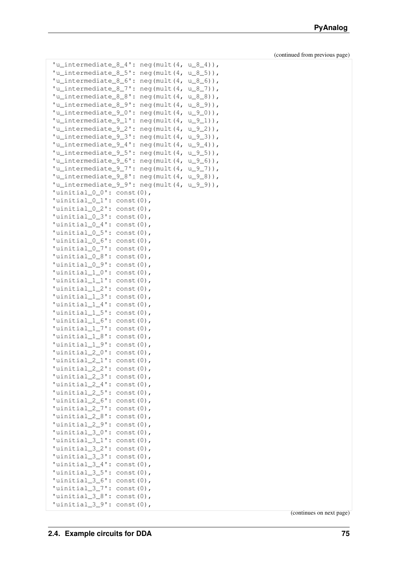| 'u_intermediate_8_4':         | neg(mult(4,<br>$u_{84})$ ,                            |
|-------------------------------|-------------------------------------------------------|
| 'u_intermediate_8_5':         | $u_{8-5}$ ) ),<br>neg(mult(4,                         |
| 'u_intermediate_8_6':         | $u_{8-6}$ ) ),<br>$neq$ (mult $(4, 4)$                |
| 'u_intermediate_8_7':         | $u_{8-7}$ ) ),<br>neg(mult(4,                         |
| 'u_intermediate_8_8':         | $u_{8-8)$ ,<br>$neq$ (mult $(4, 4)$                   |
| 'u intermediate 8 9':         | $u_{8-9)$ ),<br>$neq$ (mult $(4, 4)$                  |
| 'u_intermediate_9_0':         | $u_{90}$ ) ),                                         |
|                               | neg(mult(4,                                           |
| 'u_intermediate_9_1':         | $u_{91}$ ) ,<br>neg(mult(4,                           |
| 'u_intermediate_9_2':         | $u_{92}$ )),<br>$neq$ (mult $(4, 4)$                  |
| 'u_intermediate_9_3':         | $u_{9.3}$ )),<br>$neq$ (mult $(4, 4)$                 |
| 'u intermediate 9 4':         | $u_{94}$ ),<br>neg(mult(4,                            |
| 'u_intermediate_9_5':         | $u_{9-5}$ ) ),<br>neg(mult(4,                         |
|                               | 'u_intermediate_9_6': neg(mult(4,<br>$u_{9-6)$ ,      |
|                               | 'u_intermediate_9_7': neg(mult(4,<br>$u_{97}$ \, 0 \, |
|                               | 'u_intermediate_9_8': neg(mult(4, $u_9$ _8)),         |
|                               | $'u_$ intermediate_9_9': neg(mult(4, $u_9$ _9)),      |
| 'uinitial_0_0': const(0),     |                                                       |
| 'uinitial_0_1': const(0),     |                                                       |
| 'uinitial_0_2': $const(0)$ ,  |                                                       |
| 'uinitial_ $0_3$ ': const(0), |                                                       |
| 'uinitial_0_4': const(0),     |                                                       |
| 'uinitial_0_5': const(0),     |                                                       |
| 'uinitial_0_6': const(0),     |                                                       |
| 'uinitial_0_7': $const(0)$ ,  |                                                       |
| 'uinitial_0_8': const(0),     |                                                       |
| 'uinitial_0_9':               | $const(0)$ ,                                          |
| $'$ uinitial_ $1_0$ ':        | $const(0)$ ,                                          |
| 'uinitial_1_1':               | $const(0)$ ,                                          |
| 'uinitial_1_2':               | $const(0)$ ,                                          |
| 'uinitial_1_3':               | $const(0)$ ,                                          |
| 'uinitial_1_4':               | $const(0)$ ,                                          |
| $'$ uinitial $1_5$ ':         | $const(0)$ ,                                          |
| 'uinitial_1_6': const(0),     |                                                       |
| 'uinitial_1_7': $const(0)$ ,  |                                                       |
| 'uinitial_1_8': const(0),     |                                                       |
| 'uinitial_1_9': $const(0)$ ,  |                                                       |
| 'uinitial_2_0':               | $const(0)$ ,                                          |
| 'uinitial_2_1':               | $const(0)$ ,                                          |
| 'uinitial_2_2': const(0),     |                                                       |
| 'uinitial_2_3': const(0),     |                                                       |
| 'uinitial_2_4': const(0),     |                                                       |
| 'uinitial_2_5': const(0),     |                                                       |
| 'uinitial_2_6': const(0),     |                                                       |
| 'uinitial_2_7': const(0),     |                                                       |
| 'uinitial_2_8': const(0),     |                                                       |
| 'uinitial_2_9': $const(0)$ ,  |                                                       |
| 'uinitial_3_0': const(0),     |                                                       |
| 'uinitial_3_1': $const(0)$ ,  |                                                       |
| 'uinitial_3_2': $const(0)$ ,  |                                                       |
| 'uinitial_3_3': $const(0)$ ,  |                                                       |
| 'uinitial_3_4': $const(0)$ ,  |                                                       |
| 'uinitial_3_5': $const(0)$ ,  |                                                       |
| 'uinitial_3_6': const(0),     |                                                       |
| 'uinitial_3_7': $const(0)$ ,  |                                                       |
| 'uinitial_3_8': $const(0)$ ,  |                                                       |
| 'uinitial_3_9': $const(0)$ ,  |                                                       |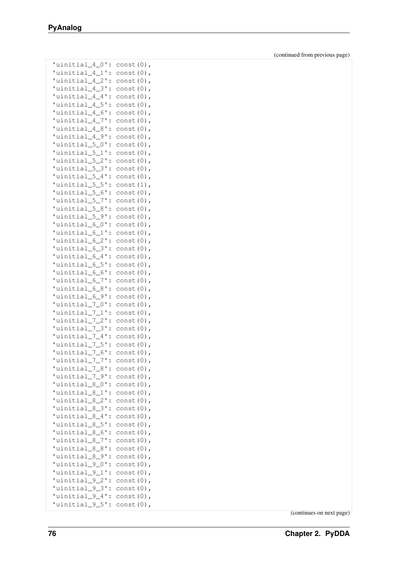| 'uinitial_4_1'<br>$const(0)$ ,<br>$\vdots$<br>'uinitial_4_2'<br>const (0)<br>$\ddot{\cdot}$<br>'uinitial_4_3'<br>const (0)<br>$\ddot{\cdot}$<br>'uinitial 4 4'<br>const (0)<br>$\ddot{\cdot}$<br>'uinitial_4_5'<br>const (0)<br>$\ddot{\cdot}$<br>'uinitial_4_6'<br>const (0)<br>$\ddot{\cdot}$<br>'uinitial_4_7'<br>const (0)<br>$\ddot{\cdot}$<br>'uinitial_4_8<br>const (0)<br>$\ddot{\cdot}$<br>'uinitial_4_9'<br>const (0)<br>$\ddot{\cdot}$<br>'uinitial_5_0'<br>const (0)<br>$\ddot{\cdot}$<br>'uinitial_5_1<br>$\ddot{\cdot}$<br>const (0)<br>'uinitial_5_2<br>const (0)<br>$\ddot{\cdot}$<br>'uinitial 5 3'<br>$\ddot{\cdot}$<br>const (0)<br>'uinitial 5 4'<br>$\ddot{\cdot}$<br>const (0)<br>'uinitial_5_5'<br>const (1)<br>$\ddot{\cdot}$<br>'uinitial_5_6'<br>const (0)<br>$\ddot{\cdot}$<br>'uinitial 5 7'<br>const (0)<br>$\ddot{\cdot}$<br>'uinitial_5_8<br>const (0)<br>$\ddot{\cdot}$<br>'uinitial_5_9'<br>const (0)<br>$\ddot{\cdot}$<br>'uinitial_6_0<br>const (0)<br>$\ddot{\cdot}$<br>'uinitial 6 1<br>const (0)<br>$\ddot{\cdot}$<br>'uinitial 6 2<br>const (0)<br>$\ddot{\cdot}$<br>'uinitial_6_3'<br>const (0)<br>$\ddot{\cdot}$<br>'uinitial_6_4<br>const (0)<br>$\ddot{\cdot}$<br>'uinitial_6_5<br>const (0)<br>$\ddot{\cdot}$<br>uinitial_6_6'<br>const (0)<br>$\ddot{\cdot}$<br>'uinitial_6_7<br>const (0)<br>$\ddot{\cdot}$<br>'uinitial_6_8<br>const (0)<br>$\ddot{\cdot}$<br>'uinitial_6_9'<br>const (0)<br>$\ddot{\cdot}$<br>'uinitial_7_0<br>const (0)<br>$\ddot{\cdot}$<br>'uinitial_7_1<br>const (0)<br>$\ddot{\cdot}$<br>'uinitial 7 2<br>const (0)<br>$\ddot{\cdot}$<br>'uinitial_7_3'<br>const (0)<br>$\ddot{\cdot}$<br>'uinitial 7 4'<br>const (0)<br>$\ddot{\cdot}$<br>'uinitial_7_5'<br>const (0)<br>$\ddot{\cdot}$<br>'uinitial_7_6'<br>$const(0)$ ,<br>$\ddot{\cdot}$<br>uinitial_7_7'<br>const (0)<br>$\ddot{\cdot}$<br>'uinitial_7_8':<br>const (0)<br>'uinitial_7_9':<br>const (0)<br>'uinitial_8_0'<br>$\ddot{\cdot}$<br>const (0)<br>'uinitial_8_1'<br>$\ddot{\cdot}$<br>const (0)<br>'uinitial_8_2'<br>const (0)<br>$\ddot{\cdot}$<br>'uinitial_8_3'<br>const (0)<br>$\ddot{\cdot}$<br>'uinitial_8_4'<br>const (0)<br>$\ddot{\cdot}$<br>'uinitial_8_5'<br>$\ddot{\cdot}$<br>const (0)<br>'uinitial_8_6'<br>const (0)<br>$\ddot{\cdot}$<br>'uinitial_8_7'<br>$\ddot{\cdot}$<br>const (0)<br>'uinitial_8_8'<br>const (0)<br>$\ddot{\cdot}$<br>'uinitial_8_9'<br>$\ddot{\cdot}$<br>const (0)<br>'uinitial_9_0'<br>const (0)<br>$\ddot{\cdot}$<br>'uinitial_9_1'<br>const (0)<br>$\vdots$<br>'uinitial_9_2'<br>const (0)<br>$\ddot{\cdot}$<br>$\overline{ }$<br>'uinitial_9_3'<br>$const(0)$ ,<br>$\ddot{\cdot}$<br>'uinitial_9_4':<br>const (0)<br>$\overline{r}$<br>'uinitial_9_5':<br>$const(0)$ , | 'uinitial_4_0' | $\ddot{\cdot}$ | $const(0)$ , |
|-----------------------------------------------------------------------------------------------------------------------------------------------------------------------------------------------------------------------------------------------------------------------------------------------------------------------------------------------------------------------------------------------------------------------------------------------------------------------------------------------------------------------------------------------------------------------------------------------------------------------------------------------------------------------------------------------------------------------------------------------------------------------------------------------------------------------------------------------------------------------------------------------------------------------------------------------------------------------------------------------------------------------------------------------------------------------------------------------------------------------------------------------------------------------------------------------------------------------------------------------------------------------------------------------------------------------------------------------------------------------------------------------------------------------------------------------------------------------------------------------------------------------------------------------------------------------------------------------------------------------------------------------------------------------------------------------------------------------------------------------------------------------------------------------------------------------------------------------------------------------------------------------------------------------------------------------------------------------------------------------------------------------------------------------------------------------------------------------------------------------------------------------------------------------------------------------------------------------------------------------------------------------------------------------------------------------------------------------------------------------------------------------------------------------------------------------------------------------------------------------------------------------------------------------------------------------------------------------------------------------------------------------------------------------------------------------------------------------------------------------------|----------------|----------------|--------------|
|                                                                                                                                                                                                                                                                                                                                                                                                                                                                                                                                                                                                                                                                                                                                                                                                                                                                                                                                                                                                                                                                                                                                                                                                                                                                                                                                                                                                                                                                                                                                                                                                                                                                                                                                                                                                                                                                                                                                                                                                                                                                                                                                                                                                                                                                                                                                                                                                                                                                                                                                                                                                                                                                                                                                                     |                |                |              |
|                                                                                                                                                                                                                                                                                                                                                                                                                                                                                                                                                                                                                                                                                                                                                                                                                                                                                                                                                                                                                                                                                                                                                                                                                                                                                                                                                                                                                                                                                                                                                                                                                                                                                                                                                                                                                                                                                                                                                                                                                                                                                                                                                                                                                                                                                                                                                                                                                                                                                                                                                                                                                                                                                                                                                     |                |                |              |
|                                                                                                                                                                                                                                                                                                                                                                                                                                                                                                                                                                                                                                                                                                                                                                                                                                                                                                                                                                                                                                                                                                                                                                                                                                                                                                                                                                                                                                                                                                                                                                                                                                                                                                                                                                                                                                                                                                                                                                                                                                                                                                                                                                                                                                                                                                                                                                                                                                                                                                                                                                                                                                                                                                                                                     |                |                |              |
|                                                                                                                                                                                                                                                                                                                                                                                                                                                                                                                                                                                                                                                                                                                                                                                                                                                                                                                                                                                                                                                                                                                                                                                                                                                                                                                                                                                                                                                                                                                                                                                                                                                                                                                                                                                                                                                                                                                                                                                                                                                                                                                                                                                                                                                                                                                                                                                                                                                                                                                                                                                                                                                                                                                                                     |                |                |              |
|                                                                                                                                                                                                                                                                                                                                                                                                                                                                                                                                                                                                                                                                                                                                                                                                                                                                                                                                                                                                                                                                                                                                                                                                                                                                                                                                                                                                                                                                                                                                                                                                                                                                                                                                                                                                                                                                                                                                                                                                                                                                                                                                                                                                                                                                                                                                                                                                                                                                                                                                                                                                                                                                                                                                                     |                |                |              |
|                                                                                                                                                                                                                                                                                                                                                                                                                                                                                                                                                                                                                                                                                                                                                                                                                                                                                                                                                                                                                                                                                                                                                                                                                                                                                                                                                                                                                                                                                                                                                                                                                                                                                                                                                                                                                                                                                                                                                                                                                                                                                                                                                                                                                                                                                                                                                                                                                                                                                                                                                                                                                                                                                                                                                     |                |                |              |
|                                                                                                                                                                                                                                                                                                                                                                                                                                                                                                                                                                                                                                                                                                                                                                                                                                                                                                                                                                                                                                                                                                                                                                                                                                                                                                                                                                                                                                                                                                                                                                                                                                                                                                                                                                                                                                                                                                                                                                                                                                                                                                                                                                                                                                                                                                                                                                                                                                                                                                                                                                                                                                                                                                                                                     |                |                |              |
|                                                                                                                                                                                                                                                                                                                                                                                                                                                                                                                                                                                                                                                                                                                                                                                                                                                                                                                                                                                                                                                                                                                                                                                                                                                                                                                                                                                                                                                                                                                                                                                                                                                                                                                                                                                                                                                                                                                                                                                                                                                                                                                                                                                                                                                                                                                                                                                                                                                                                                                                                                                                                                                                                                                                                     |                |                |              |
|                                                                                                                                                                                                                                                                                                                                                                                                                                                                                                                                                                                                                                                                                                                                                                                                                                                                                                                                                                                                                                                                                                                                                                                                                                                                                                                                                                                                                                                                                                                                                                                                                                                                                                                                                                                                                                                                                                                                                                                                                                                                                                                                                                                                                                                                                                                                                                                                                                                                                                                                                                                                                                                                                                                                                     |                |                |              |
|                                                                                                                                                                                                                                                                                                                                                                                                                                                                                                                                                                                                                                                                                                                                                                                                                                                                                                                                                                                                                                                                                                                                                                                                                                                                                                                                                                                                                                                                                                                                                                                                                                                                                                                                                                                                                                                                                                                                                                                                                                                                                                                                                                                                                                                                                                                                                                                                                                                                                                                                                                                                                                                                                                                                                     |                |                |              |
|                                                                                                                                                                                                                                                                                                                                                                                                                                                                                                                                                                                                                                                                                                                                                                                                                                                                                                                                                                                                                                                                                                                                                                                                                                                                                                                                                                                                                                                                                                                                                                                                                                                                                                                                                                                                                                                                                                                                                                                                                                                                                                                                                                                                                                                                                                                                                                                                                                                                                                                                                                                                                                                                                                                                                     |                |                |              |
|                                                                                                                                                                                                                                                                                                                                                                                                                                                                                                                                                                                                                                                                                                                                                                                                                                                                                                                                                                                                                                                                                                                                                                                                                                                                                                                                                                                                                                                                                                                                                                                                                                                                                                                                                                                                                                                                                                                                                                                                                                                                                                                                                                                                                                                                                                                                                                                                                                                                                                                                                                                                                                                                                                                                                     |                |                |              |
|                                                                                                                                                                                                                                                                                                                                                                                                                                                                                                                                                                                                                                                                                                                                                                                                                                                                                                                                                                                                                                                                                                                                                                                                                                                                                                                                                                                                                                                                                                                                                                                                                                                                                                                                                                                                                                                                                                                                                                                                                                                                                                                                                                                                                                                                                                                                                                                                                                                                                                                                                                                                                                                                                                                                                     |                |                |              |
|                                                                                                                                                                                                                                                                                                                                                                                                                                                                                                                                                                                                                                                                                                                                                                                                                                                                                                                                                                                                                                                                                                                                                                                                                                                                                                                                                                                                                                                                                                                                                                                                                                                                                                                                                                                                                                                                                                                                                                                                                                                                                                                                                                                                                                                                                                                                                                                                                                                                                                                                                                                                                                                                                                                                                     |                |                |              |
|                                                                                                                                                                                                                                                                                                                                                                                                                                                                                                                                                                                                                                                                                                                                                                                                                                                                                                                                                                                                                                                                                                                                                                                                                                                                                                                                                                                                                                                                                                                                                                                                                                                                                                                                                                                                                                                                                                                                                                                                                                                                                                                                                                                                                                                                                                                                                                                                                                                                                                                                                                                                                                                                                                                                                     |                |                |              |
|                                                                                                                                                                                                                                                                                                                                                                                                                                                                                                                                                                                                                                                                                                                                                                                                                                                                                                                                                                                                                                                                                                                                                                                                                                                                                                                                                                                                                                                                                                                                                                                                                                                                                                                                                                                                                                                                                                                                                                                                                                                                                                                                                                                                                                                                                                                                                                                                                                                                                                                                                                                                                                                                                                                                                     |                |                |              |
|                                                                                                                                                                                                                                                                                                                                                                                                                                                                                                                                                                                                                                                                                                                                                                                                                                                                                                                                                                                                                                                                                                                                                                                                                                                                                                                                                                                                                                                                                                                                                                                                                                                                                                                                                                                                                                                                                                                                                                                                                                                                                                                                                                                                                                                                                                                                                                                                                                                                                                                                                                                                                                                                                                                                                     |                |                |              |
|                                                                                                                                                                                                                                                                                                                                                                                                                                                                                                                                                                                                                                                                                                                                                                                                                                                                                                                                                                                                                                                                                                                                                                                                                                                                                                                                                                                                                                                                                                                                                                                                                                                                                                                                                                                                                                                                                                                                                                                                                                                                                                                                                                                                                                                                                                                                                                                                                                                                                                                                                                                                                                                                                                                                                     |                |                |              |
|                                                                                                                                                                                                                                                                                                                                                                                                                                                                                                                                                                                                                                                                                                                                                                                                                                                                                                                                                                                                                                                                                                                                                                                                                                                                                                                                                                                                                                                                                                                                                                                                                                                                                                                                                                                                                                                                                                                                                                                                                                                                                                                                                                                                                                                                                                                                                                                                                                                                                                                                                                                                                                                                                                                                                     |                |                |              |
|                                                                                                                                                                                                                                                                                                                                                                                                                                                                                                                                                                                                                                                                                                                                                                                                                                                                                                                                                                                                                                                                                                                                                                                                                                                                                                                                                                                                                                                                                                                                                                                                                                                                                                                                                                                                                                                                                                                                                                                                                                                                                                                                                                                                                                                                                                                                                                                                                                                                                                                                                                                                                                                                                                                                                     |                |                |              |
|                                                                                                                                                                                                                                                                                                                                                                                                                                                                                                                                                                                                                                                                                                                                                                                                                                                                                                                                                                                                                                                                                                                                                                                                                                                                                                                                                                                                                                                                                                                                                                                                                                                                                                                                                                                                                                                                                                                                                                                                                                                                                                                                                                                                                                                                                                                                                                                                                                                                                                                                                                                                                                                                                                                                                     |                |                |              |
|                                                                                                                                                                                                                                                                                                                                                                                                                                                                                                                                                                                                                                                                                                                                                                                                                                                                                                                                                                                                                                                                                                                                                                                                                                                                                                                                                                                                                                                                                                                                                                                                                                                                                                                                                                                                                                                                                                                                                                                                                                                                                                                                                                                                                                                                                                                                                                                                                                                                                                                                                                                                                                                                                                                                                     |                |                |              |
|                                                                                                                                                                                                                                                                                                                                                                                                                                                                                                                                                                                                                                                                                                                                                                                                                                                                                                                                                                                                                                                                                                                                                                                                                                                                                                                                                                                                                                                                                                                                                                                                                                                                                                                                                                                                                                                                                                                                                                                                                                                                                                                                                                                                                                                                                                                                                                                                                                                                                                                                                                                                                                                                                                                                                     |                |                |              |
|                                                                                                                                                                                                                                                                                                                                                                                                                                                                                                                                                                                                                                                                                                                                                                                                                                                                                                                                                                                                                                                                                                                                                                                                                                                                                                                                                                                                                                                                                                                                                                                                                                                                                                                                                                                                                                                                                                                                                                                                                                                                                                                                                                                                                                                                                                                                                                                                                                                                                                                                                                                                                                                                                                                                                     |                |                |              |
|                                                                                                                                                                                                                                                                                                                                                                                                                                                                                                                                                                                                                                                                                                                                                                                                                                                                                                                                                                                                                                                                                                                                                                                                                                                                                                                                                                                                                                                                                                                                                                                                                                                                                                                                                                                                                                                                                                                                                                                                                                                                                                                                                                                                                                                                                                                                                                                                                                                                                                                                                                                                                                                                                                                                                     |                |                |              |
|                                                                                                                                                                                                                                                                                                                                                                                                                                                                                                                                                                                                                                                                                                                                                                                                                                                                                                                                                                                                                                                                                                                                                                                                                                                                                                                                                                                                                                                                                                                                                                                                                                                                                                                                                                                                                                                                                                                                                                                                                                                                                                                                                                                                                                                                                                                                                                                                                                                                                                                                                                                                                                                                                                                                                     |                |                |              |
|                                                                                                                                                                                                                                                                                                                                                                                                                                                                                                                                                                                                                                                                                                                                                                                                                                                                                                                                                                                                                                                                                                                                                                                                                                                                                                                                                                                                                                                                                                                                                                                                                                                                                                                                                                                                                                                                                                                                                                                                                                                                                                                                                                                                                                                                                                                                                                                                                                                                                                                                                                                                                                                                                                                                                     |                |                |              |
|                                                                                                                                                                                                                                                                                                                                                                                                                                                                                                                                                                                                                                                                                                                                                                                                                                                                                                                                                                                                                                                                                                                                                                                                                                                                                                                                                                                                                                                                                                                                                                                                                                                                                                                                                                                                                                                                                                                                                                                                                                                                                                                                                                                                                                                                                                                                                                                                                                                                                                                                                                                                                                                                                                                                                     |                |                |              |
|                                                                                                                                                                                                                                                                                                                                                                                                                                                                                                                                                                                                                                                                                                                                                                                                                                                                                                                                                                                                                                                                                                                                                                                                                                                                                                                                                                                                                                                                                                                                                                                                                                                                                                                                                                                                                                                                                                                                                                                                                                                                                                                                                                                                                                                                                                                                                                                                                                                                                                                                                                                                                                                                                                                                                     |                |                |              |
|                                                                                                                                                                                                                                                                                                                                                                                                                                                                                                                                                                                                                                                                                                                                                                                                                                                                                                                                                                                                                                                                                                                                                                                                                                                                                                                                                                                                                                                                                                                                                                                                                                                                                                                                                                                                                                                                                                                                                                                                                                                                                                                                                                                                                                                                                                                                                                                                                                                                                                                                                                                                                                                                                                                                                     |                |                |              |
|                                                                                                                                                                                                                                                                                                                                                                                                                                                                                                                                                                                                                                                                                                                                                                                                                                                                                                                                                                                                                                                                                                                                                                                                                                                                                                                                                                                                                                                                                                                                                                                                                                                                                                                                                                                                                                                                                                                                                                                                                                                                                                                                                                                                                                                                                                                                                                                                                                                                                                                                                                                                                                                                                                                                                     |                |                |              |
|                                                                                                                                                                                                                                                                                                                                                                                                                                                                                                                                                                                                                                                                                                                                                                                                                                                                                                                                                                                                                                                                                                                                                                                                                                                                                                                                                                                                                                                                                                                                                                                                                                                                                                                                                                                                                                                                                                                                                                                                                                                                                                                                                                                                                                                                                                                                                                                                                                                                                                                                                                                                                                                                                                                                                     |                |                |              |
|                                                                                                                                                                                                                                                                                                                                                                                                                                                                                                                                                                                                                                                                                                                                                                                                                                                                                                                                                                                                                                                                                                                                                                                                                                                                                                                                                                                                                                                                                                                                                                                                                                                                                                                                                                                                                                                                                                                                                                                                                                                                                                                                                                                                                                                                                                                                                                                                                                                                                                                                                                                                                                                                                                                                                     |                |                |              |
|                                                                                                                                                                                                                                                                                                                                                                                                                                                                                                                                                                                                                                                                                                                                                                                                                                                                                                                                                                                                                                                                                                                                                                                                                                                                                                                                                                                                                                                                                                                                                                                                                                                                                                                                                                                                                                                                                                                                                                                                                                                                                                                                                                                                                                                                                                                                                                                                                                                                                                                                                                                                                                                                                                                                                     |                |                |              |
|                                                                                                                                                                                                                                                                                                                                                                                                                                                                                                                                                                                                                                                                                                                                                                                                                                                                                                                                                                                                                                                                                                                                                                                                                                                                                                                                                                                                                                                                                                                                                                                                                                                                                                                                                                                                                                                                                                                                                                                                                                                                                                                                                                                                                                                                                                                                                                                                                                                                                                                                                                                                                                                                                                                                                     |                |                |              |
|                                                                                                                                                                                                                                                                                                                                                                                                                                                                                                                                                                                                                                                                                                                                                                                                                                                                                                                                                                                                                                                                                                                                                                                                                                                                                                                                                                                                                                                                                                                                                                                                                                                                                                                                                                                                                                                                                                                                                                                                                                                                                                                                                                                                                                                                                                                                                                                                                                                                                                                                                                                                                                                                                                                                                     |                |                |              |
|                                                                                                                                                                                                                                                                                                                                                                                                                                                                                                                                                                                                                                                                                                                                                                                                                                                                                                                                                                                                                                                                                                                                                                                                                                                                                                                                                                                                                                                                                                                                                                                                                                                                                                                                                                                                                                                                                                                                                                                                                                                                                                                                                                                                                                                                                                                                                                                                                                                                                                                                                                                                                                                                                                                                                     |                |                |              |
|                                                                                                                                                                                                                                                                                                                                                                                                                                                                                                                                                                                                                                                                                                                                                                                                                                                                                                                                                                                                                                                                                                                                                                                                                                                                                                                                                                                                                                                                                                                                                                                                                                                                                                                                                                                                                                                                                                                                                                                                                                                                                                                                                                                                                                                                                                                                                                                                                                                                                                                                                                                                                                                                                                                                                     |                |                |              |
|                                                                                                                                                                                                                                                                                                                                                                                                                                                                                                                                                                                                                                                                                                                                                                                                                                                                                                                                                                                                                                                                                                                                                                                                                                                                                                                                                                                                                                                                                                                                                                                                                                                                                                                                                                                                                                                                                                                                                                                                                                                                                                                                                                                                                                                                                                                                                                                                                                                                                                                                                                                                                                                                                                                                                     |                |                |              |
|                                                                                                                                                                                                                                                                                                                                                                                                                                                                                                                                                                                                                                                                                                                                                                                                                                                                                                                                                                                                                                                                                                                                                                                                                                                                                                                                                                                                                                                                                                                                                                                                                                                                                                                                                                                                                                                                                                                                                                                                                                                                                                                                                                                                                                                                                                                                                                                                                                                                                                                                                                                                                                                                                                                                                     |                |                |              |
|                                                                                                                                                                                                                                                                                                                                                                                                                                                                                                                                                                                                                                                                                                                                                                                                                                                                                                                                                                                                                                                                                                                                                                                                                                                                                                                                                                                                                                                                                                                                                                                                                                                                                                                                                                                                                                                                                                                                                                                                                                                                                                                                                                                                                                                                                                                                                                                                                                                                                                                                                                                                                                                                                                                                                     |                |                |              |
|                                                                                                                                                                                                                                                                                                                                                                                                                                                                                                                                                                                                                                                                                                                                                                                                                                                                                                                                                                                                                                                                                                                                                                                                                                                                                                                                                                                                                                                                                                                                                                                                                                                                                                                                                                                                                                                                                                                                                                                                                                                                                                                                                                                                                                                                                                                                                                                                                                                                                                                                                                                                                                                                                                                                                     |                |                |              |
|                                                                                                                                                                                                                                                                                                                                                                                                                                                                                                                                                                                                                                                                                                                                                                                                                                                                                                                                                                                                                                                                                                                                                                                                                                                                                                                                                                                                                                                                                                                                                                                                                                                                                                                                                                                                                                                                                                                                                                                                                                                                                                                                                                                                                                                                                                                                                                                                                                                                                                                                                                                                                                                                                                                                                     |                |                |              |
|                                                                                                                                                                                                                                                                                                                                                                                                                                                                                                                                                                                                                                                                                                                                                                                                                                                                                                                                                                                                                                                                                                                                                                                                                                                                                                                                                                                                                                                                                                                                                                                                                                                                                                                                                                                                                                                                                                                                                                                                                                                                                                                                                                                                                                                                                                                                                                                                                                                                                                                                                                                                                                                                                                                                                     |                |                |              |
|                                                                                                                                                                                                                                                                                                                                                                                                                                                                                                                                                                                                                                                                                                                                                                                                                                                                                                                                                                                                                                                                                                                                                                                                                                                                                                                                                                                                                                                                                                                                                                                                                                                                                                                                                                                                                                                                                                                                                                                                                                                                                                                                                                                                                                                                                                                                                                                                                                                                                                                                                                                                                                                                                                                                                     |                |                |              |
|                                                                                                                                                                                                                                                                                                                                                                                                                                                                                                                                                                                                                                                                                                                                                                                                                                                                                                                                                                                                                                                                                                                                                                                                                                                                                                                                                                                                                                                                                                                                                                                                                                                                                                                                                                                                                                                                                                                                                                                                                                                                                                                                                                                                                                                                                                                                                                                                                                                                                                                                                                                                                                                                                                                                                     |                |                |              |
|                                                                                                                                                                                                                                                                                                                                                                                                                                                                                                                                                                                                                                                                                                                                                                                                                                                                                                                                                                                                                                                                                                                                                                                                                                                                                                                                                                                                                                                                                                                                                                                                                                                                                                                                                                                                                                                                                                                                                                                                                                                                                                                                                                                                                                                                                                                                                                                                                                                                                                                                                                                                                                                                                                                                                     |                |                |              |
|                                                                                                                                                                                                                                                                                                                                                                                                                                                                                                                                                                                                                                                                                                                                                                                                                                                                                                                                                                                                                                                                                                                                                                                                                                                                                                                                                                                                                                                                                                                                                                                                                                                                                                                                                                                                                                                                                                                                                                                                                                                                                                                                                                                                                                                                                                                                                                                                                                                                                                                                                                                                                                                                                                                                                     |                |                |              |
|                                                                                                                                                                                                                                                                                                                                                                                                                                                                                                                                                                                                                                                                                                                                                                                                                                                                                                                                                                                                                                                                                                                                                                                                                                                                                                                                                                                                                                                                                                                                                                                                                                                                                                                                                                                                                                                                                                                                                                                                                                                                                                                                                                                                                                                                                                                                                                                                                                                                                                                                                                                                                                                                                                                                                     |                |                |              |
|                                                                                                                                                                                                                                                                                                                                                                                                                                                                                                                                                                                                                                                                                                                                                                                                                                                                                                                                                                                                                                                                                                                                                                                                                                                                                                                                                                                                                                                                                                                                                                                                                                                                                                                                                                                                                                                                                                                                                                                                                                                                                                                                                                                                                                                                                                                                                                                                                                                                                                                                                                                                                                                                                                                                                     |                |                |              |
|                                                                                                                                                                                                                                                                                                                                                                                                                                                                                                                                                                                                                                                                                                                                                                                                                                                                                                                                                                                                                                                                                                                                                                                                                                                                                                                                                                                                                                                                                                                                                                                                                                                                                                                                                                                                                                                                                                                                                                                                                                                                                                                                                                                                                                                                                                                                                                                                                                                                                                                                                                                                                                                                                                                                                     |                |                |              |
|                                                                                                                                                                                                                                                                                                                                                                                                                                                                                                                                                                                                                                                                                                                                                                                                                                                                                                                                                                                                                                                                                                                                                                                                                                                                                                                                                                                                                                                                                                                                                                                                                                                                                                                                                                                                                                                                                                                                                                                                                                                                                                                                                                                                                                                                                                                                                                                                                                                                                                                                                                                                                                                                                                                                                     |                |                |              |
|                                                                                                                                                                                                                                                                                                                                                                                                                                                                                                                                                                                                                                                                                                                                                                                                                                                                                                                                                                                                                                                                                                                                                                                                                                                                                                                                                                                                                                                                                                                                                                                                                                                                                                                                                                                                                                                                                                                                                                                                                                                                                                                                                                                                                                                                                                                                                                                                                                                                                                                                                                                                                                                                                                                                                     |                |                |              |
|                                                                                                                                                                                                                                                                                                                                                                                                                                                                                                                                                                                                                                                                                                                                                                                                                                                                                                                                                                                                                                                                                                                                                                                                                                                                                                                                                                                                                                                                                                                                                                                                                                                                                                                                                                                                                                                                                                                                                                                                                                                                                                                                                                                                                                                                                                                                                                                                                                                                                                                                                                                                                                                                                                                                                     |                |                |              |
|                                                                                                                                                                                                                                                                                                                                                                                                                                                                                                                                                                                                                                                                                                                                                                                                                                                                                                                                                                                                                                                                                                                                                                                                                                                                                                                                                                                                                                                                                                                                                                                                                                                                                                                                                                                                                                                                                                                                                                                                                                                                                                                                                                                                                                                                                                                                                                                                                                                                                                                                                                                                                                                                                                                                                     |                |                |              |
|                                                                                                                                                                                                                                                                                                                                                                                                                                                                                                                                                                                                                                                                                                                                                                                                                                                                                                                                                                                                                                                                                                                                                                                                                                                                                                                                                                                                                                                                                                                                                                                                                                                                                                                                                                                                                                                                                                                                                                                                                                                                                                                                                                                                                                                                                                                                                                                                                                                                                                                                                                                                                                                                                                                                                     |                |                |              |
|                                                                                                                                                                                                                                                                                                                                                                                                                                                                                                                                                                                                                                                                                                                                                                                                                                                                                                                                                                                                                                                                                                                                                                                                                                                                                                                                                                                                                                                                                                                                                                                                                                                                                                                                                                                                                                                                                                                                                                                                                                                                                                                                                                                                                                                                                                                                                                                                                                                                                                                                                                                                                                                                                                                                                     |                |                |              |
|                                                                                                                                                                                                                                                                                                                                                                                                                                                                                                                                                                                                                                                                                                                                                                                                                                                                                                                                                                                                                                                                                                                                                                                                                                                                                                                                                                                                                                                                                                                                                                                                                                                                                                                                                                                                                                                                                                                                                                                                                                                                                                                                                                                                                                                                                                                                                                                                                                                                                                                                                                                                                                                                                                                                                     |                |                |              |
|                                                                                                                                                                                                                                                                                                                                                                                                                                                                                                                                                                                                                                                                                                                                                                                                                                                                                                                                                                                                                                                                                                                                                                                                                                                                                                                                                                                                                                                                                                                                                                                                                                                                                                                                                                                                                                                                                                                                                                                                                                                                                                                                                                                                                                                                                                                                                                                                                                                                                                                                                                                                                                                                                                                                                     |                |                |              |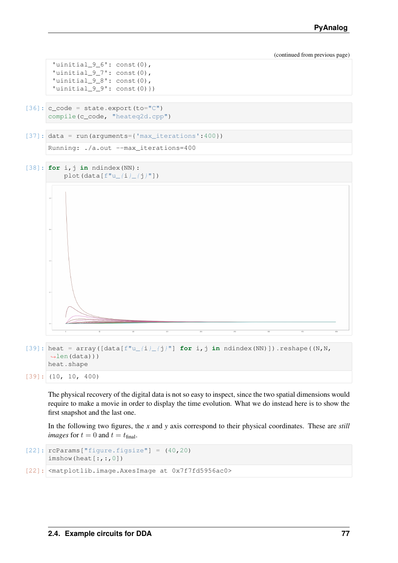```
'uinitial_9_6': const(0),
'uinitial_9_7': const(0),
'uinitial_9_8': const(0),
'uinitial_9_9': const(0)})
```
- $[36]$ : c\_code = state.export(to="C") compile(c\_code, "heateq2d.cpp")
- $[37]$ : data = run(arguments={'max\_iterations':400})

```
Running: ./a.out --max_iterations=400
```

```
[38]: for i,j in ndindex(NN):
          plot(data[f"u_{i}(i)_{i}(j)"])
```


 $[39]$ : heat = array( $[data[f''u_{i}]_{j}]''$ ] **for** i,j in ndindex(NN)]).reshape((N,N,  $\rightarrow$ len(data))) heat.shape

 $[39]$ : (10, 10, 400)

The physical recovery of the digital data is not so easy to inspect, since the two spatial dimensions would require to make a movie in order to display the time evolution. What we do instead here is to show the first snapshot and the last one.

In the following two figures, the *x* and *y* axis correspond to their physical coordinates. These are *still images* for  $t = 0$  and  $t = t_{final}$ .

```
[22]: rcParams["figure.figsize"] = (40, 20)\text{imshow}(\text{heat}[:, :, 0])
```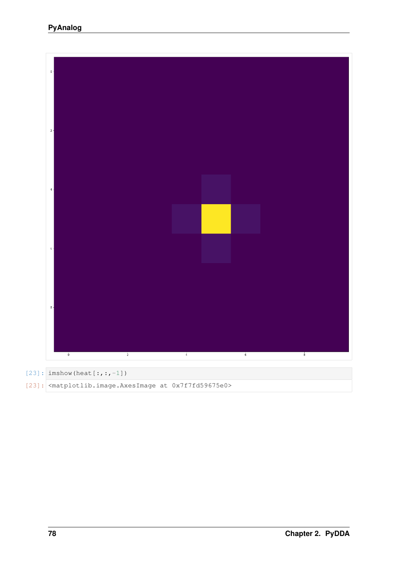



[23]: <matplotlib.image.AxesImage at 0x7f7fd59675e0>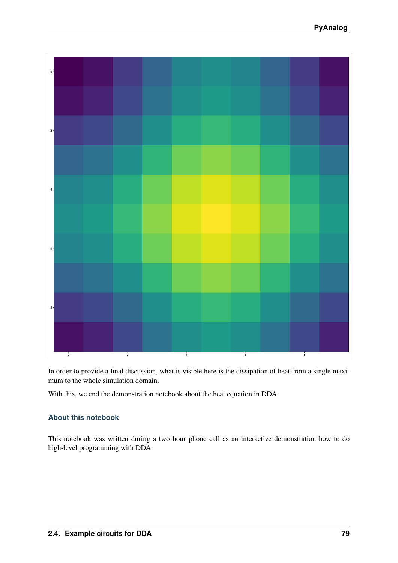

In order to provide a final discussion, what is visible here is the dissipation of heat from a single maximum to the whole simulation domain.

With this, we end the demonstration notebook about the heat equation in DDA.

### **About this notebook**

This notebook was written during a two hour phone call as an interactive demonstration how to do high-level programming with DDA.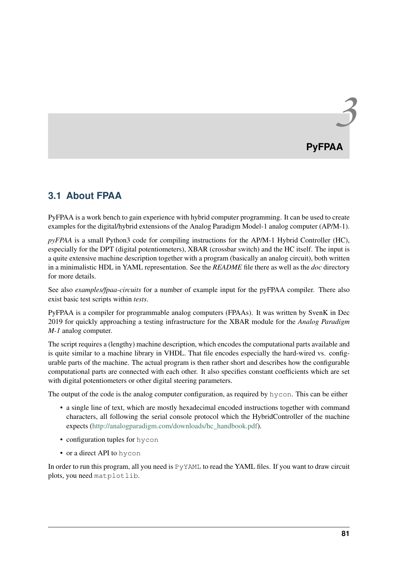# **3.1 About FPAA**

PyFPAA is a work bench to gain experience with hybrid computer programming. It can be used to create examples for the digital/hybrid extensions of the Analog Paradigm Model-1 analog computer (AP/M-1).

*pyFPAA* is a small Python3 code for compiling instructions for the AP/M-1 Hybrid Controller (HC), especially for the DPT (digital potentiometers), XBAR (crossbar switch) and the HC itself. The input is a quite extensive machine description together with a program (basically an analog circuit), both written in a minimalistic HDL in YAML representation. See the *README* file there as well as the *doc* directory for more details.

See also *examples/fpaa-circuits* for a number of example input for the pyFPAA compiler. There also exist basic test scripts within *tests*.

<span id="page-84-0"></span>PyFPAA is a compiler for programmable analog computers (FPAAs). It was written by SvenK in Dec 2019 for quickly approaching a testing infrastructure for the XBAR module for the *Analog Paradigm M-1* analog computer.

The script requires a (lengthy) machine description, which encodes the computational parts available and is quite similar to a machine library in VHDL. That file encodes especially the hard-wired vs. configurable parts of the machine. The actual program is then rather short and describes how the configurable computational parts are connected with each other. It also specifies constant coefficients which are set with digital potentiometers or other digital steering parameters.

The output of the code is the analog computer configuration, as required by hycon. This can be either

- a single line of text, which are mostly hexadecimal encoded instructions together with command characters, all following the serial console protocol which the HybridController of the machine expects [\(http://analogparadigm.com/downloads/hc\\_handbook.pdf\)](http://analogparadigm.com/downloads/hc_handbook.pdf).
- configuration tuples for hycon
- or a direct API to hycon

In order to run this program, all you need is  $PyYAML$  to read the YAML files. If you want to draw circuit plots, you need matplotlib.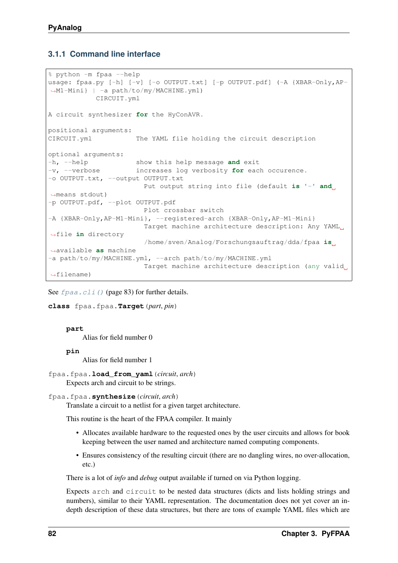## **3.1.1 Command line interface**

```
% python -m fpaa --help
usage: fpaa.py [-h] [-v] [-o OUTPUT.txt] [-p OUTPUT.pdf] (-A {XBAR-Only, AP-
˓→M1-Mini} | -a path/to/my/MACHINE.yml)
           CIRCUIT.yml
A circuit synthesizer for the HyConAVR.
positional arguments:
CIRCUIT.yml The YAML file holding the circuit description
optional arguments:
-h, --help show this help message and exit
-v, --verbose increases log verbosity for each occurence.
-o OUTPUT.txt, --output OUTPUT.txt
                       Put output string into file (default is '-' and
˓→means stdout)
-p OUTPUT.pdf, --plot OUTPUT.pdf
                       Plot crossbar switch
-A {XBAR-Only,AP-M1-Mini}, --registered-arch {XBAR-Only,AP-M1-Mini}
                       Target machine architecture description: Any YAML
˓→file in directory
                       /home/sven/Analog/Forschungsauftrag/dda/fpaa is
˓→available as machine
-a path/to/my/MACHINE.yml, --arch path/to/my/MACHINE.yml
                       Target machine architecture description (any valid,
˓→filename)
```
See *[fpaa.cli\(\)](#page-86-0)* (page 83) for further details.

```
class fpaa.fpaa.Target(part, pin)
```
**part**

Alias for field number 0

**pin**

Alias for field number 1

fpaa.fpaa.**load\_from\_yaml**(*circuit*, *arch*) Expects arch and circuit to be strings.

```
fpaa.fpaa.synthesize(circuit, arch)
```
Translate a circuit to a netlist for a given target architecture.

This routine is the heart of the FPAA compiler. It mainly

- Allocates available hardware to the requested ones by the user circuits and allows for book keeping between the user named and architecture named computing components.
- Ensures consistency of the resulting circuit (there are no dangling wires, no over-allocation, etc.)

There is a lot of *info* and *debug* output available if turned on via Python logging.

Expects arch and circuit to be nested data structures (dicts and lists holding strings and numbers), similar to their YAML representation. The documentation does not yet cover an indepth description of these data structures, but there are tons of example YAML files which are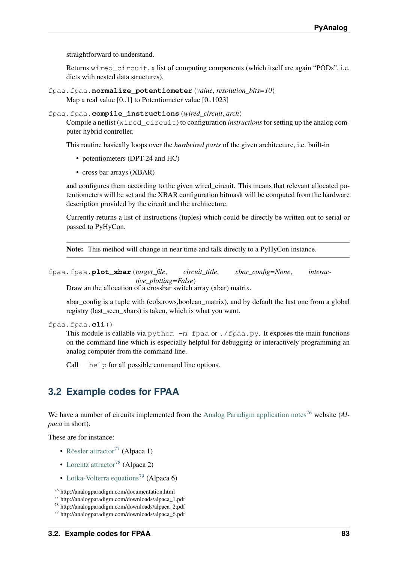straightforward to understand.

Returns wired\_circuit, a list of computing components (which itself are again "PODs", i.e. dicts with nested data structures).

- fpaa.fpaa.**normalize\_potentiometer**(*value*, *resolution\_bits=10*) Map a real value [0..1] to Potentiometer value [0..1023]
- fpaa.fpaa.**compile\_instructions**(*wired\_circuit*, *arch*)

Compile a netlist (wired\_circuit) to configuration *instructions* for setting up the analog computer hybrid controller.

This routine basically loops over the *hardwired parts* of the given architecture, i.e. built-in

- potentiometers (DPT-24 and HC)
- cross bar arrays (XBAR)

and configures them according to the given wired circuit. This means that relevant allocated potentiometers will be set and the XBAR configuration bitmask will be computed from the hardware description provided by the circuit and the architecture.

Currently returns a list of instructions (tuples) which could be directly be written out to serial or passed to PyHyCon.

Note: This method will change in near time and talk directly to a PyHyCon instance.

```
fpaa.fpaa.plot_xbar(target_file, circuit_title, xbar_config=None, interac-
                        tive_plotting=False)
```
Draw an the allocation of a crossbar switch array (xbar) matrix.

xbar config is a tuple with (cols,rows,boolean matrix), and by default the last one from a global registry (last\_seen\_xbars) is taken, which is what you want.

```
fpaa.fpaa.cli()
```
This module is callable via python  $-m$  fpaa or . /fpaa.py. It exposes the main functions on the command line which is especially helpful for debugging or interactively programming an analog computer from the command line.

Call  $-\text{help}$  for all possible command line options.

# **3.2 Example codes for FPAA**

We have a number of circuits implemented from the [Analog Paradigm application notes](http://analogparadigm.com/documentation.html)<sup>[76](#page-86-1)</sup> website (*Alpaca* in short).

These are for instance:

- [Rössler attractor](http://analogparadigm.com/downloads/alpaca_1.pdf)<sup>[77](#page-86-2)</sup> (Alpaca 1)
- [Lorentz attractor](http://analogparadigm.com/downloads/alpaca_2.pdf)<sup>[78](#page-86-3)</sup> (Alpaca 2)
- [Lotka-Volterra equations](http://analogparadigm.com/downloads/alpaca_6.pdf)<sup>[79](#page-86-4)</sup> (Alpaca 6)

<span id="page-86-1"></span><sup>76</sup> http://analogparadigm.com/documentation.html

<span id="page-86-2"></span><sup>77</sup> http://analogparadigm.com/downloads/alpaca\_1.pdf

<span id="page-86-3"></span><sup>78</sup> http://analogparadigm.com/downloads/alpaca\_2.pdf

<span id="page-86-4"></span><sup>79</sup> http://analogparadigm.com/downloads/alpaca\_6.pdf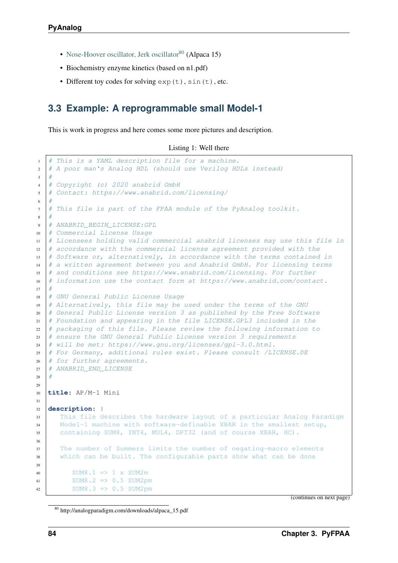- [Nose-Hoover oscillator, Jerk oscillator](http://analogparadigm.com/downloads/alpaca_15.pdf)<sup>[80](#page-87-0)</sup> (Alpaca 15)
- Biochemistry enzyme kinetics (based on n1.pdf)
- Different toy codes for solving  $exp(t)$ ,  $sin(t)$ , etc.

# **3.3 Example: A reprogrammable small Model-1**

This is work in progress and here comes some more pictures and description.

| Listing 1: Well there |  |  |  |
|-----------------------|--|--|--|
|-----------------------|--|--|--|

```
1 \mid \# This is a YAML description file for a machine.
2 # A poor man's Analog HDL (should use Verilog HDLs instead)
\overline{3} \overline{4}4 # Copyright (c) 2020 anabrid GmbH
5 # Contact: https://www.anabrid.com/licensing/
6 #
7 \# This file is part of the FPAA module of the PyAnaloq toolkit.
8 #
9 # ANABRID BEGIN LICENSE:GPL
10 # Commercial License Usage
11 # Licensees holding valid commercial anabrid licenses may use this file in
12 \mid \# accordance with the commercial license agreement provided with the
13 # Software or, alternatively, in accordance with the terms contained in
14 # a written agreement between you and Anabrid GmbH. For licensing terms
15 # and conditions see https://www.anabrid.com/licensing. For further
16 \# information use the contact form at https://www.anabrid.com/contact.
17 #
18 # GNU General Public License Usage
19 \mid \# Alternatively, this file may be used under the terms of the GNU
20 # General Public License version 3 as published by the Free Software
21 \# Foundation and appearing in the file LICENSE. GPL3 included in the
22 # packaging of this file. Please review the following information to
23 # ensure the GNU General Public License version 3 requirements
24 # will be met: https://www.qnu.org/licenses/qpl-3.0.html.
25 # For Germany, additional rules exist. Please consult /LICENSE.DE
26 # for further agreements.
27 # ANABRID END LICENSE
28 #
29
30 title: AP/M-1 Mini
31
32 description: |
33 This file describes the hardware layout of a particular Analog Paradigm
34 Model-1 machine with software-definable XBAR in the smallest setup,
35 containing SUM8, INT4, MUL4, DPT32 (and of course XBAR, HC).
36
37 The number of Summers limits the number of negating-macro elements
38 which can be built. The configurable parts show what can be done
39
40 SUM8.1 => 1 x SUM2m
41 SUM8.2 => 0.5 SUM2pm
42 SUM8.3 \Rightarrow 0.5 SUM2pm
```
(continues on next page)

<span id="page-87-0"></span><sup>80</sup> http://analogparadigm.com/downloads/alpaca\_15.pdf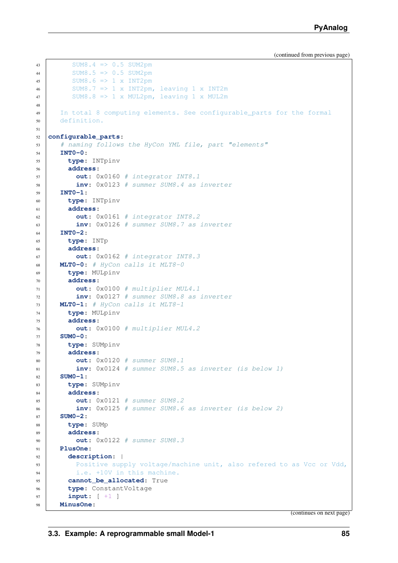```
43 SUM8.4 => 0.5 SUM2pm
44 SUM8.5 => 0.5 SUM2pm
45 SUM8.6 \Rightarrow 1 x INT2pm
46 SUM8.7 => 1 x INT2pm, leaving 1 x INT2m
47 SUM8.8 => 1 x MUL2pm, leaving 1 x MUL2m
48
49 In total 8 computing elements. See configurable_parts for the formal
50 definition.
51
52 configurable_parts:
53 # naming follows the HyCon YML file, part "elements"
54 INT0-0:
55 type: INTpinv
56 address:
57 out: 0x0160 # integrator INT8.1
58 inv: 0x0123 # summer SUM8.4 as inverter
59 INT0-1:
60 type: INTpinv
61 address:
62 out: 0x0161 # integrator INT8.2
63 inv: 0x0126 # summer SUM8.7 as inverter
64 INT0-2:
65 type: INTp
66 address:
67 out: 0x0162 # integrator INT8.3
68 MLT0-0: # HyCon calls it MLT8-0
69 type: MULpinv
70 address:
71 out: 0x0100 # multiplier MUL4.1
72 inv: 0x0127 # summer SUM8.8 as inverter
73 MLT0-1: # HyCon calls it MLT8-1
74 type: MULpinv
75 address:
76 out: 0x0100 # multiplier MUL4.2
77 SUM0-0:
78 type: SUMpinv
79 address:
80 out: 0x0120 # summer SUM8.1
81 inv: 0x0124 # summer SUM8.5 as inverter (is below 1)
82 SUM0-1:
83 type: SUMpinv
84 address:
85 out: 0x0121 # summer SUM8.2
86 inv: 0x0125 # summer SUM8.6 as inverter (is below 2)
87 SUM0-2:
88 type: SUMp
89 address:
90 out: 0x0122 # summer SUM8.3
91 PlusOne:
92 description: |
93 Positive supply voltage/machine unit, also refered to as Vcc or Vdd,
94 i.e. +10V in this machine.
95 cannot be allocated: True
96 type: ConstantVoltage
97 input: [ +1 ]
98 MinusOne:
```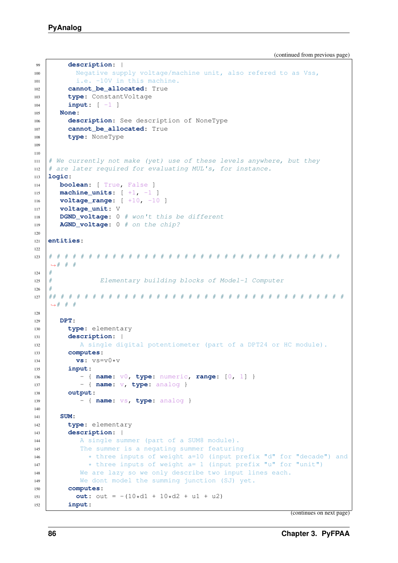```
99 description: |
100 Negative supply voltage/machine unit, also refered to as Vss,
101 i.e. -10V in this machine.
102 cannot_be_allocated: True
103 type: ConstantVoltage
104 input: [ -1 ]
105 None:
106 description: See description of NoneType
107 cannot_be_allocated: True
108 type: NoneType
109
110
111 # We currently not make (yet) use of these levels anywhere, but they
112 # are later required for evaluating MUL's, for instance.
113 logic:
114 boolean: [ True, False ]
115 machine_units: [ +1, -1 ]
116 voltage_range: [ +10, -10 ]
117 voltage_unit: V
118 DGND_voltage: 0 # won't this be different
119 AGND_voltage: 0 # on the chip?
120
121 entities:
122
123 # # # # # # # # # # # # # # # # # # # # # # # # # # # # # # # # # # # # #
   ˓→# # #
124 #
125 # Elementary building blocks of Model-1 Computer
126
127 ## # # # # # # # # # # # # # # # # # # # # # # # # # # # # # # # # # # # #
   \rightarrow # # #
128
129 DPT:
130 type: elementary
131 description: |
132 A single digital potentiometer (part of a DPT24 or HC module).
133 computes:
134 vs: v s = v 0 * v135 input:
136 | - { name: v0, type: numeric, range: [0, 1] }
137 | - { name: v, type: analog }
138 output:
139 | - { name: vs, type: analog }
140
141 SUM:
142 type: elementary
143 description: |
144 A single summer (part of a SUM8 module).
145 The summer is a negating summer featuring
146 * three inputs of weight a=10 (input prefix "d" for "decade") and
147 * three inputs of weight a= 1 (input prefix "u" for "unit")
148 | We are lazy so we only describe two input lines each.
149 We dont model the summing junction (SJ) yet.
150 computes:
151 out: out = -(10*d1 + 10*d2 + u1 + u2)152 input:
```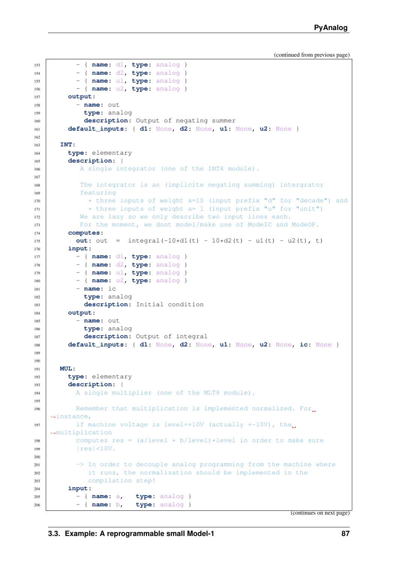```
153 | - { name: d1, type: analog }
154 - { name: d2, type: analog }
155 | - { name: u1, type: analog }
156 - { name: u2, type: analog }
157 output:
158 - name: out
159 type: analog
160 description: Output of negating summer
161 default_inputs: { d1: None, d2: None, u1: None, u2: None }
162
163 INT:
164 type: elementary
165 description: |
166 A single integrator (one of the INT4 module).
167
168 The integrator is an (implicite negating summing) intergrator
169 featuring
170 * three inputs of weight a=10 (input prefix "d" for "decade") and
171 \star three inputs of weight a= 1 (input prefix "u" for "unit")
172 We are lazy so we only describe two input lines each.
173 For the moment, we dont model/make use of ModeIC and ModeOP.
174 computes:
175 out: out = integral(-10*d1(t) - 10*d2(t) - u1(t) - u2(t), t)
176 input:
177 | - { name: d1, type: analog }
178 | - { name: d2, type: analog }
179 - { name: u1, type: analog }
180 - { name: u2, type: analog }
181 - name: ic
182 type: analog
183 description: Initial condition
184 output:
185 - name: out186 type: analog
187 description: Output of integral
188 default_inputs: { d1: None, d2: None, u1: None, u2: None, ic: None }
189
190
191 MUL:
192 type: elementary
193 description: |
194 A single multiplier (one of the MLT8 module).
195
196 Remember that multiplication is implemented normalized. For
   ˓→instance,
197 if machine voltage is level=+10V (actually +-10V), the
   ˓→multiplication
198 computes res = (a/level * b/level) * level in order to make sure199 | res | <10V.
200
201 -> In order to decouple analog programming from the machine where
202 it runs, the normalization should be implemented in the
203 compilation step!
204 input:
205 - { name: a, type: analog }
206 - { name: b, type: analog }
```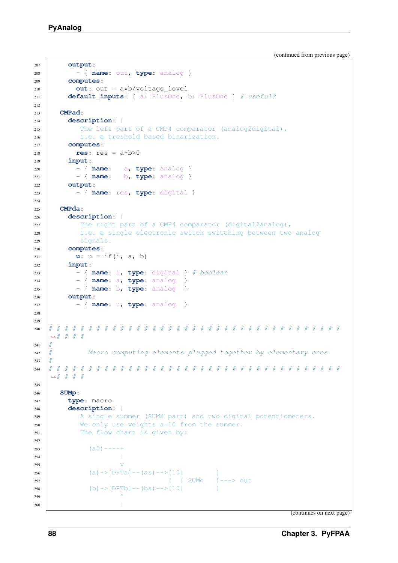```
207 output:
208 | - { name: out, type: analog }
209 computes:
210 out: out = a*b/voltage_level
211 default_inputs: [ a: PlusOne, b: PlusOne ] # useful?
212
213 CMPad:
214 description: |
215 | The left part of a CMP4 comparator (analog2digital),
216 i.e. a treshold based binarization.
217 computes:
218 res: res = a+b>0219 input:
220 - { name: a, type: analog }
221 | - { name: b, type: analog }
222 output:
223 | - { name: res, type: digital }
224
225 CMPda:
226 description: |
227 The right part of a CMP4 comparator (digital2analog),
228 i.e. a single electronic switch switching between two analog
229 signals.
230 computes:
231 u: u = if(i, a, b)232 input:
233 | - { name: i, type: digital } # boolean
234 | - { name: a, type: analog }
235 | - { name: b, type: analog }
236 output:
237 | - { name: u, type: analog }
238
239
240 # # # # # # # # # # # # # # # # # # # # # # # # # # # # # # # # # # # # #
   ˓→# # # #
241 #
242 # Macro computing elements plugged together by elementary ones
243 #
244 # # # # # # # # # # # # # # # # # # # # # # # # # # # # # # # # # # # # #
   ˓→# # # #
245
246 SUMp:
247 type: macro
248 description: |
249 A single summer (SUM8 part) and two digital potentiometers.
250 We only use weights a=10 from the summer.
251 The flow chart is given by:
252
253 (a0)----+
254 |
255 v
256 (a) \rightarrow [DPTa] \rightarrow (as) \rightarrow [10]257 [ | SUMo ]---> out
258 (b) ->[DPTb]--(bs)-->[10]
259 \sim260 |
```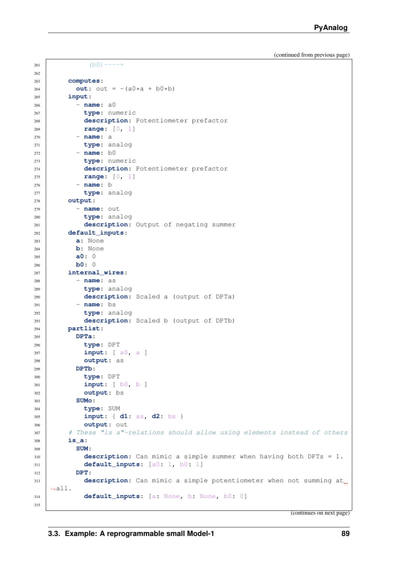```
262
263 computes:
264 out: out = -(a0*a + b0*b)265 input:
266 - name: a0
267 type: numeric
268 description: Potentiometer prefactor
269 range: [0, 1]
270 - name: a
271 type: analog
272 - name: b0
273 type: numeric
274 description: Potentiometer prefactor
275 range: [0, 1]
276 - name: b
277 type: analog
278 output:
279 - name: out
280 type: analog
281 description: Output of negating summer
282 default_inputs:
283 a: None
284 b: None
285 a0: 0
286 b0: 0
287 internal_wires:
288 - name: as
289 type: analog
290 description: Scaled a (output of DPTa)
291 - name: bs
292 type: analog
293 description: Scaled b (output of DPTb)
294 partlist:
295 DPTa:
296 type: DPT
297 input: [ a0, a ]
298 output: as
299 DPTb:
300 type: DPT
301 input: [ b0, b ]
302 output: bs
303 SUMo:
304 type: SUM
305 input: { d1: as, d2: bs }
306 output: out
307 # These "is a"-relations should allow using elements instead of others
308 is_a:
309 SUM:
310 description: Can mimic a simple summer when having both DPTs = 1.
311 default_inputs: [a0: 1, b0: 1]
312 DPT:
313 description: Can mimic a simple potentiometer when not summing at
   \leftrightarrowall.
314 default_inputs: [a: None, b: None, b0: 0]
315
```
(continues on next page)

(b0)----+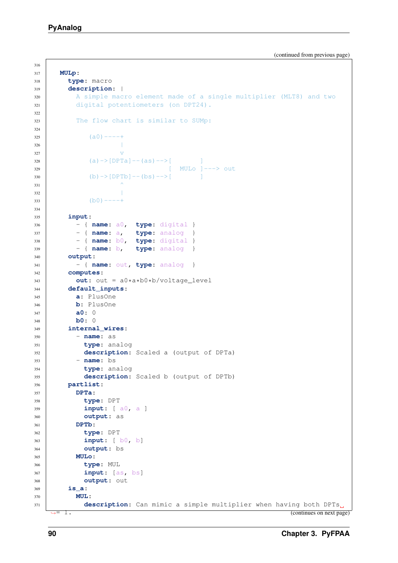```
322
324
334
```

```
316
317 MULp:
318 type: macro
319 description: |
320 A simple macro element made of a single multiplier (MLT8) and two
321 digital potentiometers (on DPT24).
323 The flow chart is similar to SUMp:
325 (a0)----+
326327 v
328 (a) ->[DPTa] -- (as) -->[
329 [ MULo ]---> out
330 (b) -> [DPTb] -- (bs) --> [
331 \sim332333 (b0)----+
335 input:
336 - { name: a0, type: digital }
337 | - { name: a, type: analog }
338 - { name: b0, type: digital }
339 - { name: b, type: analog }
340 output:
341 | - { name: out, type: analog }
342 computes:
343 out: out = a0*a*b0*b/voltage_level
344 default_inputs:
345 a: PlusOne
346 b: PlusOne
347 a0: 0
348 b0: 0
349 internal_wires:
350 - name: as
351 type: analog
352 description: Scaled a (output of DPTa)
353 - name: bs
354 type: analog
355 description: Scaled b (output of DPTb)
356 partlist:
357 DPTa:
358 type: DPT
359 input: [ a0, a ]
360 output: as
361 DPTb:
362 type: DPT
363 input: [ b0, b]
364 output: bs
365 MULo:
366 type: MUL
367 input: [as, bs]
368 output: out
369 is_a:
370 MUL:
371 description: Can mimic a simple multiplier when having both DPTs
   \rightarrow = 1. (continues on next page)
```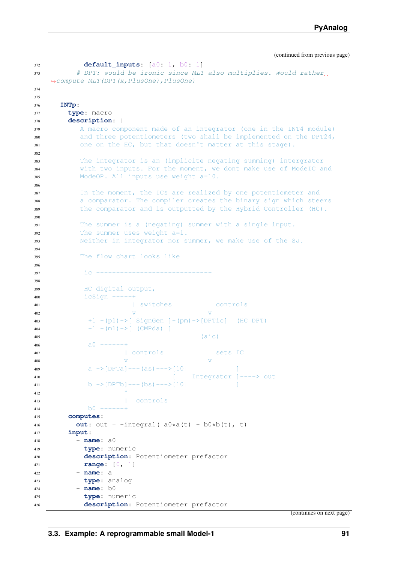```
372 default_inputs: [a0: 1, b0: 1]
373 # DPT: would be ironic since MLT also multiplies. Would rather
   ˓→compute MLT(DPT(x,PlusOne),PlusOne)
374
375
376 INTp:
377 type: macro
378 description: |
379 A macro component made of an integrator (one in the INT4 module)
380 and three potentiometers (two shall be implemented on the DPT24,
381 one on the HC, but that doesn't matter at this stage).
382
383 The integrator is an (implicite negating summing) intergrator
384 with two inputs. For the moment, we dont make use of ModeIC and
385 ModeOP. All inputs use weight a=10.
386
387 In the moment, the ICs are realized by one potentiometer and
388 a comparator. The compiler creates the binary sign which steers
389 the comparator and is outputted by the Hybrid Controller (HC).
390
391 The summer is a (negating) summer with a single input.
392 The summer uses weight a=1.
393 Neither in integrator nor summer, we make use of the SJ.
394
395 The flow chart looks like
396
397 ic ----------
398 |
399 HC digital output,
400 icSign -----+ |
401 | Switches | controls
\sqrt{V}403 +1 -(p1)->[ SignGen ]-(pm)->[DPTic] (HC DPT)
-1 - (m1) \rightarrow [ (CMPda) ]
405 (aic)
406 and - - - - - +407 | controls | sets IC
\frac{1}{\sqrt{2}}409 a \rightarrow [DPTa]^{---}(as)^{---}[10] ]
410 [ Integrator ]----> out
411 \vert b \rightarrow [DPTb]---(bs)--->[10]
\overline{412} \overline{\phantom{1}}413 | controls
414 b0 ---
415 computes:
416 out: out = -integral(a0 \star a(t) + b0 \star b(t), t)
417 input:
418 - name: a0
419 type: numeric
420 description: Potentiometer prefactor
421 range: [0, 1]
422 - name: a
423 type: analog
424 - name: b0
425 type: numeric
426 description: Potentiometer prefactor
```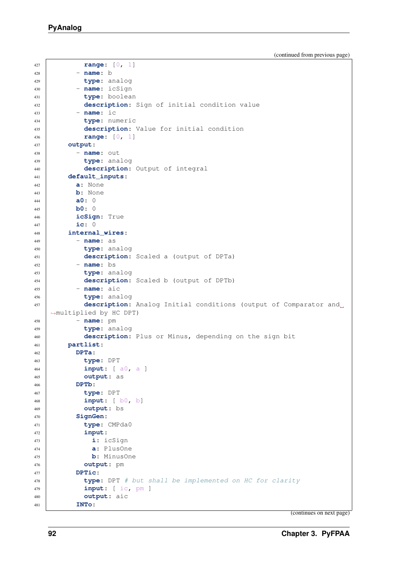```
(continued from previous page)
```

```
427 range: [0, 1]
428 - name: b
429 type: analog
430 - name: icSign
431 type: boolean
432 description: Sign of initial condition value
433 - name: ic
434 type: numeric
435 description: Value for initial condition
436 range: [0, 1]
437 output:
438 - name: out
439 type: analog
440 description: Output of integral
441 default_inputs:
442 a: None
443 b: None
444 a0: 0
445 b0: 0
446 icSign: True
447 ic: 0
448 internal_wires:
449 - name: as
450 type: analog
451 description: Scaled a (output of DPTa)
452 - name: bs
453 type: analog
454 description: Scaled b (output of DPTb)
455 - name: aic
456 type: analog
457 description: Analog Initial conditions (output of Comparator and
   ˓→multiplied by HC DPT)
458 - name: pm
459 type: analog
460 description: Plus or Minus, depending on the sign bit
461 partlist:
462 DPTa:
463 type: DPT
464 input: [ a0, a ]
465 output: as
466 DPTb:
467 type: DPT
468 input: [ b0, b]
469 output: bs
470 SignGen:
471 type: CMPda0
472 input:
473 i: icSign
474 a: PlusOne
475 b: MinusOne
476 output: pm
477 DPTic:
478 type: DPT # but shall be implemented on HC for clarity
479 input: [ ic, pm ]
480 output: aic
481 INTo:
```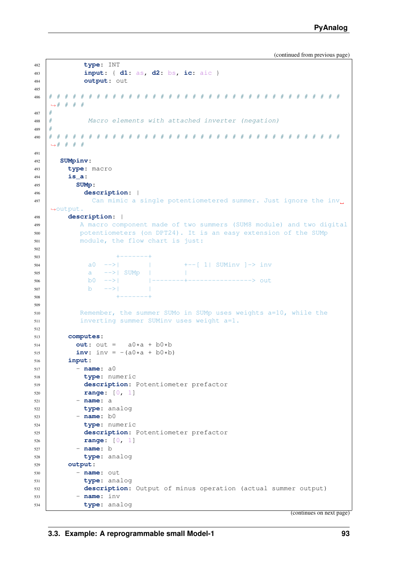```
482 type: INT
483 input: { d1: as, d2: bs, ic: aic }
484 output: out
485
486 # # # # # # # # # # # # # # # # # # # # # # # # # # # # # # # # # # # # #
   ˓→# # # #
487 #
488 # Macro elements with attached inverter (negation)
489 #
490 # # # # # # # # # # # # # # # # # # # # # # # # # # # # # # # # # # # # #
   ˓→# # # #
491
492 SUMpinv:
493 type: macro
494 is_a:
495 SUMp:
496 description: |
497 Can mimic a single potentiometered summer. Just ignore the inv.
   ˓→output.
498 description: |
499 A macro component made of two summers (SUM8 module) and two digital
500 potentiometers (on DPT24). It is an easy extension of the SUMp
501 module, the flow chart is just:
502
503 +------+
504 | a0 -->| | +--[ 1| SUMinv ]-> inv
505 a -->| SUMp | |
506 b0 -->| |--------+----------------> out
507 b -\geq| |
508 +------+
509
510 Remember, the summer SUMo in SUMp uses weights a=10, while the
511 inverting summer SUMinv uses weight a=1.
512
513 computes:
514 out: out = a0*a + b0*b515 inv: inv: inv = -(a0*a + b0*b)516 input:
517 - name: a0
518 type: numeric
519 description: Potentiometer prefactor
520 range: [0, 1]
521 - name: a
522 type: analog
523 - name: b0
524 type: numeric
525 description: Potentiometer prefactor
526 range: [0, 1]
527 - name: b
528 type: analog
529 output:
530 - name: out531 type: analog
532 description: Output of minus operation (actual summer output)
533 - name: inv
534 type: analog
```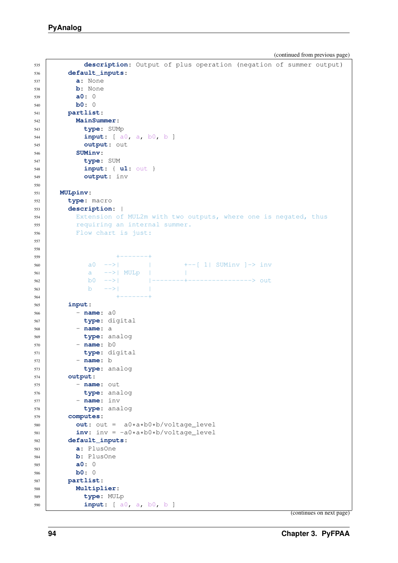```
535 description: Output of plus operation (negation of summer output)
536 default_inputs:
537 a: None
538 b: None
539 a0: 0
540 b0: 0
541 partlist:
542 MainSummer:
543 type: SUMp
544 input: [ a0, a, b0, b ]
545 output: out
546 SUMinv:
547 type: SUM
548 input: { u1: out }
549 output: inv
550
551 MULpinv:
552 type: macro
553 description: |
554 Extension of MUL2m with two outputs, where one is negated, thus
555 requiring an internal summer.
556 Flow chart is just:
557
558
559 +------+
560 a0 -->| | +--[ 1| SUMinv ]-> inv
561 a -->| MULp | |
562 b0 -->| |--------+----------------> out
563 b ->|
564 +------+
565 input:
566 - name: a0
567 type: digital
568 - name: a
569 type: analog
570 - name: b0
571 type: digital
572 - name: b
573 type: analog
574 output:
575 - name: out576 type: analog
577 - name: inv
578 type: analog
579 computes:
580 out: out = a0*a*b0*b/voltage_level
581 inv: inv = -a0*a*b0*b/voltage_level
582 default_inputs:
583 a: PlusOne
584 b: PlusOne
585 a0: 0
586 b0: 0
587 partlist:
588 Multiplier:
589 type: MULp
590 input: [ a0, a, b0, b ]
```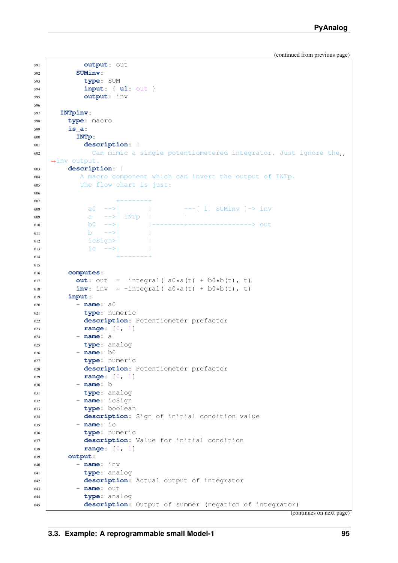```
591 output: out
592 SUMinv:
593 type: SUM
594 input: { u1: out }
595 output: inv
596
597 INTpinv:
598 type: macro
599 is_a:
600 INTp:
601 description: |
602 Can mimic a single potentiometered integrator. Just ignore the
   ˓→inv output.
603 description: |
604 A macro component which can invert the output of INTp.
605 The flow chart is just:
606
+ - - - - - - +608 a_0 -->| | +--[ 1| SUMinv ]-> inv
609 a -->| INTp | |
610 b0 -->| |--------+----------------> out
611 b ->>|
612 icSign>| |
613 \vert ic \vert ->|
614 + - - - - - - +615
616 computes:
617 out: out = integral(a0*a(t) + b0*b(t), t)
618 inv: inv = -integral(a0 \star a(t) + b0 \star b(t), t)
619 input:
620 - name: a0621 type: numeric
622 description: Potentiometer prefactor
623 range: [0, 1]
624 - name: a
625 type: analog
626 - name: b0
627 type: numeric
628 description: Potentiometer prefactor
629 range: [0, 1]
630 - name: b
631 type: analog
632 - name: icSign
633 type: boolean
634 description: Sign of initial condition value
635 - name: ic
636 type: numeric
637 description: Value for initial condition
638 range: [0, 1]
639 output:
640 - name: inv
641 type: analog
642 description: Actual output of integrator
643 - name: out
644 type: analog
645 description: Output of summer (negation of integrator)
```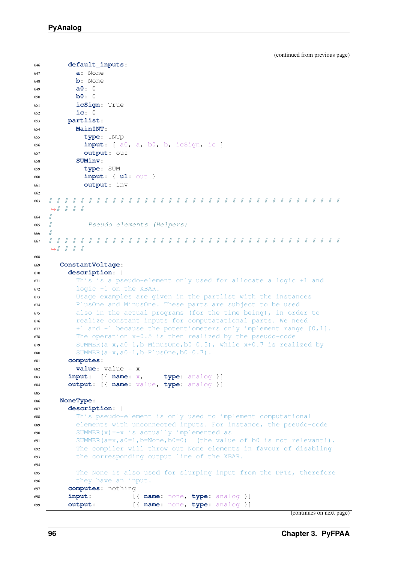```
646 default_inputs:
647 a: None
648 b: None
649 a0: 0
650 b0: 0
651 icSign: True
652 ic: 0
653 partlist:
654 MainINT:
655 type: INTp
656 input: [ a0, a, b0, b, icSign, ic ]
657 output: out
658 SUMinv:
659 type: SUM
660 input: { u1: out }
661 output: inv
662
663 # # # # # # # # # # # # # # # # # # # # # # # # # # # # # # # # # # # # #
   ˓→# # # #
664
665 # Pseudo elements (Helpers)
666
667 # # # # # # # # # # # # # # # # # # # # # # # # # # # # # # # # # # # # #
   ˓→# # # #
668
669 ConstantVoltage:
670 description: |
671 This is a pseudo-element only used for allocate a logic +1 and
672 logic -1 on the XBAR.
673 Usage examples are given in the partlist with the instances
674 PlusOne and MinusOne. These parts are subject to be used
\epsilon<sub>675</sub> also in the actual programs (for the time being), in order to
676 realize constant inputs for computatational parts. We need
677 +1 and -1 because the potentiometers only implement range [0,1].
678 The operation x-0.5 is then realized by the pseudo-code
679 SUMMER(a=x,a0=1,b=MinusOne,b0=0.5), while x+0.7 is realized by
680 SUMMER(a=x, a0=1, b=PlusOne, b0=0.7).
681 computes:
682 value: value = x
683 input: [{ name: x, type: analog }]
684 output: [{ name: value, type: analog }]
685
686 NoneType:
687 description: |
688 This pseudo-element is only used to implement computational
689 elements with unconnected inputs. For instance, the pseudo-code
690 SUMMER(x) = - x is actually implemented as
691 SUMMER(a=x, a0=1, b=None, b0=0) (the value of b0 is not relevant!).
692 The compiler will throw out None elements in favour of disabling
693 the corresponding output line of the XBAR.
694
695 The None is also used for slurping input from the DPTs, therefore
696 they have an input.
697 computes: nothing
698 input: [{ name: none, type: analog }]
699 output: [{ name: none, type: analog }]
```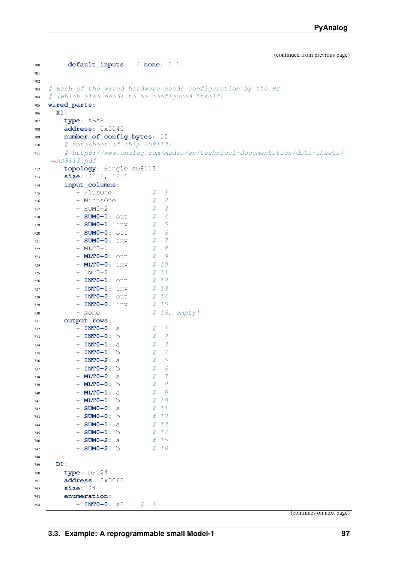```
700 default_inputs: { none: 0 }
701
702
703 # Each of the wired hardware needs configuration by the HC
704 \# (which also needs to be configured itself)
705 wired_parts:
706 X1:
707 type: XBAR
708 address: 0x0040
709 number_of_config_bytes: 10
710 # Datasheet of chip AD8113:
711 # https://www.analog.com/media/en/technical-documentation/data-sheets/
   ˓→AD8113.pdf
712 topology: Single AD8113
713 size: [ 16, 16 ]
714 input_columns:
715 - PlusOne # 1
716 - MinusOne # 2
717 - SUM0-2 # 3
718 - SUM0-1: out # 4
719 - SUM0-1: inv # 5
720 - SUMO-0: out # 6
721 - SUMO-0: inv # 7
722 - MLTO-1 # 8
723 - MLT0-0: out # 9
724 - MLTO-O: inv # 10
725 - INTO-2 # 11
726 | INTO-1: out # 12
727 - INTO-1: inv # 13
728 - INTO-0: out # 14
729 - INTO-0: inv # 15
730 - None \# 16, empty!
731 output_rows:
732 - INTO-0: a # 1
733 - INTO-0: b # 2
734 - INTO-1: a # 3
735 - INTO-1: b # 4
736 - INTO-2: a # 5
737 - INTO-2: b # 6
738 - MLTO-0: a # 7
739 - MLTO-0: b # 8
740 - MLTO-1: a # 9
741 - MLT0-1: b # 10
742 - SUMO-0: a # 11
743 - SUMO-0: b # 12
744 - SUM0-1: a # 13
745 - SUMO-1: b # 14
746 - SUMO-2: a # 15
747 - SUMO-2: b # 16
748
749 D1:
750 type: DPT24
751 address: 0x0060
752 size: 24
753 enumeration:
754 - INTO-0: a0 \# 1
                                              (continues on next page)
```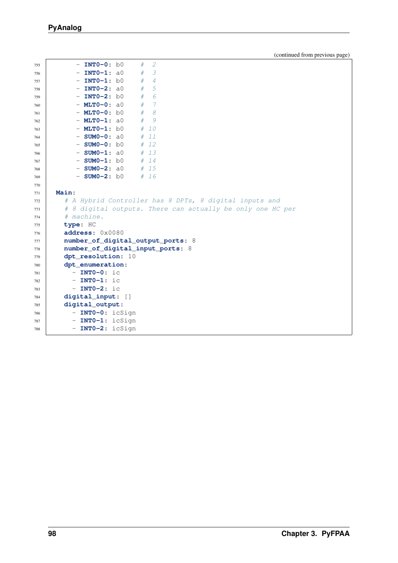| 755        | <b>INTO-0:</b> b0                  | # | 2                                                          |
|------------|------------------------------------|---|------------------------------------------------------------|
| 756        | $-$ INTO-1: a0                     | # | 3                                                          |
| 757        | $-$ INTO-1: $b0$                   | # | 4                                                          |
| 758        | $-$ INTO-2: a0                     | # | 5                                                          |
| 759        | $-$ INTO-2: $b0$                   | # | 6                                                          |
| 760        | $-$ MLTO-0: a0                     | # | 7                                                          |
| 761        | $-$ MLTO-0: $b0$                   | # | 8                                                          |
| 762        | $-$ MLTO-1: a0                     | # | 9                                                          |
| 763        | $-$ MLTO-1: $b0$                   | # | 10                                                         |
| 764        | $-$ SUM0-0: $a0$                   | # | 11                                                         |
| 765        | $-$ SUM0-0: $b0$                   |   | # 12                                                       |
| 766        | $-$ SUM0-1: a0                     |   | # 13                                                       |
| 767        | $-$ SUM0-1: $b0$                   |   | # 14                                                       |
| 768        | $-$ SUM0-2: a0                     |   | # 15                                                       |
| 769        | $-$ SUM0-2: $b0$                   |   | #16                                                        |
| 770        |                                    |   |                                                            |
| 771        | Main:                              |   |                                                            |
| 772        |                                    |   | # A Hybrid Controller has 8 DPTs, 8 digital inputs and     |
| 773        |                                    |   | # 8 digital outputs. There can actually be only one HC per |
| 774        | # machine.                         |   |                                                            |
| 775        | type: HC                           |   |                                                            |
| 776        | address: 0x0080                    |   |                                                            |
| 777        |                                    |   | number_of_digital_output_ports: 8                          |
| 778        | number_of_digital_input_ports: 8   |   |                                                            |
| 779        | dpt_resolution: 10                 |   |                                                            |
| 780        | dpt_enumeration:<br>$-$ INTO-0: ic |   |                                                            |
| 781        | $-$ INTO-1: ic                     |   |                                                            |
| 782        | $-$ INTO-2: ic                     |   |                                                            |
| 783        | digital_input: []                  |   |                                                            |
| 784<br>785 | digital_output:                    |   |                                                            |
| 786        | INTO-0: icSign<br>$\frac{1}{2}$    |   |                                                            |
| 787        | $-$ INTO-1: icSign                 |   |                                                            |
| 788        | - $INT0-2:$ icSign                 |   |                                                            |
|            |                                    |   |                                                            |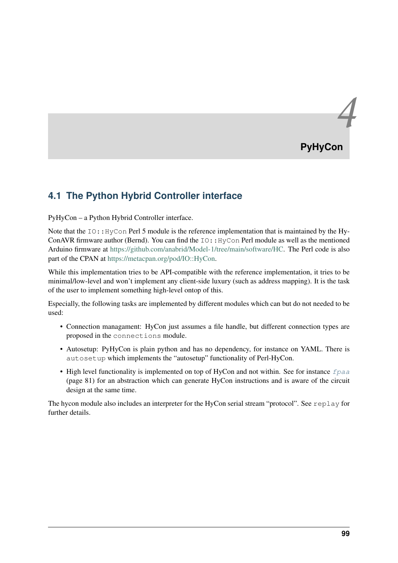# *4* **PyHyCon**

# **4.1 The Python Hybrid Controller interface**

PyHyCon – a Python Hybrid Controller interface.

Note that the  $IO::H<sub>V</sub>Con$  Perl 5 module is the reference implementation that is maintained by the Hy-ConAVR firmware author (Bernd). You can find the IO::HyCon Perl module as well as the mentioned Arduino firmware at [https://github.com/anabrid/Model-1/tree/main/software/HC.](https://github.com/anabrid/Model-1/tree/main/software/HC) The Perl code is also part of the CPAN at [https://metacpan.org/pod/IO::HyCon.](https://metacpan.org/pod/IO::HyCon)

While this implementation tries to be API-compatible with the reference implementation, it tries to be minimal/low-level and won't implement any client-side luxury (such as address mapping). It is the task of the user to implement something high-level ontop of this.

Especially, the following tasks are implemented by different modules which can but do not needed to be used:

- Connection managament: HyCon just assumes a file handle, but different connection types are proposed in the connections module.
- Autosetup: PyHyCon is plain python and has no dependency, for instance on YAML. There is autosetup which implements the "autosetup" functionality of Perl-HyCon.
- High level functionality is implemented on top of HyCon and not within. See for instance  $f_{\text{Paa}}$ (page 81) for an abstraction which can generate HyCon instructions and is aware of the circuit design at the same time.

The hycon module also includes an interpreter for the HyCon serial stream "protocol". See replay for further details.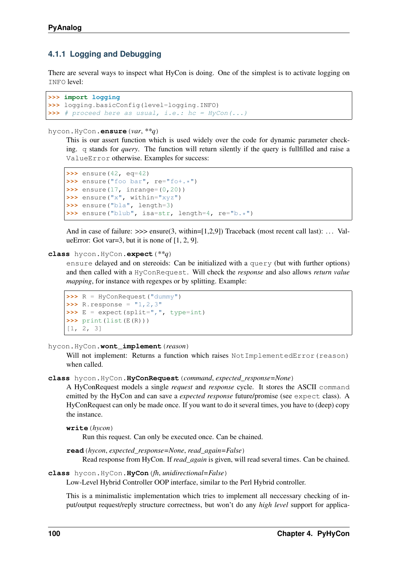## **4.1.1 Logging and Debugging**

There are several ways to inspect what HyCon is doing. One of the simplest is to activate logging on INFO level:

```
>>> import logging
>>> logging.basicConfig(level=logging.INFO)
>>> # proceed here as usual, i.e.: hc = HyCon(...)
```
#### hycon.HyCon.**ensure**(*var*, *\*\*q*)

This is our assert function which is used widely over the code for dynamic parameter checking. q stands for *query*. The function will return silently if the query is fullfilled and raise a ValueError otherwise. Examples for success:

```
>>> ensure(42, eq=42)
>>> ensure("foo bar", re="fo+.*")
>>> ensure(17, inrange=(0,20))
>>> ensure("x", within="xyz")
>>> ensure("bla", length=3)
>>> ensure("blub", isa=str, length=4, re="b.*")
```
And in case of failure:  $\gg$  ensure(3, within=[1,2,9]) Traceback (most recent call last): ... ValueError: Got var=3, but it is none of  $[1, 2, 9]$ .

#### **class** hycon.HyCon.**expect**(*\*\*q*)

ensure delayed and on stereoids: Can be initialized with a query (but with further options) and then called with a HyConRequest. Will check the *response* and also allows *return value mapping*, for instance with regexpes or by splitting. Example:

```
>>> R = HyConRequest("dummy")
\Rightarrow R. response = "1, 2, 3"\Rightarrow E = expect (split=",", type=int)
>>> print(list(E(R)))
[1, 2, 3]
```
#### hycon.HyCon.**wont\_implement**(*reason*)

Will not implement: Returns a function which raises NotImplementedError(reason) when called.

#### **class** hycon.HyCon.**HyConRequest**(*command*, *expected\_response=None*)

A HyConRequest models a single *request* and *response* cycle. It stores the ASCII command emitted by the HyCon and can save a *expected response* future/promise (see expect class). A HyConRequest can only be made once. If you want to do it several times, you have to (deep) copy the instance.

```
write(hycon)
```
Run this request. Can only be executed once. Can be chained.

```
read(hycon, expected_response=None, read_again=False)
     Read response from HyCon. If read_again is given, will read several times. Can be chained.
```
#### **class** hycon.HyCon.**HyCon**(*fh*, *unidirectional=False*)

Low-Level Hybrid Controller OOP interface, similar to the Perl Hybrid controller.

This is a minimalistic implementation which tries to implement all neccessary checking of input/output request/reply structure correctness, but won't do any *high level* support for applica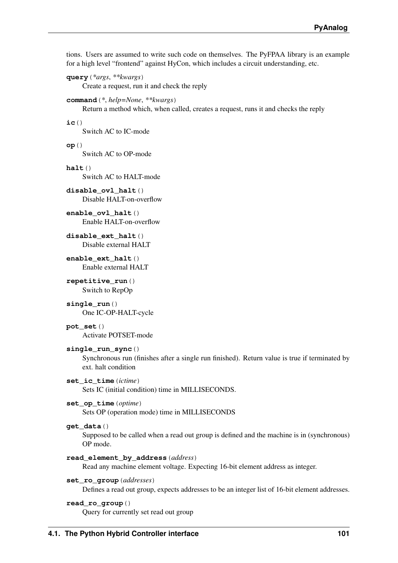tions. Users are assumed to write such code on themselves. The PyFPAA library is an example for a high level "frontend" against HyCon, which includes a circuit understanding, etc.

```
query(*args, **kwargs)
```
Create a request, run it and check the reply

#### **command**(*\**, *help=None*, *\*\*kwargs*)

Return a method which, when called, creates a request, runs it and checks the reply

**ic**()

Switch AC to IC-mode

**op**()

Switch AC to OP-mode

**halt**()

Switch AC to HALT-mode

**disable\_ovl\_halt**() Disable HALT-on-overflow

**enable\_ovl\_halt**() Enable HALT-on-overflow

- **disable\_ext\_halt**() Disable external HALT
- **enable\_ext\_halt**() Enable external HALT

**repetitive\_run**() Switch to RepOp

**single\_run**() One IC-OP-HALT-cycle

**pot\_set**() Activate POTSET-mode

#### **single\_run\_sync**()

Synchronous run (finishes after a single run finished). Return value is true if terminated by ext. halt condition

#### **set\_ic\_time**(*ictime*)

Sets IC (initial condition) time in MILLISECONDS.

#### **set\_op\_time**(*optime*)

Sets OP (operation mode) time in MILLISECONDS

#### **get\_data**()

Supposed to be called when a read out group is defined and the machine is in (synchronous) OP mode.

#### **read\_element\_by\_address**(*address*)

Read any machine element voltage. Expecting 16-bit element address as integer.

#### **set\_ro\_group**(*addresses*)

Defines a read out group, expects addresses to be an integer list of 16-bit element addresses.

#### **read\_ro\_group**()

Query for currently set read out group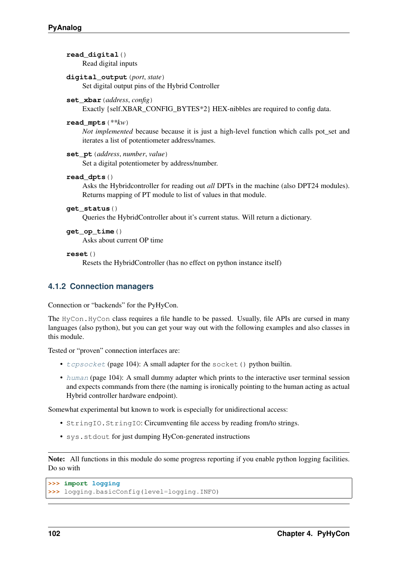```
read_digital()
     Read digital inputs
digital_output(port, state)
     Set digital output pins of the Hybrid Controller
set_xbar(address, config)
     Exactly {self.XBAR_CONFIG_BYTES*2} HEX-nibbles are required to config data.
read_mpts(**kw)
     Not implemented because because it is just a high-level function which calls pot_set and
     iterates a list of potentiometer address/names.
set_pt(address, number, value)
     Set a digital potentiometer by address/number.
read_dpts()
     Asks the Hybridcontroller for reading out all DPTs in the machine (also DPT24 modules).
     Returns mapping of PT module to list of values in that module.
get_status()
     Queries the HybridController about it's current status. Will return a dictionary.
get_op_time()
     Asks about current OP time
reset()
     Resets the HybridController (has no effect on python instance itself)
```
## **4.1.2 Connection managers**

Connection or "backends" for the PyHyCon.

The HyCon.HyCon class requires a file handle to be passed. Usually, file APIs are cursed in many languages (also python), but you can get your way out with the following examples and also classes in this module.

Tested or "proven" connection interfaces are:

- $t_{CPSocket}$  (page 104): A small adapter for the socket () python builtin.
- [human](#page-107-1) (page 104): A small dummy adapter which prints to the interactive user terminal session and expects commands from there (the naming is ironically pointing to the human acting as actual Hybrid controller hardware endpoint).

Somewhat experimental but known to work is especially for unidirectional access:

- StringIO.StringIO: Circumventing file access by reading from/to strings.
- sys.stdout for just dumping HyCon-generated instructions

Note: All functions in this module do some progress reporting if you enable python logging facilities. Do so with

```
>>> import logging
>>> logging.basicConfig(level=logging.INFO)
```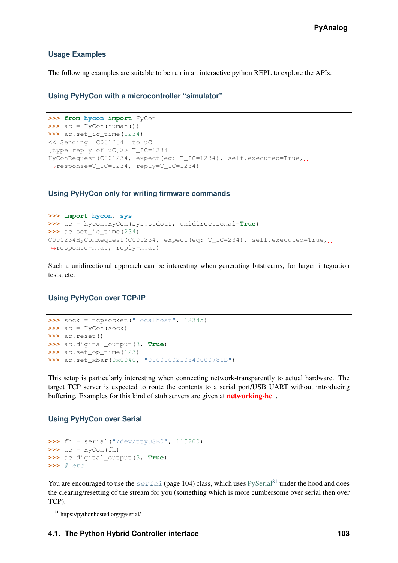#### **Usage Examples**

The following examples are suitable to be run in an interactive python REPL to explore the APIs.

**Using PyHyCon with a microcontroller "simulator"**

```
>>> from hycon import HyCon
\Rightarrow \Rightarrow ac = HyCon(human())>>> ac.set_ic_time(1234)
<< Sending [C001234] to uC
[type reply of uC]>> T_IC=1234
HyConRequest(C001234, expect(eq: T_IC=1234), self.executed=True,
˓→response=T_IC=1234, reply=T_IC=1234)
```
#### **Using PyHyCon only for writing firmware commands**

```
>>> import hycon, sys
>>> ac = hycon.HyCon(sys.stdout, unidirectional=True)
>>> ac.set_ic_time(234)
C000234HyConRequest(C000234, expect(eq: T_IC=234), self.executed=True,
˓→response=n.a., reply=n.a.)
```
Such a unidirectional approach can be interesting when generating bitstreams, for larger integration tests, etc.

#### **Using PyHyCon over TCP/IP**

```
>>> sock = tcpsocket("localhost", 12345)
\Rightarrow \Rightarrow ac = HyCon(sock)>>> ac.reset()
>>> ac.digital_output(3, True)
>>> ac.set_op_time(123)
>>> ac.set_xbar(0x0040, "0000000210840000781B")
```
This setup is particularly interesting when connecting network-transparently to actual hardware. The target TCP server is expected to route the contents to a serial port/USB UART without introducing buffering. Examples for this kind of stub servers are given at networking-hc\_.

#### **Using PyHyCon over Serial**

```
>>> fh = serial("/dev/ttyUSB0", 115200)
\Rightarrow \Rightarrow ac = HyCon(fh)>>> ac.digital_output(3, True)
>>> # etc.
```
You are encouraged to use the  $\sqrt{3}$  [serial](#page-107-2) (page 104) class, which uses [PySerial](https://pythonhosted.org/pyserial/)<sup>[81](#page-106-0)</sup> under the hood and does the clearing/resetting of the stream for you (something which is more cumbersome over serial then over TCP).

<span id="page-106-0"></span><sup>81</sup> https://pythonhosted.org/pyserial/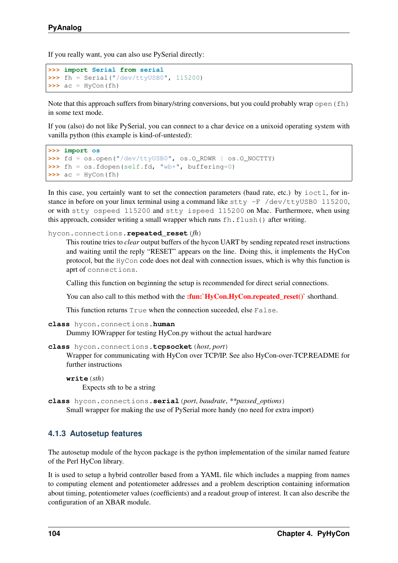If you really want, you can also use PySerial directly:

```
>>> import Serial from serial
>>> fh = Serial("/dev/ttyUSB0", 115200)
\Rightarrow \Rightarrow ac = HyCon(fh)
```
Note that this approach suffers from binary/string conversions, but you could probably wrap open(fh) in some text mode.

If you (also) do not like PySerial, you can connect to a char device on a unixoid operating system with vanilla python (this example is kind-of-untested):

```
>>> import os
>>> fd = os.open("/dev/ttyUSB0", os.O_RDWR | os.O_NOCTTY)
>>> fh = os.fdopen(self.fd, "wb+", buffering=0)
\Rightarrow \Rightarrow ac = HyCon(fh)
```
In this case, you certainly want to set the connection parameters (baud rate, etc.) by  $i$  oct  $l$ , for instance in before on your linux terminal using a command like  $\text{stty}$  -F /dev/ttyUSB0 115200, or with stty ospeed 115200 and stty ispeed 115200 on Mac. Furthermore, when using this approach, consider writing a small wrapper which runs fh.flush() after writing.

#### hycon.connections.**repeated\_reset**(*fh*)

This routine tries to *clear* output buffers of the hycon UART by sending repeated reset instructions and waiting until the reply "RESET" appears on the line. Doing this, it implements the HyCon protocol, but the HyCon code does not deal with connection issues, which is why this function is aprt of connections.

Calling this function on beginning the setup is recommended for direct serial connections.

You can also call to this method with the :fun:`HyCon.HyCon.repeated\_reset()` shorthand.

This function returns True when the connection suceeded, else False.

```
class hycon.connections.human
```
Dummy IOWrapper for testing HyCon.py without the actual hardware

```
class hycon.connections.tcpsocket(host, port)
```
Wrapper for communicating with HyCon over TCP/IP. See also HyCon-over-TCP.README for further instructions

```
write(sth)
     Expects sth to be a string
```

```
class hycon.connections.serial(port, baudrate, **passed_options)
     Small wrapper for making the use of PySerial more handy (no need for extra import)
```
## **4.1.3 Autosetup features**

The autosetup module of the hycon package is the python implementation of the similar named feature of the Perl HyCon library.

It is used to setup a hybrid controller based from a YAML file which includes a mapping from names to computing element and potentiometer addresses and a problem description containing information about timing, potentiometer values (coefficients) and a readout group of interest. It can also describe the configuration of an XBAR module.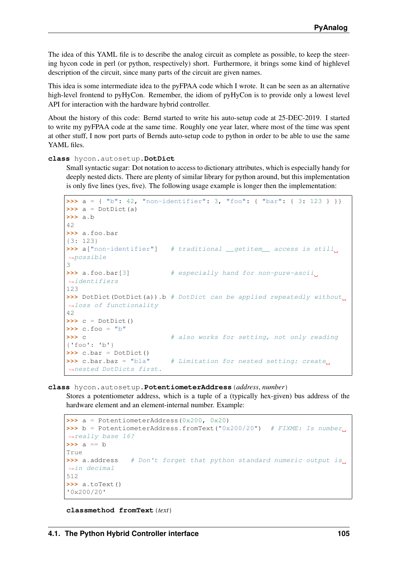<span id="page-108-0"></span>The idea of this YAML file is to describe the analog circuit as complete as possible, to keep the steering hycon code in perl (or python, respectively) short. Furthermore, it brings some kind of highlevel description of the circuit, since many parts of the circuit are given names.

This idea is some intermediate idea to the pyFPAA code which I wrote. It can be seen as an alternative high-level frontend to pyHyCon. Remember, the idiom of pyHyCon is to provide only a lowest level API for interaction with the hardware hybrid controller.

About the history of this code: Bernd started to write his auto-setup code at 25-DEC-2019. I started to write my pyFPAA code at the same time. Roughly one year later, where most of the time was spent at other stuff, I now port parts of Bernds auto-setup code to python in order to be able to use the same YAML files.

**class** hycon.autosetup.**DotDict**

Small syntactic sugar: Dot notation to access to dictionary attributes, which is especially handy for deeply nested dicts. There are plenty of similar library for python around, but this implementation is only five lines (yes, five). The following usage example is longer then the implementation:

```
>>> a = { "b": 42, "non-identifier": 3, "foo": { "bar": { 3: 123 } }}
>>> a = DotDict(a)
>>> a.b
42
>>> a.foo.bar
{3: 123}
>>> a["non-identifier"] # traditional __getitem__ access is still,
˓→possible
3
>>> a.foo.bar<sup>[3]</sup> # especially hand for non-pure-ascii
˓→identifiers
123
>>> DotDict(DotDict(a)).b # DotDict can be applied repeatedly without
˓→loss of functionality
42
>>> c = DotDict()
\Rightarrow c.foo = "b">>> c \longrightarrow # also works for setting, not only reading
{'foo': 'b'}
\rightarrow\rightarrow c.bar = DotDict()
>>> c.bar.baz = "bla" # Limitation for nested setting: create,
˓→nested DotDicts first.
```
**class** hycon.autosetup.**PotentiometerAddress**(*address*, *number*)

Stores a potentiometer address, which is a tuple of a (typically hex-given) bus address of the hardware element and an element-internal number. Example:

```
>>> a = PotentiometerAddress(0x200, 0x20)
>>> b = PotentiometerAddress.fromText("0x200/20") # FIXME: Is number.
˓→really base 16?
>>> a == b
True
>>> a.address # Don't forget that python standard numeric output is,
˓→in decimal
512
>>> a.toText()
'0x200/20'
```
**classmethod fromText**(*text*)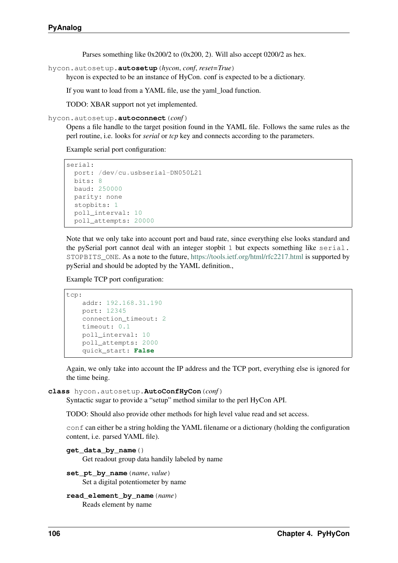Parses something like 0x200/2 to (0x200, 2). Will also accept 0200/2 as hex.

<span id="page-109-0"></span>hycon.autosetup.**autosetup**(*hycon*, *conf*, *reset=True*)

hycon is expected to be an instance of HyCon. conf is expected to be a dictionary.

If you want to load from a YAML file, use the yaml\_load function.

TODO: XBAR support not yet implemented.

hycon.autosetup.**autoconnect**(*conf*)

Opens a file handle to the target position found in the YAML file. Follows the same rules as the perl routine, i.e. looks for *serial* or *tcp* key and connects according to the parameters.

Example serial port configuration:

```
serial:
 port: /dev/cu.usbserial-DN050L21
 bits: 8
 baud: 250000
 parity: none
 stopbits: 1
 poll_interval: 10
 poll_attempts: 20000
```
Note that we only take into account port and baud rate, since everything else looks standard and the pySerial port cannot deal with an integer stopbit 1 but expects something like serial. STOPBITS\_ONE. As a note to the future, <https://tools.ietf.org/html/rfc2217.html> is supported by pySerial and should be adopted by the YAML definition.,

Example TCP port configuration:

```
tcp:
   addr: 192.168.31.190
    port: 12345
   connection_timeout: 2
    timeout: 0.1
   poll_interval: 10
   poll_attempts: 2000
    quick_start: False
```
Again, we only take into account the IP address and the TCP port, everything else is ignored for the time being.

#### **class** hycon.autosetup.**AutoConfHyCon**(*conf*)

Syntactic sugar to provide a "setup" method similar to the perl HyCon API.

TODO: Should also provide other methods for high level value read and set access.

conf can either be a string holding the YAML filename or a dictionary (holding the configuration content, i.e. parsed YAML file).

```
get_data_by_name()
```
Get readout group data handily labeled by name

set pt by name (*name*, *value*) Set a digital potentiometer by name

```
read_element_by_name(name)
    Reads element by name
```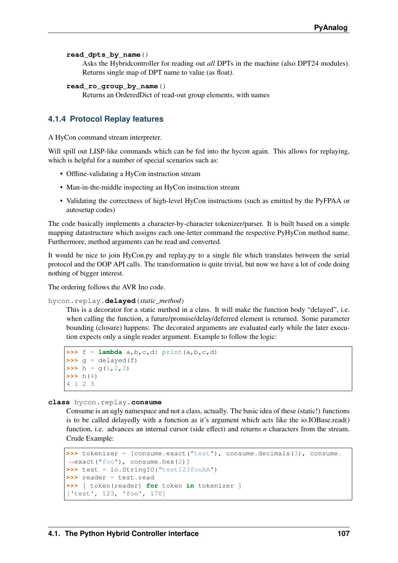#### <span id="page-110-1"></span>**read\_dpts\_by\_name**()

Asks the Hybridcontroller for reading out *all* DPTs in the machine (also DPT24 modules). Returns single map of DPT name to value (as float).

```
read_ro_group_by_name()
```
Returns an OrderedDict of read-out group elements, with names

#### <span id="page-110-0"></span>**4.1.4 Protocol Replay features**

A HyCon command stream interpreter.

Will spill out LISP-like commands which can be fed into the hypon again. This allows for replaying, which is helpful for a number of special scenarios such as:

- Offline-validating a HyCon instruction stream
- Man-in-the-middle inspecting an HyCon instruction stream
- Validating the correctness of high-level HyCon instructions (such as emitted by the PyFPAA or autosetup codes)

The code basically implements a character-by-character tokenizer/parser. It is built based on a simple mapping datastructure which assigns each one-letter command the respective PyHyCon method name. Furthermore, method arguments can be read and converted.

It would be nice to join HyCon.py and replay.py to a single file which translates between the serial protocol and the OOP API calls. The transformation is quite trivial, but now we have a lot of code doing nothing of bigger interest.

The ordering follows the AVR Ino code.

hycon.replay.**delayed**(*static\_method*)

This is a decorator for a static method in a class. It will make the function body "delayed", i.e. when calling the function, a future/promise/delay/deferred element is returned. Some parameter bounding (closure) happens: The decorated arguments are evaluated early while the later execution expects only a single reader argument. Example to follow the logic:

```
\Rightarrow f = lambda a, b, c, d: print(a, b, c, d)
\Rightarrow \Rightarrow q = delayed(f)
\Rightarrow h = g(1, 2, 3)
\Rightarrow h(4)
4 1 2 3
```
#### **class** hycon.replay.**consume**

Consume is an ugly namespace and not a class, actually. The basic idea of these (static!) functions is to be called delayedly with a function as it's argument which acts like the io.IOBase.read() function, i.e. advances an internal cursor (side effect) and returns *n* characters from the stream. Crude Example:

```
>>> tokenizer = [consume.exact("test"), consume.decimals(3), consume.
˓→exact("foo"), consume.hex(2)]
>>> test = io.StringIO("test123fooAA")
>>> reader = test.read
>>> [ token(reader) for token in tokenizer ]
['test', 123, 'foo', 170]
```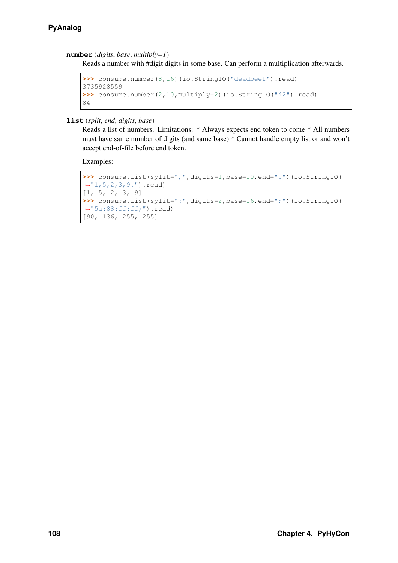#### <span id="page-111-0"></span>**number**(*digits*, *base*, *multiply=1*)

Reads a number with #digit digits in some base. Can perform a multiplication afterwards.

```
>>> consume.number(8,16)(io.StringIO("deadbeef").read)
3735928559
>>> consume.number(2,10,multiply=2)(io.StringIO("42").read)
84
```
**list**(*split*, *end*, *digits*, *base*)

Reads a list of numbers. Limitations: \* Always expects end token to come \* All numbers must have same number of digits (and same base) \* Cannot handle empty list or and won't accept end-of-file before end token.

Examples:

```
>>> consume.list(split=",",digits=1,base=10,end=".")(io.StringIO(
˓→"1,5,2,3,9.").read)
[1, 5, 2, 3, 9]>>> consume.list(split=":",digits=2,base=16,end=";")(io.StringIO(
˓→"5a:88:ff:ff;").read)
[90, 136, 255, 255]
```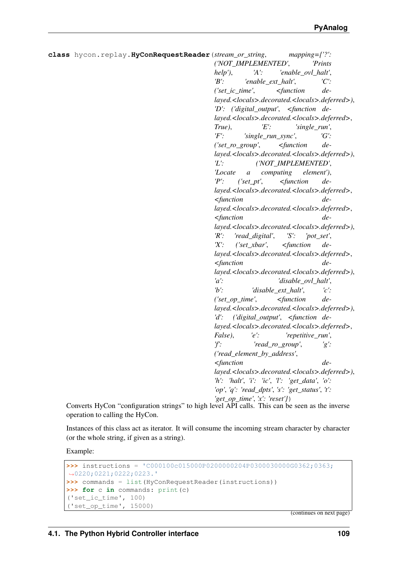```
class hycon.replay.HyConRequestReader(stream_or_string, mapping={'?':
                                              ('NOT_IMPLEMENTED', 'Prints
                                              help'), 'A': 'enable_ovl_halt',
                                              'B': 'enable_ext_halt', 'C':
                                              ('set_ic_time', <function de-
                                              layed.<locals>.decorated.<locals>.deferred>),
                                              'D': ('digital_output', <function de-
                                              layed.<locals>.decorated.<locals>.deferred>,
                                              True), 'E': 'single_run',
                                              'F': 'single_run_sync', 'G':
                                              ('set_ro_group', <function de-
                                              layed.<locals>.decorated.<locals>.deferred>),
                                              'L': ('NOT_IMPLEMENTED',
                                              'Locate a computing element'),
                                              'P': ('set_pt', <function de-
                                              layed.<locals>.decorated.<locals>.deferred>,
                                              <function de-
                                              layed.<locals>.decorated.<locals>.deferred>,
                                              <function de-
                                              layed.<locals>.decorated.<locals>.deferred>),
                                              'R': 'read_digital', 'S': 'pot_set',
                                              'X': ('set_xbar', <function de-
                                              layed.<locals>.decorated.<locals>.deferred>,
                                              <function de-
                                              layed.<locals>.decorated.<locals>.deferred>),
                                              'a': 'disable_ovl_halt',
                                              'b': 'disable_ext_halt', 'c':
                                              ('set_op_time', <function de-
                                              layed.<locals>.decorated.<locals>.deferred>),
                                              'd': ('digital_output', <function de-
                                              layed.<locals>.decorated.<locals>.deferred>,
                                              False), 'e': 'repetitive_run',
                                              'f': 'read_ro_group', 'g':
                                              ('read_element_by_address',
                                              <function de-
                                              layed.<locals>.decorated.<locals>.deferred>),
                                              'h': 'halt', 'i': 'ic', 'l': 'get_data', 'o':
                                              'op', 'q': 'read_dpts', 's': 'get_status', 't':
                                              'get_op_time', 'x': 'reset'})
     Converts HyCon "configuration strings" to high level API calls. This can be seen as the inverse
     operation to calling the HyCon.
```
Instances of this class act as iterator. It will consume the incoming stream character by character (or the whole string, if given as a string).

Example:

```
>>> instructions = 'C000100c015000P0200000204P0300030000G0362;0363;
˓→0220;0221;0222;0223.'
>>> commands = list(HyConRequestReader(instructions))
>>> for c in commands: print(c)
('set_ic_time', 100)
('set_op_time', 15000)
```
(continues on next page)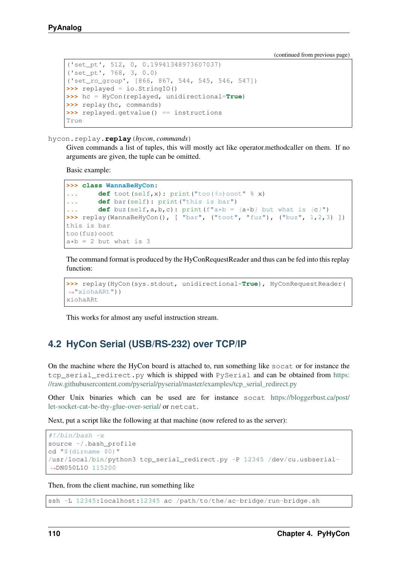(continued from previous page)

```
('set_pt', 512, 0, 0.19941348973607037)
('set_pt', 768, 3, 0.0)
('set_ro_group', [866, 867, 544, 545, 546, 547])
>>> replayed = io.StringIO()
>>> hc = HyCon(replayed, unidirectional=True)
>>> replay(hc, commands)
>>> replayed.getvalue() == instructions
True
```
hycon.replay.**replay**(*hycon*, *commands*)

Given commands a list of tuples, this will mostly act like operator.methodcaller on them. If no arguments are given, the tuple can be omitted.

Basic example:

```
>>> class WannaBeHyCon:
... def toot(self,x): print("too(%s)ooot" % x)
... def bar(self): print("this is bar")
... def buz(self,a,b,c): print(f''a*b = {a*b} but what is {c}'')
>>> replay(WannaBeHyCon(), [ "bar", ("toot", "fuz"), ("buz", 1,2,3) ])
this is bar
too(fuz)ooot
a * b = 2 but what is 3
```
The command format is produced by the HyConRequestReader and thus can be fed into this replay function:

```
>>> replay(HyCon(sys.stdout, unidirectional=True), HyConRequestReader(
\rightarrow"xiohaARt"))
xiohaARt
```
This works for almost any useful instruction stream.

## **4.2 HyCon Serial (USB/RS-232) over TCP/IP**

On the machine where the HyCon board is attached to, run something like socat or for instance the tcp\_serial\_redirect.py which is shipped with PySerial and can be obtained from [https:](https://raw.githubusercontent.com/pyserial/pyserial/master/examples/tcp_serial_redirect.py) [//raw.githubusercontent.com/pyserial/pyserial/master/examples/tcp\\_serial\\_redirect.py](https://raw.githubusercontent.com/pyserial/pyserial/master/examples/tcp_serial_redirect.py)

Other Unix binaries which can be used are for instance socat [https://bloggerbust.ca/post/](https://bloggerbust.ca/post/let-socket-cat-be-thy-glue-over-serial/) [let-socket-cat-be-thy-glue-over-serial/](https://bloggerbust.ca/post/let-socket-cat-be-thy-glue-over-serial/) or netcat.

Next, put a script like the following at that machine (now refered to as the server):

```
#!/bin/bash -x
source ~/.bash_profile
cd "$(dirname $0)"
/usr/local/bin/python3 tcp_serial_redirect.py -P 12345 /dev/cu.usbserial-
˓→DN050L1O 115200
```
Then, from the client machine, run something like

ssh -L 12345:localhost:12345 ac /path/to/the/ac-bridge/run-bridge.sh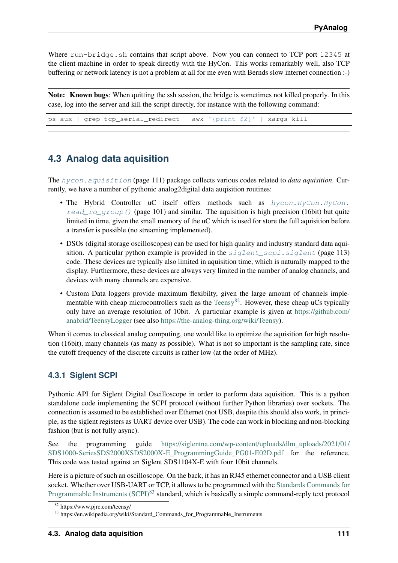<span id="page-114-4"></span>Where run-bridge.sh contains that script above. Now you can connect to TCP port 12345 at the client machine in order to speak directly with the HyCon. This works remarkably well, also TCP buffering or network latency is not a problem at all for me even with Bernds slow internet connection :-)

Note: Known bugs: When quitting the ssh session, the bridge is sometimes not killed properly. In this case, log into the server and kill the script directly, for instance with the following command:

ps aux | grep tcp\_serial\_redirect | awk '{print \$2}' | xargs kill

## <span id="page-114-0"></span>**4.3 Analog data aquisition**

The [hycon.aquisition](#page-114-0) (page 111) package collects various codes related to *data aquisition*. Currently, we have a number of pythonic analog2digital data auqisition routines:

- The Hybrid Controller uC itself offers methods such as hycon. HyCon. HyCon. read ro group () (page 101) and similar. The aquisition is high precision (16bit) but quite limited in time, given the small memory of the uC which is used for store the full aquisition before a transfer is possible (no streaming implemented).
- DSOs (digital storage oscilloscopes) can be used for high quality and industry standard data aquisition. A particular python example is provided in the  $signals$  scpi.siglent (page 113) code. These devices are typically also limited in aquisition time, which is naturally mapped to the display. Furthermore, these devices are always very limited in the number of analog channels, and devices with many channels are expensive.
- Custom Data loggers provide maximum flexibilty, given the large amount of channels imple-mentable with cheap microcontrollers such as the [Teensy](https://www.pjrc.com/teensy/)<sup>[82](#page-114-1)</sup>. However, these cheap uCs typically only have an average resolution of 10bit. A particular example is given at [https://github.com/](https://github.com/anabrid/TeensyLogger) [anabrid/TeensyLogger](https://github.com/anabrid/TeensyLogger) (see also [https://the-analog-thing.org/wiki/Teensy\)](https://the-analog-thing.org/wiki/Teensy).

When it comes to classical analog computing, one would like to optimize the aquisition for high resolution (16bit), many channels (as many as possible). What is not so important is the sampling rate, since the cutoff frequency of the discrete circuits is rather low (at the order of MHz).

#### <span id="page-114-3"></span>**4.3.1 Siglent SCPI**

Pythonic API for Siglent Digital Oscilloscope in order to perform data aquisition. This is a python standalone code implementing the SCPI protocol (without further Python libraries) over sockets. The connection is assumed to be established over Ethernet (not USB, despite this should also work, in principle, as the siglent registers as UART device over USB). The code can work in blocking and non-blocking fashion (but is not fully async).

See the programming guide [https://siglentna.com/wp-content/uploads/dlm\\_uploads/2021/01/](https://siglentna.com/wp-content/uploads/dlm_uploads/2021/01/SDS1000-SeriesSDS2000XSDS2000X-E_ProgrammingGuide_PG01-E02D.pdf) [SDS1000-SeriesSDS2000XSDS2000X-E\\_ProgrammingGuide\\_PG01-E02D.pdf](https://siglentna.com/wp-content/uploads/dlm_uploads/2021/01/SDS1000-SeriesSDS2000XSDS2000X-E_ProgrammingGuide_PG01-E02D.pdf) for the reference. This code was tested against an Siglent SDS1104X-E with four 10bit channels.

Here is a picture of such an oscilloscope. On the back, it has an RJ45 ethernet connector and a USB client socket. Whether over USB-UART or TCP, it allows to be programmed with the [Standards Commands for](https://en.wikipedia.org/wiki/Standard_Commands_for_Programmable_Instruments) [Programmable Instruments \(SCPI\)](https://en.wikipedia.org/wiki/Standard_Commands_for_Programmable_Instruments)<sup>[83](#page-114-2)</sup> standard, which is basically a simple command-reply text protocol

<span id="page-114-1"></span><sup>82</sup> https://www.pjrc.com/teensy/

<span id="page-114-2"></span><sup>83</sup> https://en.wikipedia.org/wiki/Standard\_Commands\_for\_Programmable\_Instruments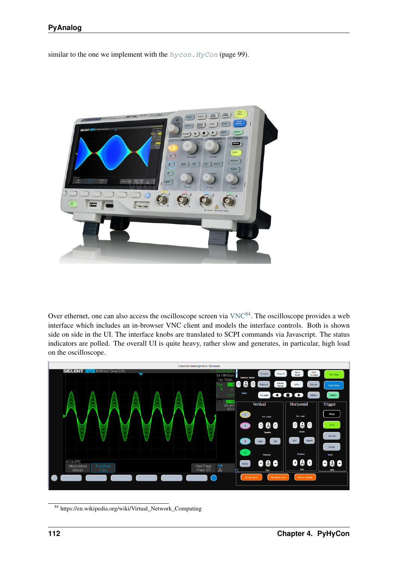similar to the one we implement with the  $h$ ycon. HyCon (page 99).



Over ethernet, one can also access the oscilloscope screen via  $VNC^{84}$  $VNC^{84}$  $VNC^{84}$  $VNC^{84}$ . The oscilloscope provides a web interface which includes an in-browser VNC client and models the interface controls. Both is shown side on side in the UI. The interface knobs are translated to SCPI commands via Javascript. The status indicators are polled. The overall UI is quite heavy, rather slow and generates, in particular, high load on the oscilloscope.



<span id="page-115-0"></span><sup>84</sup> https://en.wikipedia.org/wiki/Virtual\_Network\_Computing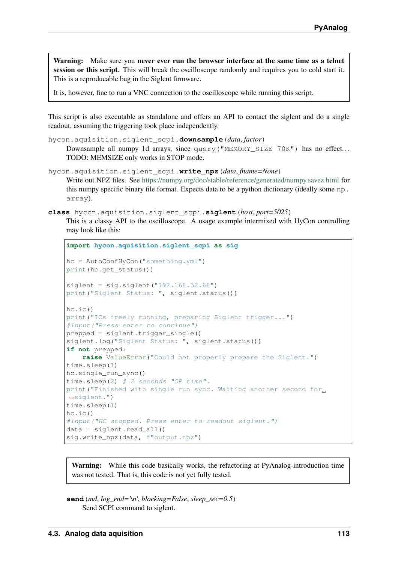<span id="page-116-2"></span>Warning: Make sure you never ever run the browser interface at the same time as a telnet session or this script. This will break the oscilloscope randomly and requires you to cold start it. This is a reproducable bug in the Siglent firmware.

It is, however, fine to run a VNC connection to the oscilloscope while running this script.

This script is also executable as standalone and offers an API to contact the siglent and do a single readout, assuming the triggering took place independently.

```
hycon.aquisition.siglent_scpi.downsample(data, factor)
```
Downsample all numpy 1d arrays, since query ("MEMORY\_SIZE 70K") has no effect... TODO: MEMSIZE only works in STOP mode.

```
hycon.aquisition.siglent_scpi.write_npz(data, fname=None)
     Write out NPZ files. See https://numpy.org/doc/stable/reference/generated/numpy.savez.html for
     this numpy specific binary file format. Expects data to be a python dictionary (ideally some np.
     array).
```

```
class hycon.aquisition.siglent_scpi.siglent(host, port=5025)
```
This is a classy API to the oscilloscope. A usage example intermixed with HyCon controlling may look like this:

```
import hycon.aquisition.siglent_scpi as sig
hc = AutoConfHyCon("something.yml")
print(hc.get_status())
signal = sig.sizelent("192.168.32.68")print("Siglent Status: ", siglent.status())
hc.ic()
print("ICs freely running, preparing Siglent trigger...")
#input("Press enter to continue")
prepped = siglent.trigger_single()
siglent.log("Siglent Status: ", siglent.status())
if not prepped:
   raise ValueError("Could not properly prepare the Siglent.")
time.sleep(1)
hc.single_run_sync()
time.sleep(2) # 2 seconds "OP time".print("Finished with single run sync. Waiting another second for
˓→siglent.")
time.sleep(1)
hc.ic()
#input("HC stopped. Press enter to readout siglent.")
data = sidlent.read all()sig.write npz(data, f"output.npz")
```
Warning: While this code basically works, the refactoring at PyAnalog-introduction time was not tested. That is, this code is not yet fully tested.

<span id="page-116-1"></span>**send**(*md*, *log\_end='\n'*, *blocking=False*, *sleep\_sec=0.5*) Send SCPI command to siglent.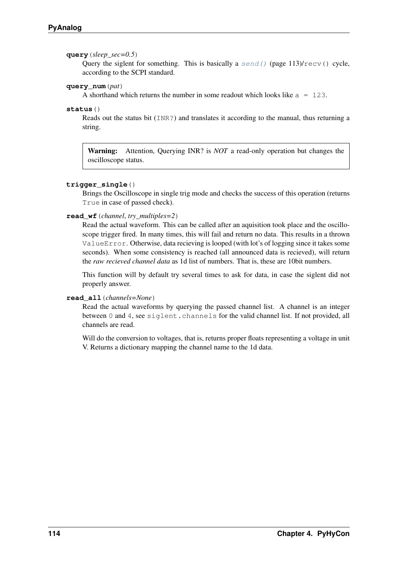#### <span id="page-117-0"></span>**query**(*sleep\_sec=0.5*)

Query the siglent for something. This is basically a  $send()$  (page 113)/ $recv()$  cycle, according to the SCPI standard.

#### **query\_num**(*pat*)

A shorthand which returns the number in some readout which looks like  $a = 123$ .

#### **status**()

Reads out the status bit (INR?) and translates it according to the manual, thus returning a string.

Warning: Attention, Querying INR? is *NOT* a read-only operation but changes the oscilloscope status.

#### **trigger\_single**()

Brings the Oscilloscope in single trig mode and checks the success of this operation (returns True in case of passed check).

#### **read\_wf**(*channel*, *try\_multiples=2*)

Read the actual waveform. This can be called after an aquisition took place and the oscilloscope trigger fired. In many times, this will fail and return no data. This results in a thrown ValueError. Otherwise, data recieving is looped (with lot's of logging since it takes some seconds). When some consistency is reached (all announced data is recieved), will return the *raw recieved channel data* as 1d list of numbers. That is, these are 10bit numbers.

This function will by default try several times to ask for data, in case the siglent did not properly answer.

#### **read\_all**(*channels=None*)

Read the actual waveforms by querying the passed channel list. A channel is an integer between 0 and 4, see siglent.channels for the valid channel list. If not provided, all channels are read.

Will do the conversion to voltages, that is, returns proper floats representing a voltage in unit V. Returns a dictionary mapping the channel name to the 1d data.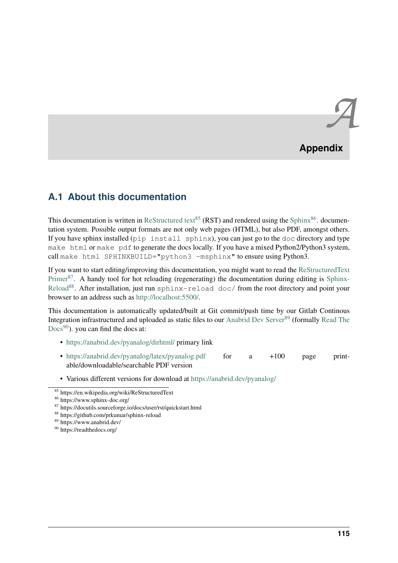# *A* **Appendix**

# **A.1 About this documentation**

This documentation is written in [ReStructured text](https://en.wikipedia.org/wiki/ReStructuredText)<sup>[85](#page-118-0)</sup> (RST) and rendered using the [Sphinx](https://www.sphinx-doc.org/)<sup>[86](#page-118-1)</sup>. documentation system. Possible output formats are not only web pages (HTML), but also PDF, amongst others. If you have sphinx installed ( $pip$  install sphinx), you can just go to the  $doc$  directory and type make html or make pdf to generate the docs locally. If you have a mixed Python2/Python3 system, call make html SPHINXBUILD="python3 -msphinx" to ensure using Python3.

If you want to start editing/improving this documentation, you might want to read the [ReStructuredText](https://docutils.sourceforge.io/docs/user/rst/quickstart.html) [Primer](https://docutils.sourceforge.io/docs/user/rst/quickstart.html)<sup>[87](#page-118-2)</sup>. A handy tool for hot reloading (regenerating) the documentation during editing is [Sphinx-](https://github.com/prkumar/sphinx-reload)[Reload](https://github.com/prkumar/sphinx-reload)<sup>[88](#page-118-3)</sup>. After installation, just run sphinx-reload doc/ from the root directory and point your browser to an address such as [http://localhost:5500/.](http://localhost:5500/)

This documentation is automatically updated/built at Git commit/push time by our Gitlab Continous Integration infrastructured and uploaded as static files to our [Anabrid Dev Server](https://www.anabrid.dev/)<sup>[89](#page-118-4)</sup> (formally [Read The](https://readthedocs.org/)  $Docs<sup>90</sup>$  $Docs<sup>90</sup>$  $Docs<sup>90</sup>$  $Docs<sup>90</sup>$ ), you can find the docs at:

- <https://anabrid.dev/pyanalog/dirhtml/> primary link
- <https://anabrid.dev/pyanalog/latex/pyanalog.pdf> for a +100 page printable/downloadable/searchable PDF version

<sup>•</sup> Various different versions for download at <https://anabrid.dev/pyanalog/>

<span id="page-118-0"></span><sup>85</sup> https://en.wikipedia.org/wiki/ReStructuredText

<span id="page-118-1"></span><sup>86</sup> https://www.sphinx-doc.org/

<span id="page-118-2"></span><sup>87</sup> https://docutils.sourceforge.io/docs/user/rst/quickstart.html

<span id="page-118-3"></span><sup>88</sup> https://github.com/prkumar/sphinx-reload

<span id="page-118-4"></span><sup>89</sup> https://www.anabrid.dev/

<span id="page-118-5"></span><sup>90</sup> https://readthedocs.org/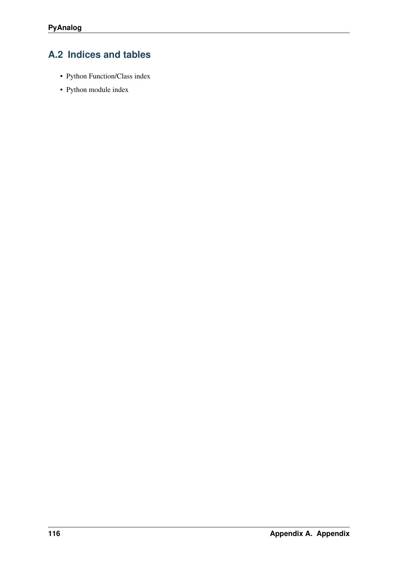# **A.2 Indices and tables**

- Python Function/Class index
- Python module index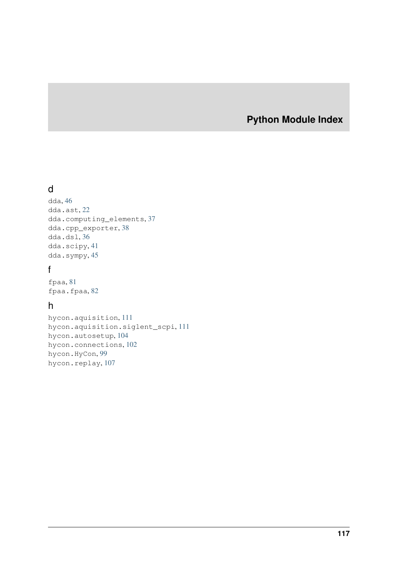## **Python Module Index**

# d

```
dda, 46
dda.ast, 22
dda.computing_elements, 37
dda.cpp_exporter, 38
dda.dsl, 36
dda.scipy, 41
dda.sympy, 45
```
# f

fpaa, [81](#page-84-0) fpaa.fpaa, [82](#page-85-0)

## h

hycon.aquisition, [111](#page-114-0) hycon.aquisition.siglent\_scpi, [111](#page-114-3) hycon.autosetup, [104](#page-107-0) hycon.connections, [102](#page-105-0) hycon.HyCon, [99](#page-102-0) hycon.replay, [107](#page-110-0)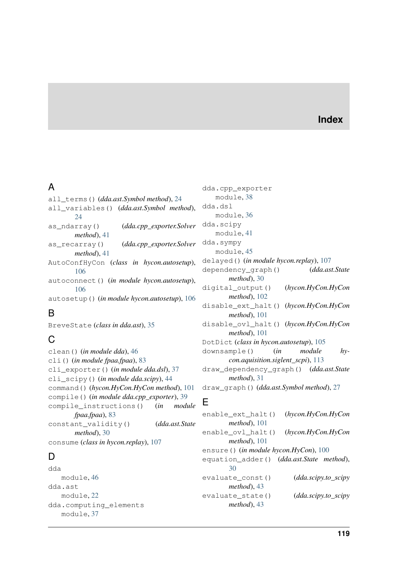### **Index**

# A

all\_terms() (*dda.ast.Symbol method*), [24](#page-27-0) all\_variables() (*dda.ast.Symbol method*), [24](#page-27-0) as\_ndarray() (*dda.cpp\_exporter.Solver method*), [41](#page-44-1) as\_recarray() (*dda.cpp\_exporter.Solver method*), [41](#page-44-1) AutoConfHyCon (*class in hycon.autosetup*), [106](#page-109-0) autoconnect() (*in module hycon.autosetup*), [106](#page-109-0) autosetup() (*in module hycon.autosetup*), [106](#page-109-0)

# B

BreveState (*class in dda.ast*), [35](#page-38-0)

# $\mathcal{C}$

```
clean() (in module dda), 46
cli() (in module fpaa.fpaa), 83
cli_exporter() (in module dda.dsl), 37
cli_scipy() (in module dda.scipy), 44
command() (hycon.HyCon.HyCon method), 101
compile() (in module dda.cpp_exporter), 39
compile_instructions() (in module
       fpaa.fpaa), 83
constant_validity() (dda.ast.State
       method), 30
consume (class in hycon.replay), 107
```
# D

```
dda
   module, 46
dda.ast
   module, 22
dda.computing_elements
   module, 37
```
dda.cpp\_exporter module, [38](#page-41-1) dda.dsl module, [36](#page-39-1) dda.scipy module, [41](#page-44-1) dda.sympy module, [45](#page-48-1) delayed() (*in module hycon.replay*), [107](#page-110-1) dependency\_graph() (*dda.ast.State method*), [30](#page-33-0) digital\_output() (*hycon.HyCon.HyCon method*), [102](#page-105-1) disable\_ext\_halt() (*hycon.HyCon.HyCon method*), [101](#page-104-1) disable\_ovl\_halt() (*hycon.HyCon.HyCon method*), [101](#page-104-1) DotDict (*class in hycon.autosetup*), [105](#page-108-0) downsample() (*in module hycon.aquisition.siglent\_scpi*), [113](#page-116-2) draw\_dependency\_graph() (*dda.ast.State method*), [31](#page-34-0) draw\_graph() (*dda.ast.Symbol method*), [27](#page-30-0)

## E

```
enable_ext_halt() (hycon.HyCon.HyCon
       method), 101
enable_ovl_halt() (hycon.HyCon.HyCon
       method), 101
ensure() (in module hycon.HyCon), 100
equation_adder() (dda.ast.State method),
       30
evaluate_const() (dda.scipy.to_scipy
       method), 43
evaluate_state() (dda.scipy.to_scipy
       method), 43
```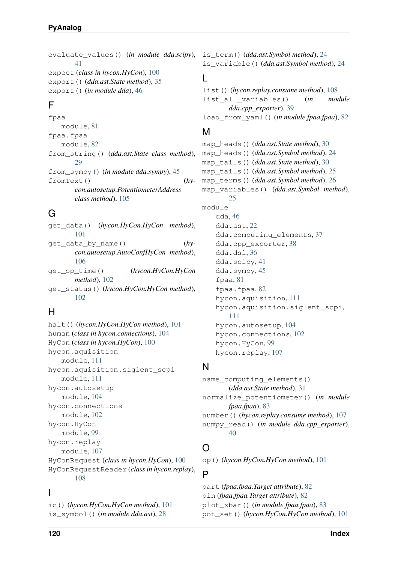evaluate\_values() (*in module dda.scipy*), is\_term() (*dda.ast.Symbol method*), [24](#page-27-0) [41](#page-44-1) expect (*class in hycon.HyCon*), [100](#page-103-0) export() (*dda.ast.State method*), [35](#page-38-0) export() (*in module dda*), [46](#page-49-1)

# F

fpaa module, [81](#page-84-1) fpaa.fpaa module, [82](#page-85-1) from\_string() (*dda.ast.State class method*), [29](#page-32-0) from\_sympy() (*in module dda.sympy*), [45](#page-48-1) fromText() (*hycon.autosetup.PotentiometerAddress class method*), [105](#page-108-0)

# G

get\_data() (*hycon.HyCon.HyCon method*), [101](#page-104-1) get\_data\_by\_name() (*hycon.autosetup.AutoConfHyCon method*), [106](#page-109-0) get\_op\_time() (*hycon.HyCon.HyCon method*), [102](#page-105-1) get\_status() (*hycon.HyCon.HyCon method*), [102](#page-105-1)

# H

halt() (*hycon.HyCon.HyCon method*), [101](#page-104-1) human (*class in hycon.connections*), [104](#page-107-1) HyCon (*class in hycon.HyCon*), [100](#page-103-0) hycon.aquisition module, [111](#page-114-4) hycon.aquisition.siglent\_scpi module, [111](#page-114-4) hycon.autosetup module, [104](#page-107-1) hycon.connections module, [102](#page-105-1) hycon.HyCon module, [99](#page-102-1) hycon.replay module, [107](#page-110-1) HyConRequest (*class in hycon.HyCon*), [100](#page-103-0) HyConRequestReader (*class in hycon.replay*), [108](#page-111-0)

## I

ic() (*hycon.HyCon.HyCon method*), [101](#page-104-1) is\_symbol() (*in module dda.ast*), [28](#page-31-0)

is\_variable() (*dda.ast.Symbol method*), [24](#page-27-0)

## L

list() (*hycon.replay.consume method*), [108](#page-111-0) list\_all\_variables() (*in module dda.cpp\_exporter*), [39](#page-42-0) load\_from\_yaml() (*in module fpaa.fpaa*), [82](#page-85-1)

# M

```
map_heads() (dda.ast.State method), 30
map_heads() (dda.ast.Symbol method), 24
map_tails() (dda.ast.State method), 30
map_tails() (dda.ast.Symbol method), 25
map_terms() (dda.ast.Symbol method), 26
map_variables() (dda.ast.Symbol method),
       25
module
    dda, 46
    dda.ast, 22
    dda.computing_elements, 37
    dda.cpp_exporter, 38
    dda.dsl, 36
    dda.scipy, 41
    dda.sympy, 45
    fpaa, 81
    fpaa.fpaa, 82
    hycon.aquisition, 111
    hycon.aquisition.siglent_scpi,
        111
    hycon.autosetup, 104
    hycon.connections, 102
    hycon.HyCon, 99
    hycon.replay, 107
```
## N

name\_computing\_elements() (*dda.ast.State method*), [31](#page-34-0) normalize\_potentiometer() (*in module fpaa.fpaa*), [83](#page-86-0) number() (*hycon.replay.consume method*), [107](#page-110-1) numpy\_read() (*in module dda.cpp\_exporter*), [40](#page-43-0)

# $\Omega$

op() (*hycon.HyCon.HyCon method*), [101](#page-104-1)

#### P

part (*fpaa.fpaa.Target attribute*), [82](#page-85-1) pin (*fpaa.fpaa.Target attribute*), [82](#page-85-1) plot\_xbar() (*in module fpaa.fpaa*), [83](#page-86-0) pot\_set() (*hycon.HyCon.HyCon method*), [101](#page-104-1)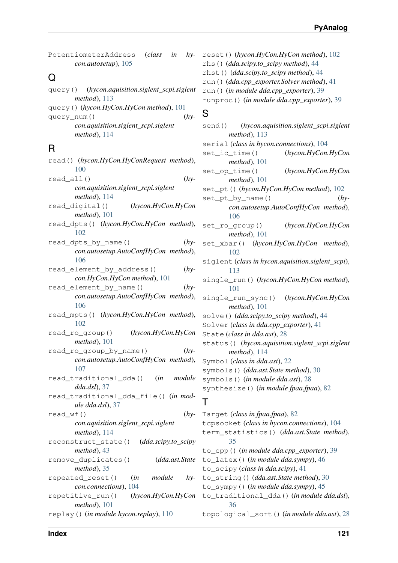| PotentiometerAddress (class in hy- |  |  |
|------------------------------------|--|--|
| $con. autosetup$ ), $105$          |  |  |

### Q

query() (*hycon.aquisition.siglent\_scpi.siglent method*), [113](#page-116-2) query() (*hycon.HyCon.HyCon method*), [101](#page-104-1) query\_num() (*hycon.aquisition.siglent\_scpi.siglent method*), [114](#page-117-0)

## R

| read() (hycon.HyCon.HyConRequest method),  |
|--------------------------------------------|
| 100                                        |
| $read_a11()$<br>$(hy-$                     |
| con.aquisition.siglent_scpi.siglent        |
| $method$ , 114                             |
| (hycon.HyCon.HyCon<br>read_digital()       |
| $method$ , 101                             |
| read_dpts() (hycon.HyCon.HyCon method),    |
| 102                                        |
| read_dpts_by_name()<br>$(hy-$              |
| con.autosetup.AutoConfHyCon method),       |
| 106                                        |
| $(hy-$<br>read_element_by_address()        |
| con.HyCon.HyCon method), 101               |
| read_element_by_name()<br>$(hy-$           |
| con.autosetup.AutoConfHyCon method),       |
| 106                                        |
| read_mpts() (hycon.HyCon.HyCon method),    |
| 102                                        |
| (hycon.HyCon.HyCon<br>read_ro_group()      |
| $method$ , 101                             |
| $(hy-$<br>read_ro_group_by_name()          |
| con.autosetup.AutoConfHyCon method),       |
| 107                                        |
| read_traditional_dda() (in<br>module       |
| $dda. dsl$ , 37                            |
| read_traditional_dda_file() (in mod-       |
| ule dda.dsl), 37                           |
| $(hy-$<br>$read_wf()$                      |
| con.aquisition.siglent_scpi.siglent        |
| method), 114                               |
| reconstruct_state()<br>(dda.scipy.to_scipy |
| $method$ , 43                              |
| (dda.ast.State<br>remove_duplicates()      |
| method), 35                                |
| module<br>repeated_reset()<br>$hy-$<br>(in |
| con.connections), 104                      |
| (hycon. HyCon. HyCon<br>repetitive_run()   |
| method), 101                               |
| replay () (in module hycon.replay), 110    |

reset() (*hycon.HyCon.HyCon method*), [102](#page-105-1) rhs() (*dda.scipy.to\_scipy method*), [44](#page-47-0) rhst() (*dda.scipy.to\_scipy method*), [44](#page-47-0) run() (*dda.cpp\_exporter.Solver method*), [41](#page-44-1) run() (*in module dda.cpp\_exporter*), [39](#page-42-0) runproc() (*in module dda.cpp\_exporter*), [39](#page-42-0)

#### S

| send()                                                                       |                                                                        | (hycon.aquisition.siglent_scpi.siglent            |  |  |
|------------------------------------------------------------------------------|------------------------------------------------------------------------|---------------------------------------------------|--|--|
|                                                                              | $method$ , 113                                                         |                                                   |  |  |
|                                                                              | serial (class in hycon.connections), 104                               |                                                   |  |  |
|                                                                              | set_ic_time()                                                          | (hycon.HyCon.HyCon                                |  |  |
|                                                                              | $method$ , 101                                                         |                                                   |  |  |
|                                                                              | set_op_time()                                                          | (hycon.HyCon.HyCon                                |  |  |
|                                                                              | $method$ , 101                                                         |                                                   |  |  |
|                                                                              |                                                                        | set_pt()(hycon.HyCon.HyCon method), 102           |  |  |
|                                                                              | set_pt_by_name()                                                       | $(hy-$                                            |  |  |
|                                                                              |                                                                        | con.autosetup.AutoConfHyCon method),              |  |  |
|                                                                              | 106                                                                    |                                                   |  |  |
|                                                                              | set_ro_group()                                                         | (hycon.HyCon.HyCon                                |  |  |
|                                                                              | $method$ , 101                                                         |                                                   |  |  |
|                                                                              |                                                                        | set_xbar() (hycon.HyCon.HyCon method),            |  |  |
|                                                                              | 102                                                                    |                                                   |  |  |
|                                                                              |                                                                        | siglent (class in hycon.aquisition.siglent_scpi), |  |  |
|                                                                              | 113                                                                    |                                                   |  |  |
|                                                                              |                                                                        | single_run()(hycon.HyCon.HyCon method),           |  |  |
|                                                                              | 101                                                                    |                                                   |  |  |
|                                                                              |                                                                        | single_run_sync() (hycon.HyCon.HyCon              |  |  |
|                                                                              | method), 101                                                           |                                                   |  |  |
| solve () (dda.scipy.to_scipy method), 44                                     |                                                                        |                                                   |  |  |
| Solver (class in dda.cpp_exporter), 41                                       |                                                                        |                                                   |  |  |
|                                                                              | State (class in dda.ast), 28                                           |                                                   |  |  |
|                                                                              |                                                                        | status() (hycon.aquisition.siglent_scpi.siglent   |  |  |
|                                                                              | method), 114                                                           |                                                   |  |  |
|                                                                              | Symbol (class in dda.ast), 22<br>symbols () (dda.ast.State method), 30 |                                                   |  |  |
|                                                                              |                                                                        |                                                   |  |  |
| symbols () (in module dda.ast), 28<br>synthesize() (in module fpaa.fpaa), 82 |                                                                        |                                                   |  |  |
|                                                                              |                                                                        |                                                   |  |  |
| Τ                                                                            |                                                                        |                                                   |  |  |
|                                                                              | Target (class in fpaa.fpaa), 82                                        |                                                   |  |  |

tcpsocket (*class in hycon.connections*), [104](#page-107-1) term\_statistics() (*dda.ast.State method*), [35](#page-38-0) to\_cpp() (*in module dda.cpp\_exporter*), [39](#page-42-0) to\_latex() (*in module dda.sympy*), [46](#page-49-1) to\_scipy (*class in dda.scipy*), [41](#page-44-1) to\_string() (*dda.ast.State method*), [30](#page-33-0) to\_sympy() (*in module dda.sympy*), [45](#page-48-1) to\_traditional\_dda() (*in module dda.dsl*), [36](#page-39-1) topological\_sort() (*in module dda.ast*), [28](#page-31-0)